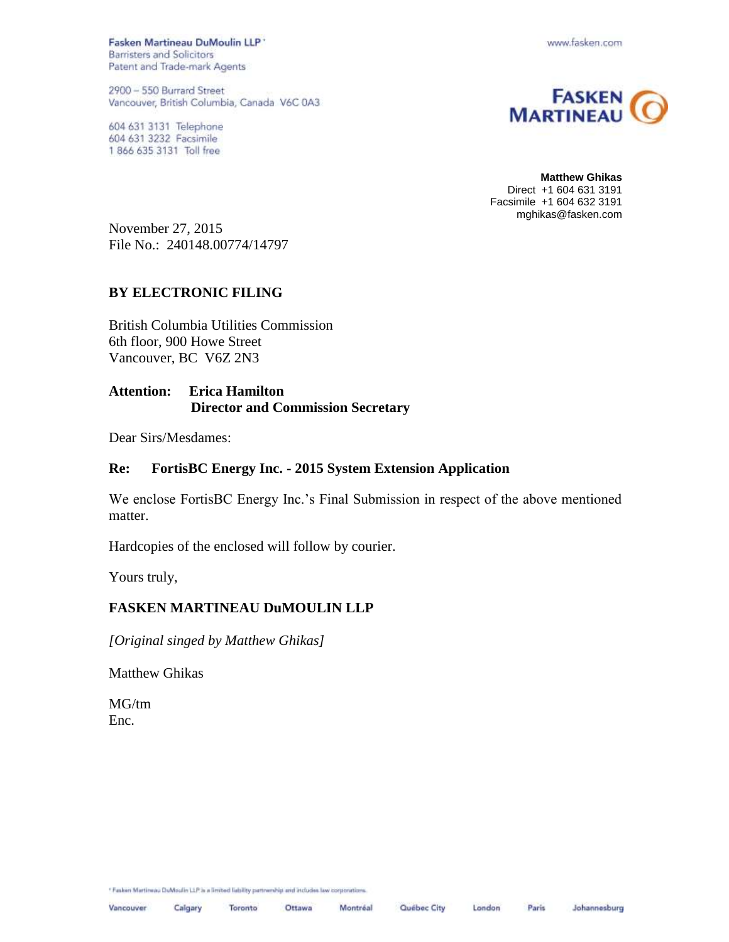Fasken Martineau DuMoulin LLP \* **Barristers and Solicitors** Patent and Trade-mark Agents

2900 - 550 Burrard Street Vancouver, British Columbia, Canada V6C 0A3

604 631 3131 Telephone 604 631 3232 Facsimile 1 866 635 3131 Toll free





**Matthew Ghikas** Direct +1 604 631 3191 Facsimile +1 604 632 3191 mghikas@fasken.com

November 27, 2015 File No.: 240148.00774/14797

### **BY ELECTRONIC FILING**

British Columbia Utilities Commission 6th floor, 900 Howe Street Vancouver, BC V6Z 2N3

## **Attention: Erica Hamilton Director and Commission Secretary**

Dear Sirs/Mesdames:

#### **Re: FortisBC Energy Inc. - 2015 System Extension Application**

We enclose FortisBC Energy Inc.'s Final Submission in respect of the above mentioned matter.

Hardcopies of the enclosed will follow by courier.

Yours truly,

## **FASKEN MARTINEAU DuMOULIN LLP**

*[Original singed by Matthew Ghikas]*

Matthew Ghikas

MG/tm Enc.

\* Fasken Martineau DuMoulin LLP is a limited liability partnership and includes law occporations.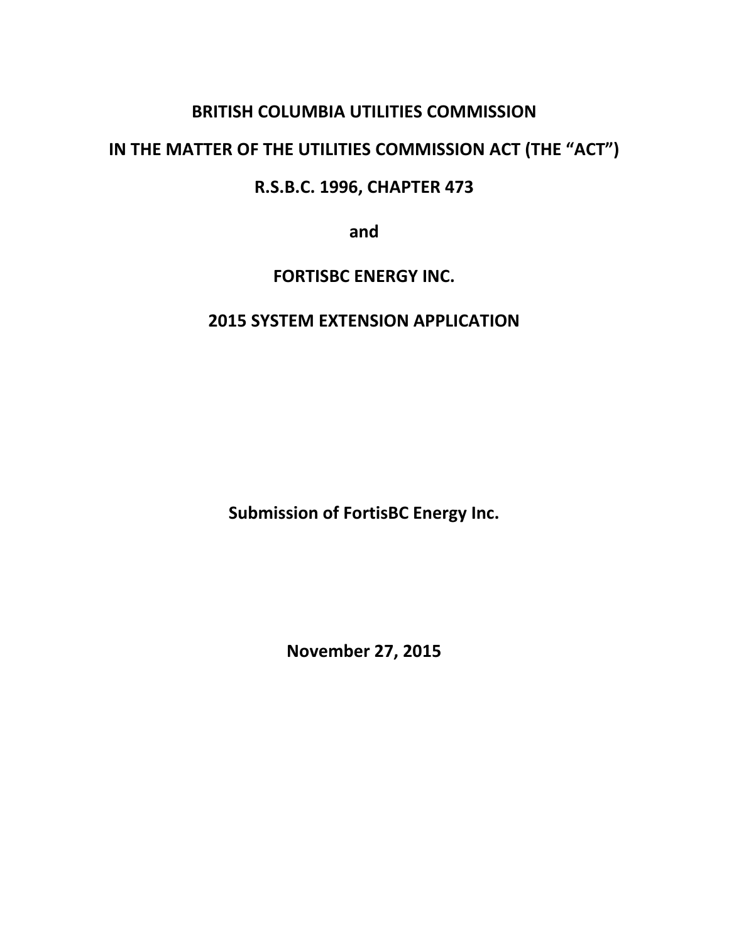# **BRITISH COLUMBIA UTILITIES COMMISSION**

# **IN THE MATTER OF THE UTILITIES COMMISSION ACT (THE "ACT")**

# **R.S.B.C. 1996, CHAPTER 473**

**and**

# **FORTISBC ENERGY INC.**

# **2015 SYSTEM EXTENSION APPLICATION**

**Submission of FortisBC Energy Inc.**

**November 27, 2015**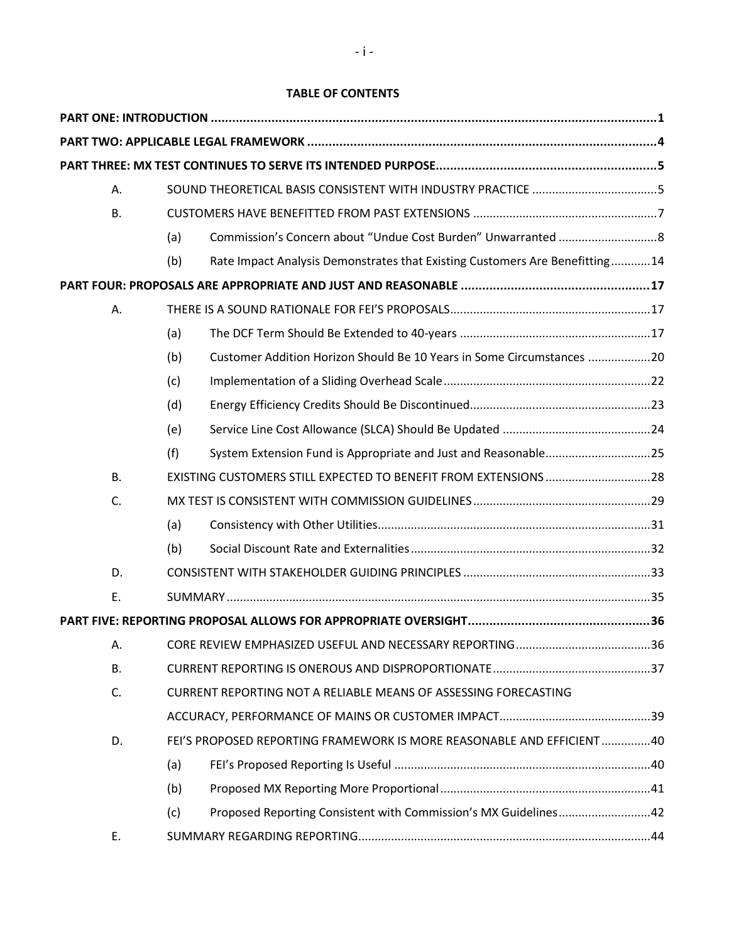## **TABLE OF CONTENTS**

| Α.        |     |                                                                             |  |  |
|-----------|-----|-----------------------------------------------------------------------------|--|--|
| <b>B.</b> |     |                                                                             |  |  |
|           | (a) |                                                                             |  |  |
|           | (b) | Rate Impact Analysis Demonstrates that Existing Customers Are Benefitting14 |  |  |
|           |     |                                                                             |  |  |
| Α.        |     |                                                                             |  |  |
|           | (a) |                                                                             |  |  |
|           | (b) | Customer Addition Horizon Should Be 10 Years in Some Circumstances 20       |  |  |
|           | (c) |                                                                             |  |  |
|           | (d) |                                                                             |  |  |
|           | (e) |                                                                             |  |  |
|           | (f) | System Extension Fund is Appropriate and Just and Reasonable25              |  |  |
| <b>B.</b> |     | EXISTING CUSTOMERS STILL EXPECTED TO BENEFIT FROM EXTENSIONS 28             |  |  |
| C.        |     |                                                                             |  |  |
|           | (a) |                                                                             |  |  |
|           | (b) |                                                                             |  |  |
| D.        |     |                                                                             |  |  |
| E.        |     |                                                                             |  |  |
|           |     |                                                                             |  |  |
| Α.        |     |                                                                             |  |  |
| В.        |     |                                                                             |  |  |
| C.        |     | <b>CURRENT REPORTING NOT A RELIABLE MEANS OF ASSESSING FORECASTING</b>      |  |  |
|           |     |                                                                             |  |  |
| D.        |     | FEI'S PROPOSED REPORTING FRAMEWORK IS MORE REASONABLE AND EFFICIENT40       |  |  |
|           | (a) |                                                                             |  |  |
|           | (b) |                                                                             |  |  |
|           | (c) | Proposed Reporting Consistent with Commission's MX Guidelines42             |  |  |
| Ε.        |     |                                                                             |  |  |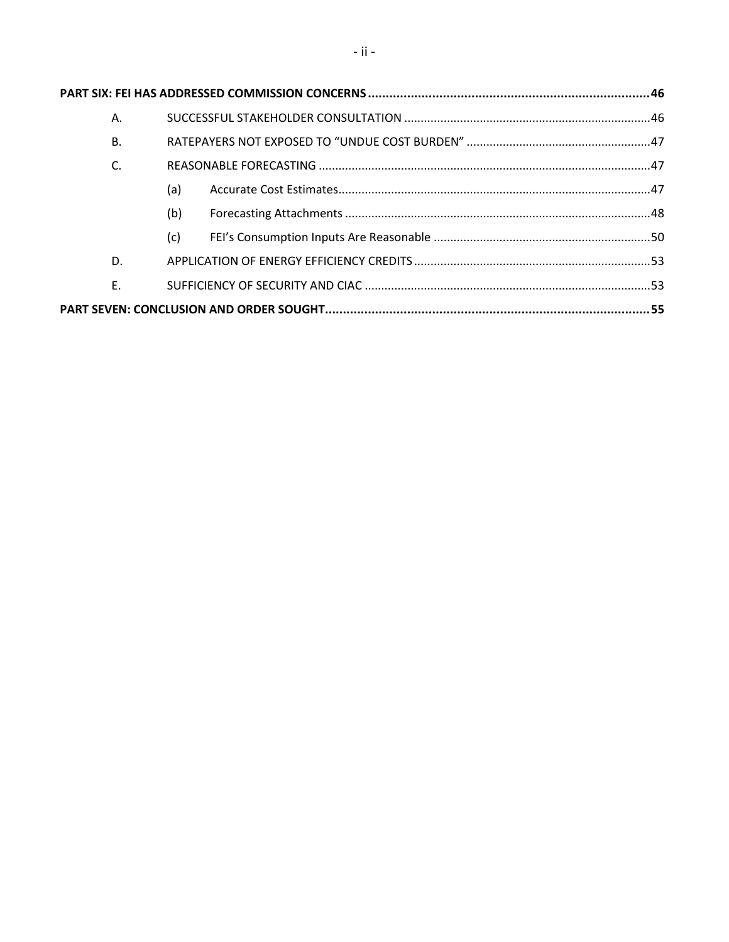| Α.        |     |  |  |
|-----------|-----|--|--|
| <b>B.</b> |     |  |  |
| C.        |     |  |  |
|           | (a) |  |  |
|           | (b) |  |  |
|           | (c) |  |  |
| D.        |     |  |  |
| F.        |     |  |  |
|           |     |  |  |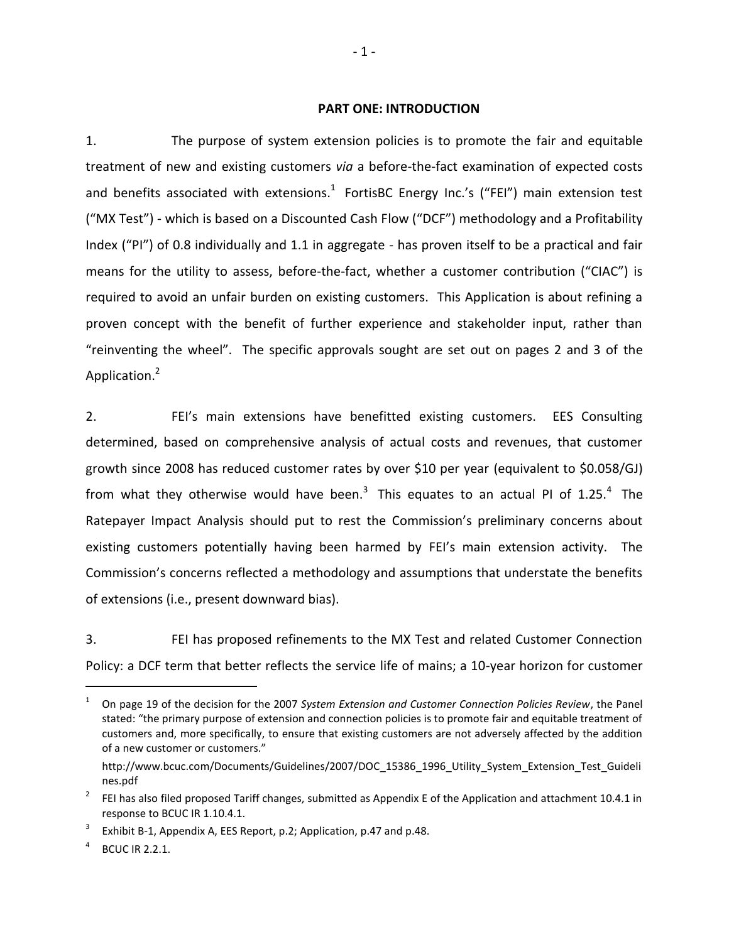#### <span id="page-4-0"></span>**PART ONE: INTRODUCTION**

1. The purpose of system extension policies is to promote the fair and equitable treatment of new and existing customers *via* a before-the-fact examination of expected costs and benefits associated with extensions. $^{1}$  FortisBC Energy Inc.'s ("FEI") main extension test ("MX Test") - which is based on a Discounted Cash Flow ("DCF") methodology and a Profitability Index ("PI") of 0.8 individually and 1.1 in aggregate - has proven itself to be a practical and fair means for the utility to assess, before-the-fact, whether a customer contribution ("CIAC") is required to avoid an unfair burden on existing customers. This Application is about refining a proven concept with the benefit of further experience and stakeholder input, rather than "reinventing the wheel". The specific approvals sought are set out on pages 2 and 3 of the Application.<sup>2</sup>

2. FEI's main extensions have benefitted existing customers. EES Consulting determined, based on comprehensive analysis of actual costs and revenues, that customer growth since 2008 has reduced customer rates by over \$10 per year (equivalent to \$0.058/GJ) from what they otherwise would have been.<sup>3</sup> This equates to an actual PI of 1.25.<sup>4</sup> The Ratepayer Impact Analysis should put to rest the Commission's preliminary concerns about existing customers potentially having been harmed by FEI's main extension activity. The Commission's concerns reflected a methodology and assumptions that understate the benefits of extensions (i.e., present downward bias).

3. FEI has proposed refinements to the MX Test and related Customer Connection Policy: a DCF term that better reflects the service life of mains; a 10-year horizon for customer

<sup>1</sup> On page 19 of the decision for the 2007 *System Extension and Customer Connection Policies Review*, the Panel stated: "the primary purpose of extension and connection policies is to promote fair and equitable treatment of customers and, more specifically, to ensure that existing customers are not adversely affected by the addition of a new customer or customers."

http://www.bcuc.com/Documents/Guidelines/2007/DOC\_15386\_1996\_Utility\_System\_Extension\_Test\_Guideli nes.pdf

<sup>2</sup> FEI has also filed proposed Tariff changes, submitted as Appendix E of the Application and attachment 10.4.1 in response to BCUC IR 1.10.4.1.

<sup>3</sup> Exhibit B-1, Appendix A, EES Report, p.2; Application, p.47 and p.48.

<sup>4</sup> BCUC IR 2.2.1.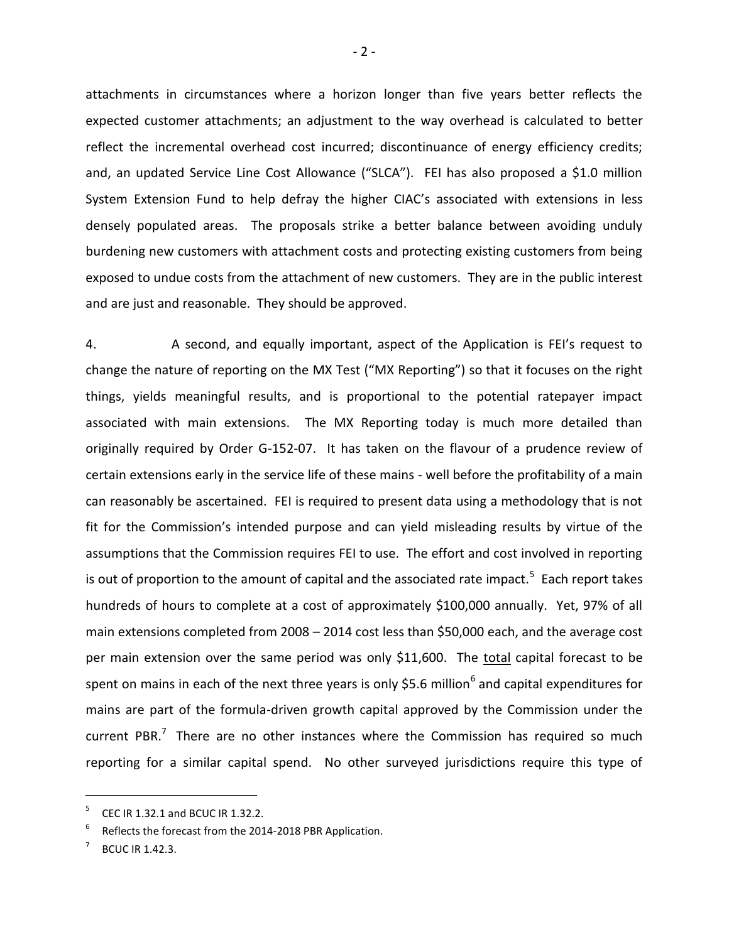attachments in circumstances where a horizon longer than five years better reflects the expected customer attachments; an adjustment to the way overhead is calculated to better reflect the incremental overhead cost incurred; discontinuance of energy efficiency credits; and, an updated Service Line Cost Allowance ("SLCA"). FEI has also proposed a \$1.0 million System Extension Fund to help defray the higher CIAC's associated with extensions in less densely populated areas. The proposals strike a better balance between avoiding unduly burdening new customers with attachment costs and protecting existing customers from being exposed to undue costs from the attachment of new customers. They are in the public interest and are just and reasonable. They should be approved.

4. A second, and equally important, aspect of the Application is FEI's request to change the nature of reporting on the MX Test ("MX Reporting") so that it focuses on the right things, yields meaningful results, and is proportional to the potential ratepayer impact associated with main extensions. The MX Reporting today is much more detailed than originally required by Order G-152-07. It has taken on the flavour of a prudence review of certain extensions early in the service life of these mains - well before the profitability of a main can reasonably be ascertained. FEI is required to present data using a methodology that is not fit for the Commission's intended purpose and can yield misleading results by virtue of the assumptions that the Commission requires FEI to use. The effort and cost involved in reporting is out of proportion to the amount of capital and the associated rate impact.<sup>5</sup> Each report takes hundreds of hours to complete at a cost of approximately \$100,000 annually. Yet, 97% of all main extensions completed from 2008 – 2014 cost less than \$50,000 each, and the average cost per main extension over the same period was only \$11,600. The total capital forecast to be spent on mains in each of the next three years is only \$5.6 million<sup>6</sup> and capital expenditures for mains are part of the formula-driven growth capital approved by the Commission under the current PBR. $<sup>7</sup>$  There are no other instances where the Commission has required so much</sup> reporting for a similar capital spend. No other surveyed jurisdictions require this type of

<sup>5</sup> CEC IR 1.32.1 and BCUC IR 1.32.2.

<sup>6</sup> Reflects the forecast from the 2014-2018 PBR Application.

<sup>7</sup> BCUC IR 1.42.3.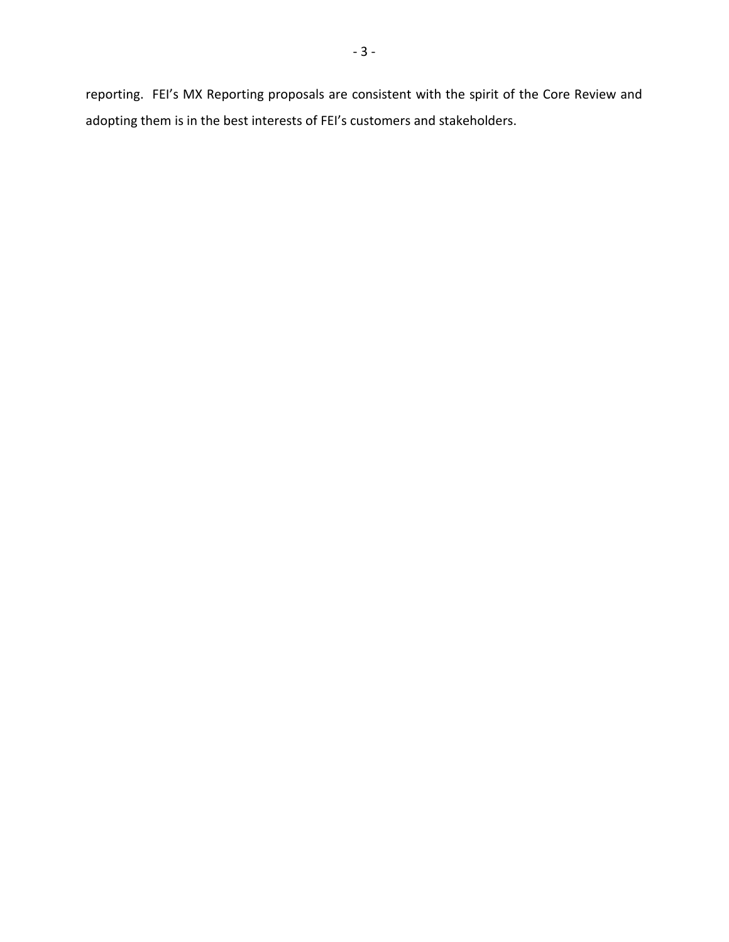reporting. FEI's MX Reporting proposals are consistent with the spirit of the Core Review and adopting them is in the best interests of FEI's customers and stakeholders.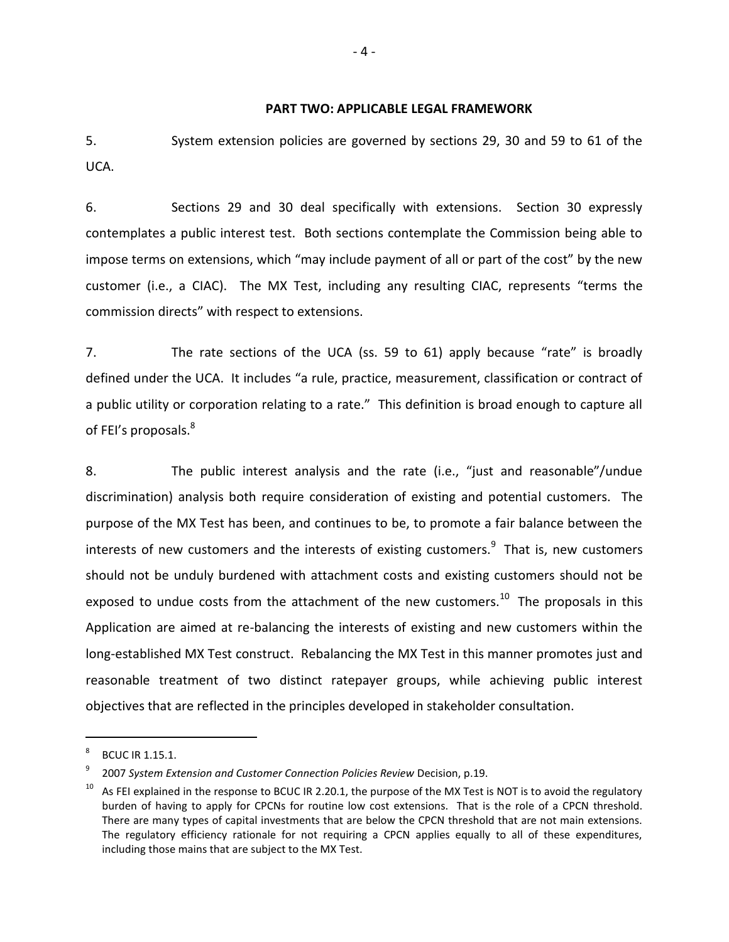#### <span id="page-7-0"></span>**PART TWO: APPLICABLE LEGAL FRAMEWORK**

5. System extension policies are governed by sections 29, 30 and 59 to 61 of the UCA.

6. Sections 29 and 30 deal specifically with extensions. Section 30 expressly contemplates a public interest test. Both sections contemplate the Commission being able to impose terms on extensions, which "may include payment of all or part of the cost" by the new customer (i.e., a CIAC). The MX Test, including any resulting CIAC, represents "terms the commission directs" with respect to extensions.

7. The rate sections of the UCA (ss. 59 to 61) apply because "rate" is broadly defined under the UCA. It includes "a rule, practice, measurement, classification or contract of a public utility or corporation relating to a rate." This definition is broad enough to capture all of FEI's proposals.<sup>8</sup>

8. The public interest analysis and the rate (i.e., "just and reasonable"/undue discrimination) analysis both require consideration of existing and potential customers. The purpose of the MX Test has been, and continues to be, to promote a fair balance between the interests of new customers and the interests of existing customers. $^{9}$  That is, new customers should not be unduly burdened with attachment costs and existing customers should not be exposed to undue costs from the attachment of the new customers.<sup>10</sup> The proposals in this Application are aimed at re-balancing the interests of existing and new customers within the long-established MX Test construct. Rebalancing the MX Test in this manner promotes just and reasonable treatment of two distinct ratepayer groups, while achieving public interest objectives that are reflected in the principles developed in stakeholder consultation.

<sup>8</sup> BCUC IR 1.15.1.

<sup>9</sup> 2007 *System Extension and Customer Connection Policies Review* Decision, p.19.

 $10$  As FEI explained in the response to BCUC IR 2.20.1, the purpose of the MX Test is NOT is to avoid the regulatory burden of having to apply for CPCNs for routine low cost extensions. That is the role of a CPCN threshold. There are many types of capital investments that are below the CPCN threshold that are not main extensions. The regulatory efficiency rationale for not requiring a CPCN applies equally to all of these expenditures, including those mains that are subject to the MX Test.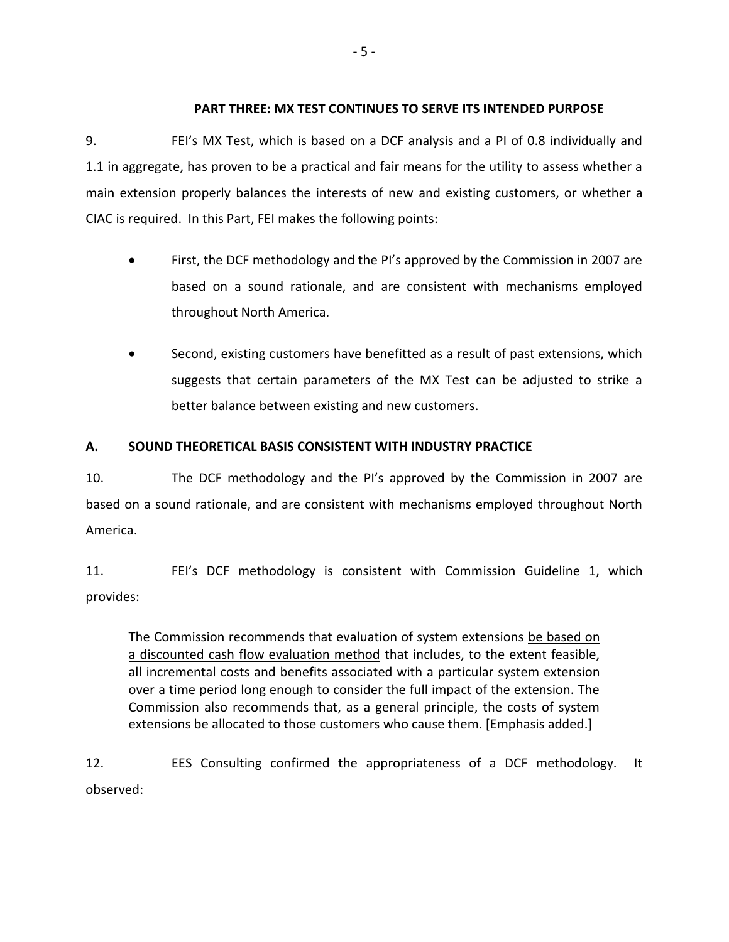### <span id="page-8-0"></span>**PART THREE: MX TEST CONTINUES TO SERVE ITS INTENDED PURPOSE**

9. FEI's MX Test, which is based on a DCF analysis and a PI of 0.8 individually and 1.1 in aggregate, has proven to be a practical and fair means for the utility to assess whether a main extension properly balances the interests of new and existing customers, or whether a CIAC is required. In this Part, FEI makes the following points:

- First, the DCF methodology and the PI's approved by the Commission in 2007 are based on a sound rationale, and are consistent with mechanisms employed throughout North America.
- Second, existing customers have benefitted as a result of past extensions, which suggests that certain parameters of the MX Test can be adjusted to strike a better balance between existing and new customers.

# <span id="page-8-1"></span>**A. SOUND THEORETICAL BASIS CONSISTENT WITH INDUSTRY PRACTICE**

10. The DCF methodology and the PI's approved by the Commission in 2007 are based on a sound rationale, and are consistent with mechanisms employed throughout North America.

11. FEI's DCF methodology is consistent with Commission Guideline 1, which provides:

The Commission recommends that evaluation of system extensions be based on a discounted cash flow evaluation method that includes, to the extent feasible, all incremental costs and benefits associated with a particular system extension over a time period long enough to consider the full impact of the extension. The Commission also recommends that, as a general principle, the costs of system extensions be allocated to those customers who cause them. [Emphasis added.]

12. EES Consulting confirmed the appropriateness of a DCF methodology. It observed: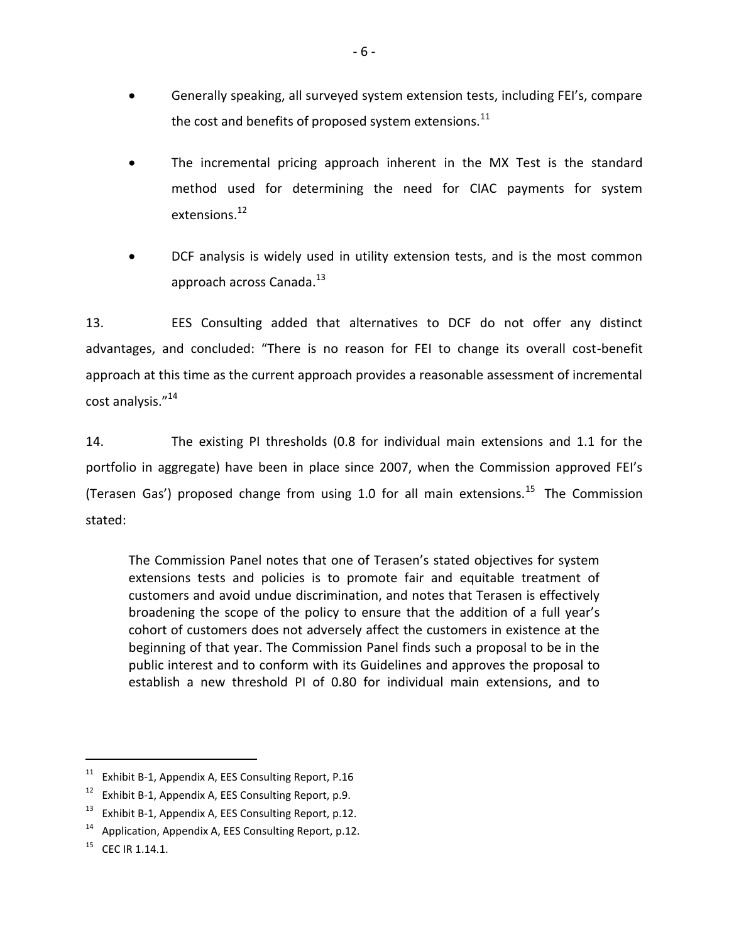- Generally speaking, all surveyed system extension tests, including FEI's, compare the cost and benefits of proposed system extensions.<sup>11</sup>
- The incremental pricing approach inherent in the MX Test is the standard method used for determining the need for CIAC payments for system extensions.<sup>12</sup>
- DCF analysis is widely used in utility extension tests, and is the most common approach across Canada.<sup>13</sup>

13. EES Consulting added that alternatives to DCF do not offer any distinct advantages, and concluded: "There is no reason for FEI to change its overall cost-benefit approach at this time as the current approach provides a reasonable assessment of incremental cost analysis."<sup>14</sup>

14. The existing PI thresholds (0.8 for individual main extensions and 1.1 for the portfolio in aggregate) have been in place since 2007, when the Commission approved FEI's (Terasen Gas') proposed change from using 1.0 for all main extensions.<sup>15</sup> The Commission stated:

The Commission Panel notes that one of Terasen's stated objectives for system extensions tests and policies is to promote fair and equitable treatment of customers and avoid undue discrimination, and notes that Terasen is effectively broadening the scope of the policy to ensure that the addition of a full year's cohort of customers does not adversely affect the customers in existence at the beginning of that year. The Commission Panel finds such a proposal to be in the public interest and to conform with its Guidelines and approves the proposal to establish a new threshold PI of 0.80 for individual main extensions, and to

 $11$  Exhibit B-1, Appendix A, EES Consulting Report, P.16

<sup>&</sup>lt;sup>12</sup> Exhibit B-1, Appendix A, EES Consulting Report, p.9.

 $13$  Exhibit B-1, Appendix A, EES Consulting Report, p.12.

 $14$  Application, Appendix A, EES Consulting Report, p.12.

 $^{15}$  CFC IR 1.14.1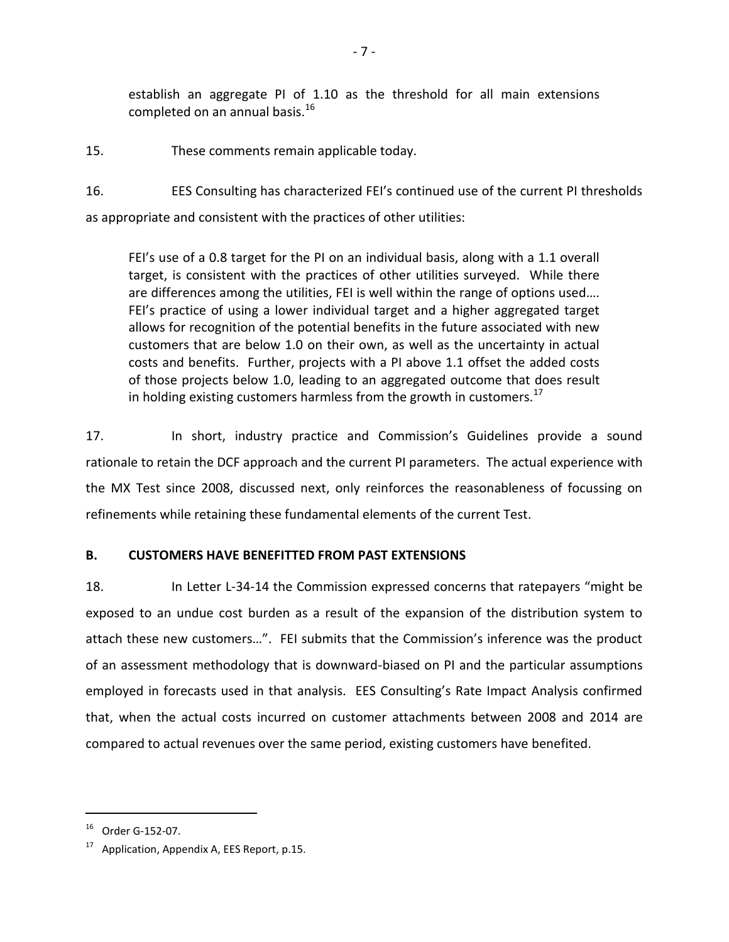establish an aggregate PI of 1.10 as the threshold for all main extensions completed on an annual basis.<sup>16</sup>

15. These comments remain applicable today.

16. EES Consulting has characterized FEI's continued use of the current PI thresholds as appropriate and consistent with the practices of other utilities:

FEI's use of a 0.8 target for the PI on an individual basis, along with a 1.1 overall target, is consistent with the practices of other utilities surveyed. While there are differences among the utilities, FEI is well within the range of options used…. FEI's practice of using a lower individual target and a higher aggregated target allows for recognition of the potential benefits in the future associated with new customers that are below 1.0 on their own, as well as the uncertainty in actual costs and benefits. Further, projects with a PI above 1.1 offset the added costs of those projects below 1.0, leading to an aggregated outcome that does result in holding existing customers harmless from the growth in customers.<sup>17</sup>

17. In short, industry practice and Commission's Guidelines provide a sound rationale to retain the DCF approach and the current PI parameters. The actual experience with the MX Test since 2008, discussed next, only reinforces the reasonableness of focussing on refinements while retaining these fundamental elements of the current Test.

## <span id="page-10-0"></span>**B. CUSTOMERS HAVE BENEFITTED FROM PAST EXTENSIONS**

18. In Letter L-34-14 the Commission expressed concerns that ratepayers "might be exposed to an undue cost burden as a result of the expansion of the distribution system to attach these new customers…". FEI submits that the Commission's inference was the product of an assessment methodology that is downward-biased on PI and the particular assumptions employed in forecasts used in that analysis. EES Consulting's Rate Impact Analysis confirmed that, when the actual costs incurred on customer attachments between 2008 and 2014 are compared to actual revenues over the same period, existing customers have benefited.

 $16$  Order G-152-07.

 $17$  Application, Appendix A, EES Report, p.15.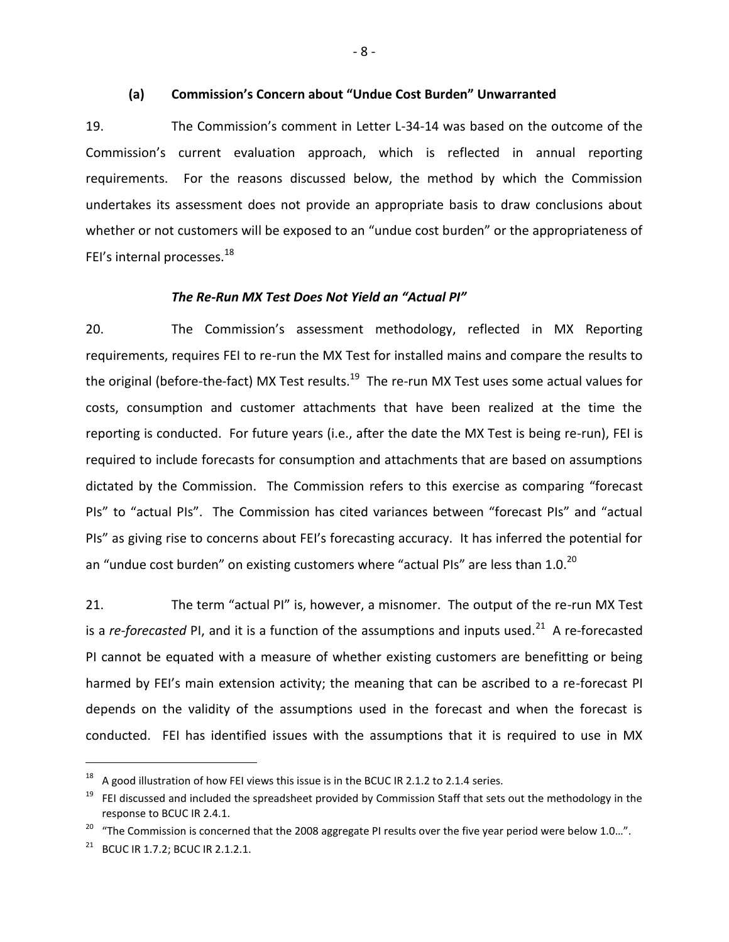#### **(a) Commission's Concern about "Undue Cost Burden" Unwarranted**

<span id="page-11-0"></span>19. The Commission's comment in Letter L-34-14 was based on the outcome of the Commission's current evaluation approach, which is reflected in annual reporting requirements. For the reasons discussed below, the method by which the Commission undertakes its assessment does not provide an appropriate basis to draw conclusions about whether or not customers will be exposed to an "undue cost burden" or the appropriateness of FEI's internal processes.<sup>18</sup>

#### *The Re-Run MX Test Does Not Yield an "Actual PI"*

20. The Commission's assessment methodology, reflected in MX Reporting requirements, requires FEI to re-run the MX Test for installed mains and compare the results to the original (before-the-fact) MX Test results.<sup>19</sup> The re-run MX Test uses some actual values for costs, consumption and customer attachments that have been realized at the time the reporting is conducted. For future years (i.e., after the date the MX Test is being re-run), FEI is required to include forecasts for consumption and attachments that are based on assumptions dictated by the Commission. The Commission refers to this exercise as comparing "forecast PIs" to "actual PIs". The Commission has cited variances between "forecast PIs" and "actual PIs" as giving rise to concerns about FEI's forecasting accuracy. It has inferred the potential for an "undue cost burden" on existing customers where "actual PIs" are less than 1.0. $^{20}$ 

21. The term "actual PI" is, however, a misnomer. The output of the re-run MX Test is a *re-forecasted* PI, and it is a function of the assumptions and inputs used.<sup>21</sup> A re-forecasted PI cannot be equated with a measure of whether existing customers are benefitting or being harmed by FEI's main extension activity; the meaning that can be ascribed to a re-forecast PI depends on the validity of the assumptions used in the forecast and when the forecast is conducted. FEI has identified issues with the assumptions that it is required to use in MX

 $18$  A good illustration of how FEI views this issue is in the BCUC IR 2.1.2 to 2.1.4 series.

 $19$  FEI discussed and included the spreadsheet provided by Commission Staff that sets out the methodology in the response to BCUC IR 2.4.1.

<sup>&</sup>lt;sup>20</sup> "The Commission is concerned that the 2008 aggregate PI results over the five year period were below 1.0...".

 $21$  BCUC IR 1.7.2; BCUC IR 2.1.2.1.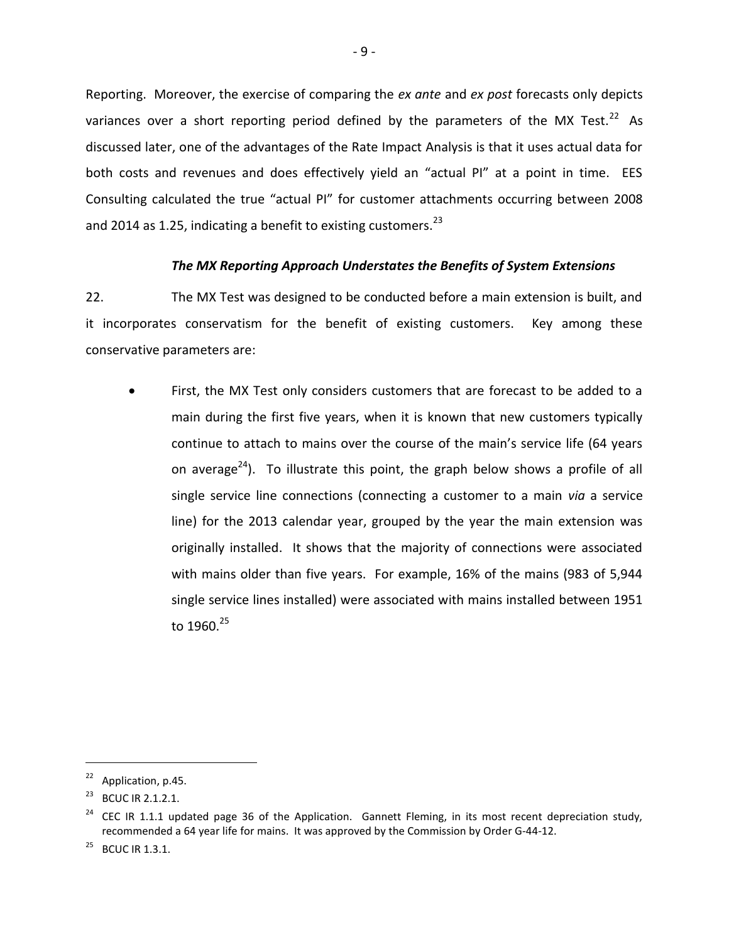Reporting. Moreover, the exercise of comparing the *ex ante* and *ex post* forecasts only depicts variances over a short reporting period defined by the parameters of the MX Test.<sup>22</sup> As discussed later, one of the advantages of the Rate Impact Analysis is that it uses actual data for both costs and revenues and does effectively yield an "actual PI" at a point in time. EES Consulting calculated the true "actual PI" for customer attachments occurring between 2008 and 2014 as 1.25, indicating a benefit to existing customers.<sup>23</sup>

### *The MX Reporting Approach Understates the Benefits of System Extensions*

22. The MX Test was designed to be conducted before a main extension is built, and it incorporates conservatism for the benefit of existing customers. Key among these conservative parameters are:

 First, the MX Test only considers customers that are forecast to be added to a main during the first five years, when it is known that new customers typically continue to attach to mains over the course of the main's service life (64 years on average<sup>24</sup>). To illustrate this point, the graph below shows a profile of all single service line connections (connecting a customer to a main *via* a service line) for the 2013 calendar year, grouped by the year the main extension was originally installed. It shows that the majority of connections were associated with mains older than five years. For example, 16% of the mains (983 of 5,944 single service lines installed) were associated with mains installed between 1951 to 1960.<sup>25</sup>

 $22$  Application, p.45.

<sup>&</sup>lt;sup>23</sup> BCUC IR 2.1.2.1.

 $24$  CEC IR 1.1.1 updated page 36 of the Application. Gannett Fleming, in its most recent depreciation study, recommended a 64 year life for mains. It was approved by the Commission by Order G-44-12.

<sup>&</sup>lt;sup>25</sup> BCUC IR 1.3.1.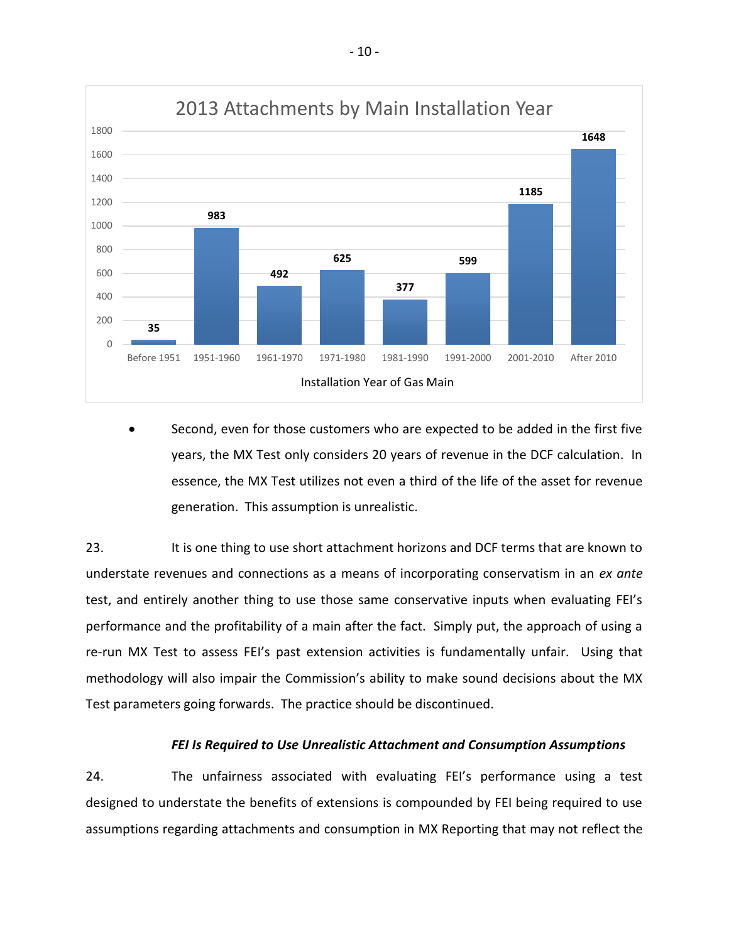

 Second, even for those customers who are expected to be added in the first five years, the MX Test only considers 20 years of revenue in the DCF calculation. In essence, the MX Test utilizes not even a third of the life of the asset for revenue generation. This assumption is unrealistic.

23. It is one thing to use short attachment horizons and DCF terms that are known to understate revenues and connections as a means of incorporating conservatism in an *ex ante*  test, and entirely another thing to use those same conservative inputs when evaluating FEI's performance and the profitability of a main after the fact. Simply put, the approach of using a re-run MX Test to assess FEI's past extension activities is fundamentally unfair. Using that methodology will also impair the Commission's ability to make sound decisions about the MX Test parameters going forwards. The practice should be discontinued.

#### *FEI Is Required to Use Unrealistic Attachment and Consumption Assumptions*

24. The unfairness associated with evaluating FEI's performance using a test designed to understate the benefits of extensions is compounded by FEI being required to use assumptions regarding attachments and consumption in MX Reporting that may not reflect the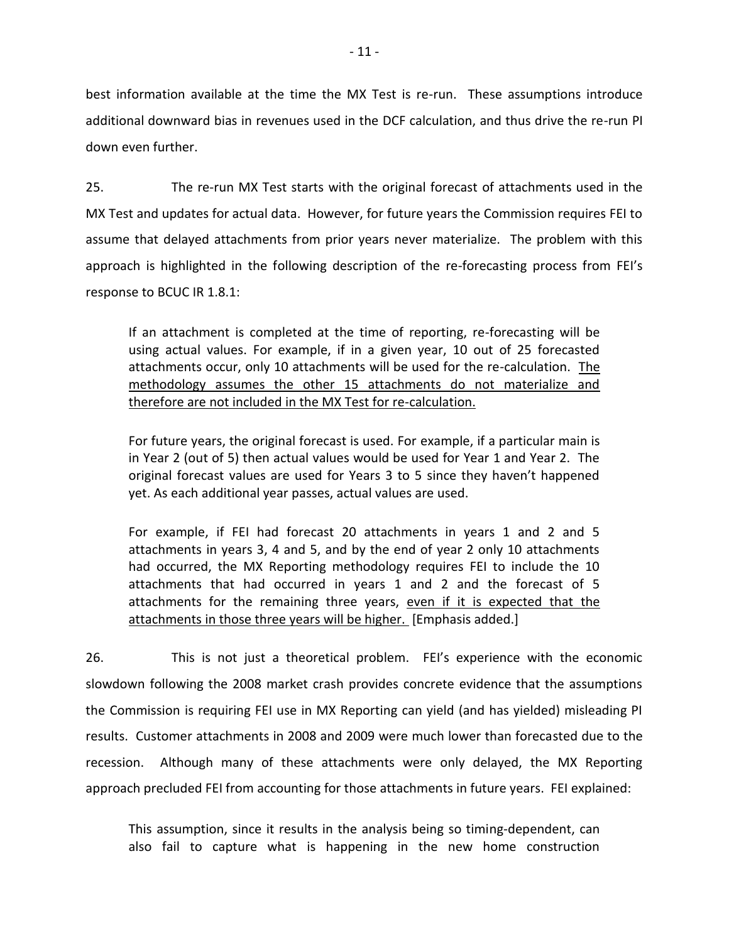best information available at the time the MX Test is re-run. These assumptions introduce additional downward bias in revenues used in the DCF calculation, and thus drive the re-run PI down even further.

25. The re-run MX Test starts with the original forecast of attachments used in the MX Test and updates for actual data. However, for future years the Commission requires FEI to assume that delayed attachments from prior years never materialize. The problem with this approach is highlighted in the following description of the re-forecasting process from FEI's response to BCUC IR 1.8.1:

If an attachment is completed at the time of reporting, re-forecasting will be using actual values. For example, if in a given year, 10 out of 25 forecasted attachments occur, only 10 attachments will be used for the re-calculation. The methodology assumes the other 15 attachments do not materialize and therefore are not included in the MX Test for re-calculation.

For future years, the original forecast is used. For example, if a particular main is in Year 2 (out of 5) then actual values would be used for Year 1 and Year 2. The original forecast values are used for Years 3 to 5 since they haven't happened yet. As each additional year passes, actual values are used.

For example, if FEI had forecast 20 attachments in years 1 and 2 and 5 attachments in years 3, 4 and 5, and by the end of year 2 only 10 attachments had occurred, the MX Reporting methodology requires FEI to include the 10 attachments that had occurred in years 1 and 2 and the forecast of 5 attachments for the remaining three years, even if it is expected that the attachments in those three years will be higher. [Emphasis added.]

26. This is not just a theoretical problem. FEI's experience with the economic slowdown following the 2008 market crash provides concrete evidence that the assumptions the Commission is requiring FEI use in MX Reporting can yield (and has yielded) misleading PI results. Customer attachments in 2008 and 2009 were much lower than forecasted due to the recession. Although many of these attachments were only delayed, the MX Reporting approach precluded FEI from accounting for those attachments in future years. FEI explained:

This assumption, since it results in the analysis being so timing-dependent, can also fail to capture what is happening in the new home construction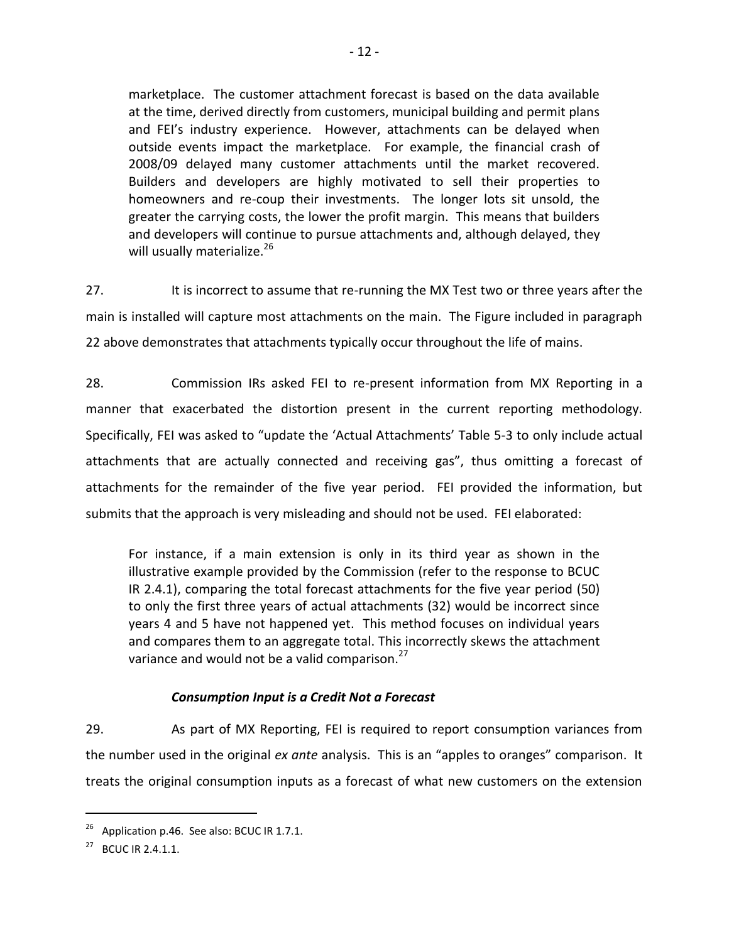marketplace. The customer attachment forecast is based on the data available at the time, derived directly from customers, municipal building and permit plans and FEI's industry experience. However, attachments can be delayed when outside events impact the marketplace. For example, the financial crash of 2008/09 delayed many customer attachments until the market recovered. Builders and developers are highly motivated to sell their properties to homeowners and re-coup their investments. The longer lots sit unsold, the greater the carrying costs, the lower the profit margin. This means that builders and developers will continue to pursue attachments and, although delayed, they will usually materialize.<sup>26</sup>

27. It is incorrect to assume that re-running the MX Test two or three years after the main is installed will capture most attachments on the main. The Figure included in paragraph 22 above demonstrates that attachments typically occur throughout the life of mains.

28. Commission IRs asked FEI to re-present information from MX Reporting in a manner that exacerbated the distortion present in the current reporting methodology. Specifically, FEI was asked to "update the 'Actual Attachments' Table 5-3 to only include actual attachments that are actually connected and receiving gas", thus omitting a forecast of attachments for the remainder of the five year period. FEI provided the information, but submits that the approach is very misleading and should not be used. FEI elaborated:

For instance, if a main extension is only in its third year as shown in the illustrative example provided by the Commission (refer to the response to BCUC IR 2.4.1), comparing the total forecast attachments for the five year period (50) to only the first three years of actual attachments (32) would be incorrect since years 4 and 5 have not happened yet. This method focuses on individual years and compares them to an aggregate total. This incorrectly skews the attachment variance and would not be a valid comparison. $27$ 

# *Consumption Input is a Credit Not a Forecast*

29. As part of MX Reporting, FEI is required to report consumption variances from the number used in the original *ex ante* analysis. This is an "apples to oranges" comparison. It treats the original consumption inputs as a forecast of what new customers on the extension

 $^{26}$  Application p.46. See also: BCUC IR 1.7.1.

<sup>&</sup>lt;sup>27</sup> BCUC IR 2.4.1.1.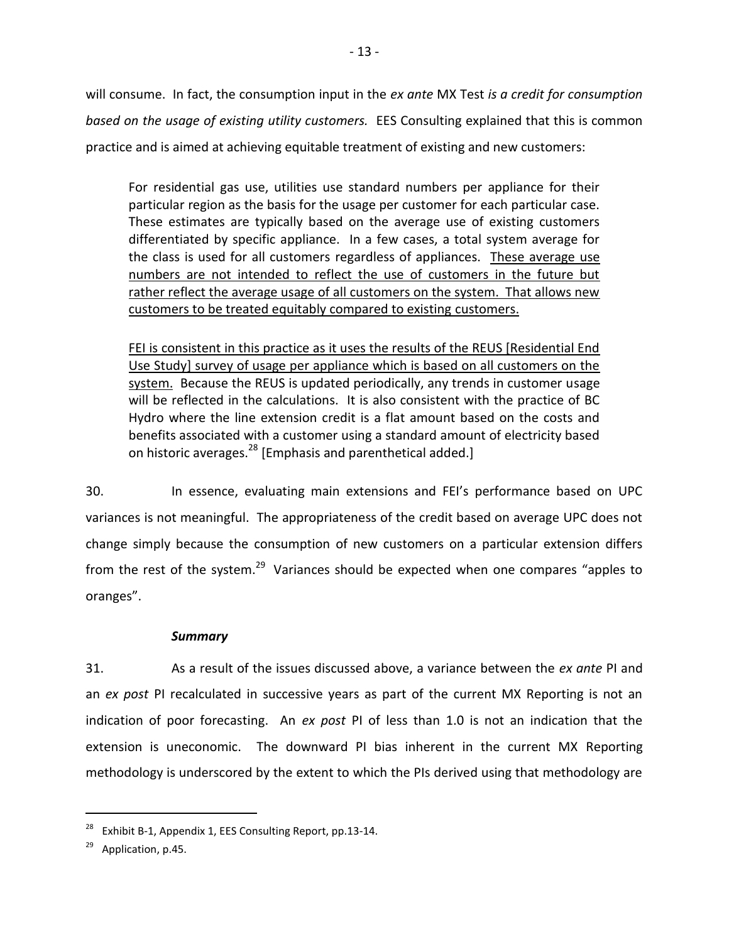will consume. In fact, the consumption input in the *ex ante* MX Test *is a credit for consumption based on the usage of existing utility customers.* EES Consulting explained that this is common practice and is aimed at achieving equitable treatment of existing and new customers:

For residential gas use, utilities use standard numbers per appliance for their particular region as the basis for the usage per customer for each particular case. These estimates are typically based on the average use of existing customers differentiated by specific appliance. In a few cases, a total system average for the class is used for all customers regardless of appliances. These average use numbers are not intended to reflect the use of customers in the future but rather reflect the average usage of all customers on the system. That allows new customers to be treated equitably compared to existing customers.

FEI is consistent in this practice as it uses the results of the REUS [Residential End Use Study] survey of usage per appliance which is based on all customers on the system. Because the REUS is updated periodically, any trends in customer usage will be reflected in the calculations. It is also consistent with the practice of BC Hydro where the line extension credit is a flat amount based on the costs and benefits associated with a customer using a standard amount of electricity based on historic averages.<sup>28</sup> [Emphasis and parenthetical added.]

30. In essence, evaluating main extensions and FEI's performance based on UPC variances is not meaningful. The appropriateness of the credit based on average UPC does not change simply because the consumption of new customers on a particular extension differs from the rest of the system.<sup>29</sup> Variances should be expected when one compares "apples to oranges".

## *Summary*

31. As a result of the issues discussed above, a variance between the *ex ante* PI and an *ex post* PI recalculated in successive years as part of the current MX Reporting is not an indication of poor forecasting. An *ex post* PI of less than 1.0 is not an indication that the extension is uneconomic. The downward PI bias inherent in the current MX Reporting methodology is underscored by the extent to which the PIs derived using that methodology are

<sup>&</sup>lt;sup>28</sup> Exhibit B-1, Appendix 1, EES Consulting Report, pp. 13-14.

 $29$  Application, p.45.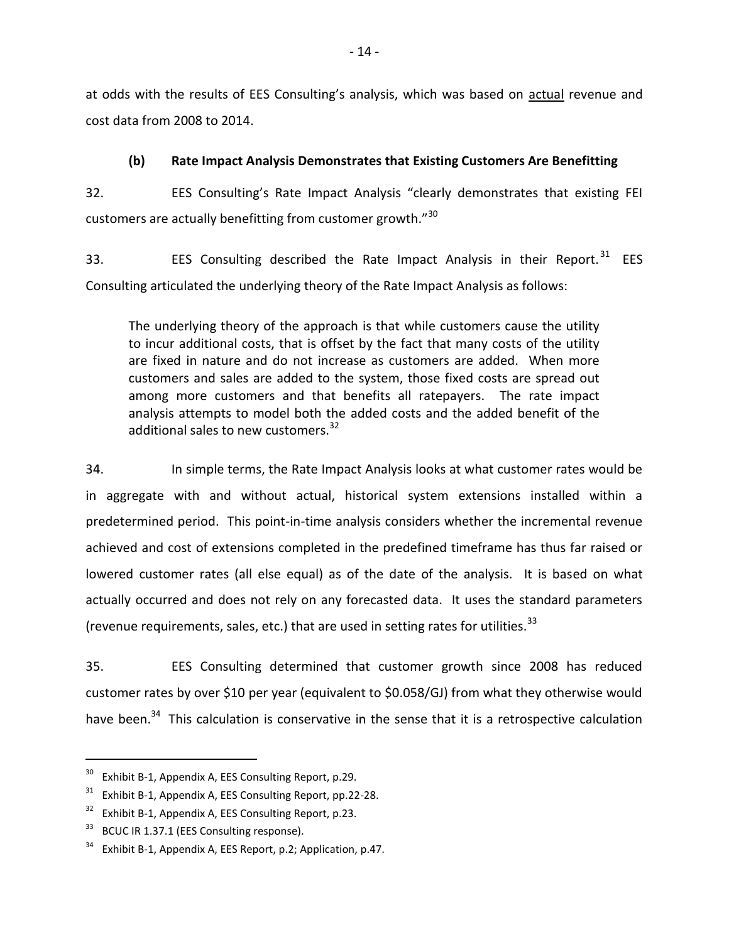at odds with the results of EES Consulting's analysis, which was based on actual revenue and cost data from 2008 to 2014.

# **(b) Rate Impact Analysis Demonstrates that Existing Customers Are Benefitting**

<span id="page-17-0"></span>32. EES Consulting's Rate Impact Analysis "clearly demonstrates that existing FEI customers are actually benefitting from customer growth."<sup>30</sup>

33. EES Consulting described the Rate Impact Analysis in their Report.<sup>31</sup> EES Consulting articulated the underlying theory of the Rate Impact Analysis as follows:

The underlying theory of the approach is that while customers cause the utility to incur additional costs, that is offset by the fact that many costs of the utility are fixed in nature and do not increase as customers are added. When more customers and sales are added to the system, those fixed costs are spread out among more customers and that benefits all ratepayers. The rate impact analysis attempts to model both the added costs and the added benefit of the additional sales to new customers.<sup>32</sup>

34. In simple terms, the Rate Impact Analysis looks at what customer rates would be in aggregate with and without actual, historical system extensions installed within a predetermined period. This point-in-time analysis considers whether the incremental revenue achieved and cost of extensions completed in the predefined timeframe has thus far raised or lowered customer rates (all else equal) as of the date of the analysis. It is based on what actually occurred and does not rely on any forecasted data. It uses the standard parameters (revenue requirements, sales, etc.) that are used in setting rates for utilities.<sup>33</sup>

35. EES Consulting determined that customer growth since 2008 has reduced customer rates by over \$10 per year (equivalent to \$0.058/GJ) from what they otherwise would have been.<sup>34</sup> This calculation is conservative in the sense that it is a retrospective calculation

Exhibit B-1, Appendix A, EES Consulting Report, p.29.

 $31$  Exhibit B-1, Appendix A, EES Consulting Report, pp.22-28.

 $32$  Exhibit B-1, Appendix A, EES Consulting Report, p.23.

<sup>&</sup>lt;sup>33</sup> BCUC IR 1.37.1 (EES Consulting response).

 $34$  Exhibit B-1, Appendix A, EES Report, p.2; Application, p.47.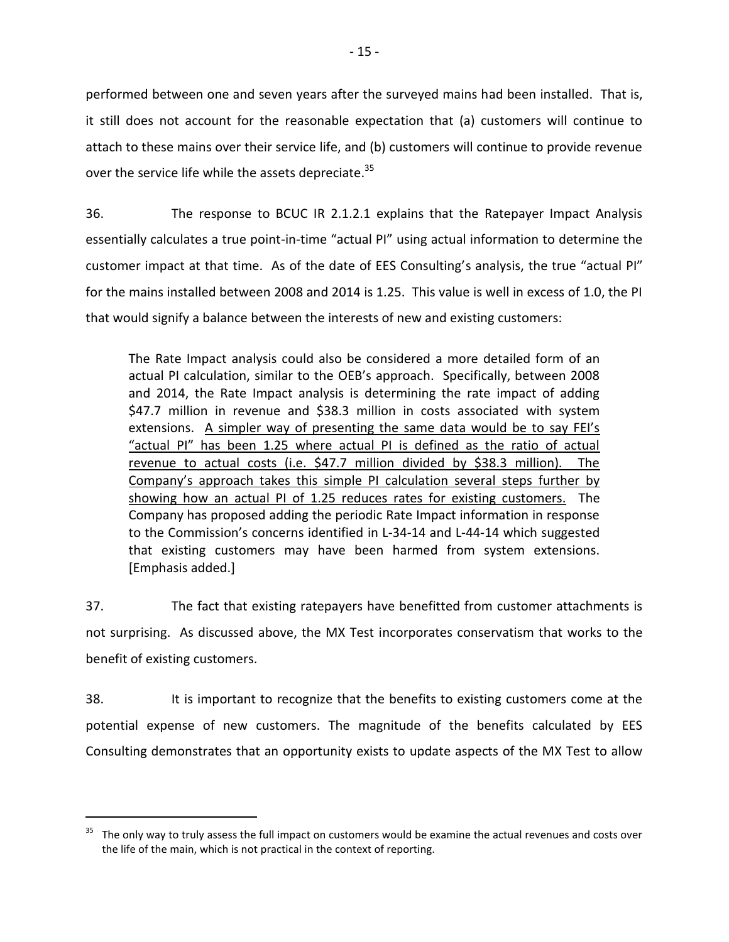performed between one and seven years after the surveyed mains had been installed. That is, it still does not account for the reasonable expectation that (a) customers will continue to attach to these mains over their service life, and (b) customers will continue to provide revenue over the service life while the assets depreciate.<sup>35</sup>

36. The response to BCUC IR 2.1.2.1 explains that the Ratepayer Impact Analysis essentially calculates a true point-in-time "actual PI" using actual information to determine the customer impact at that time. As of the date of EES Consulting's analysis, the true "actual PI" for the mains installed between 2008 and 2014 is 1.25. This value is well in excess of 1.0, the PI that would signify a balance between the interests of new and existing customers:

The Rate Impact analysis could also be considered a more detailed form of an actual PI calculation, similar to the OEB's approach. Specifically, between 2008 and 2014, the Rate Impact analysis is determining the rate impact of adding \$47.7 million in revenue and \$38.3 million in costs associated with system extensions. A simpler way of presenting the same data would be to say FEI's "actual PI" has been 1.25 where actual PI is defined as the ratio of actual revenue to actual costs (i.e. \$47.7 million divided by \$38.3 million). The Company's approach takes this simple PI calculation several steps further by showing how an actual PI of 1.25 reduces rates for existing customers. The Company has proposed adding the periodic Rate Impact information in response to the Commission's concerns identified in L-34-14 and L-44-14 which suggested that existing customers may have been harmed from system extensions. [Emphasis added.]

37. The fact that existing ratepayers have benefitted from customer attachments is not surprising. As discussed above, the MX Test incorporates conservatism that works to the benefit of existing customers.

38. It is important to recognize that the benefits to existing customers come at the potential expense of new customers. The magnitude of the benefits calculated by EES Consulting demonstrates that an opportunity exists to update aspects of the MX Test to allow

<sup>&</sup>lt;sup>35</sup> The only way to truly assess the full impact on customers would be examine the actual revenues and costs over the life of the main, which is not practical in the context of reporting.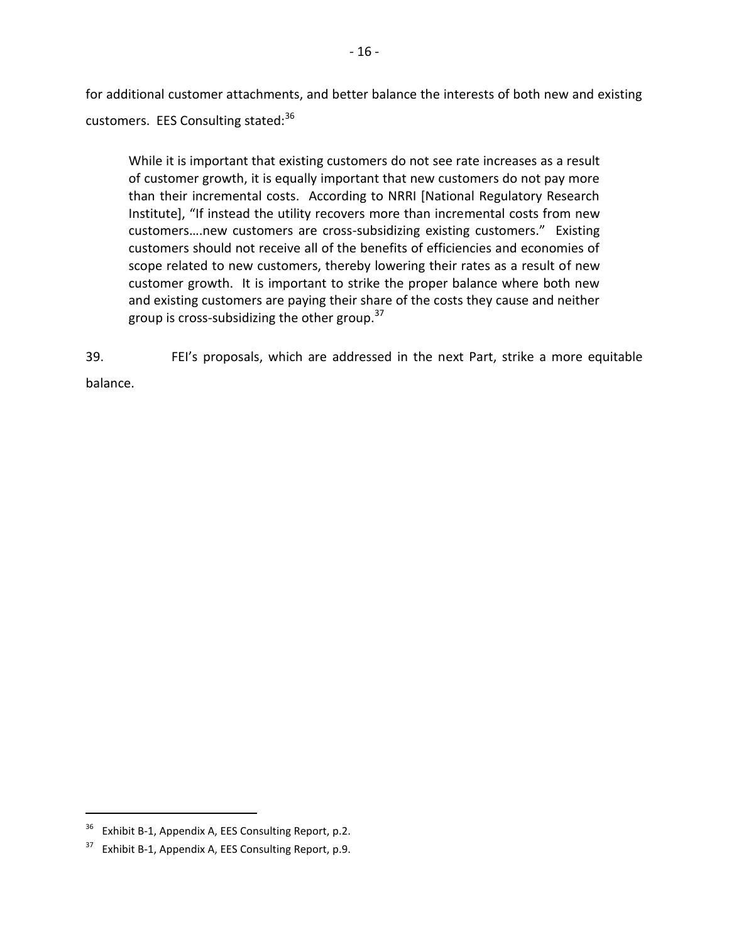for additional customer attachments, and better balance the interests of both new and existing customers. EES Consulting stated:<sup>36</sup>

While it is important that existing customers do not see rate increases as a result of customer growth, it is equally important that new customers do not pay more than their incremental costs. According to NRRI [National Regulatory Research Institute], "If instead the utility recovers more than incremental costs from new customers….new customers are cross-subsidizing existing customers." Existing customers should not receive all of the benefits of efficiencies and economies of scope related to new customers, thereby lowering their rates as a result of new customer growth. It is important to strike the proper balance where both new and existing customers are paying their share of the costs they cause and neither group is cross-subsidizing the other group. $37$ 

39. FEI's proposals, which are addressed in the next Part, strike a more equitable balance.

 $36$  Exhibit B-1, Appendix A, EES Consulting Report, p.2.

 $37$  Exhibit B-1, Appendix A, EES Consulting Report, p.9.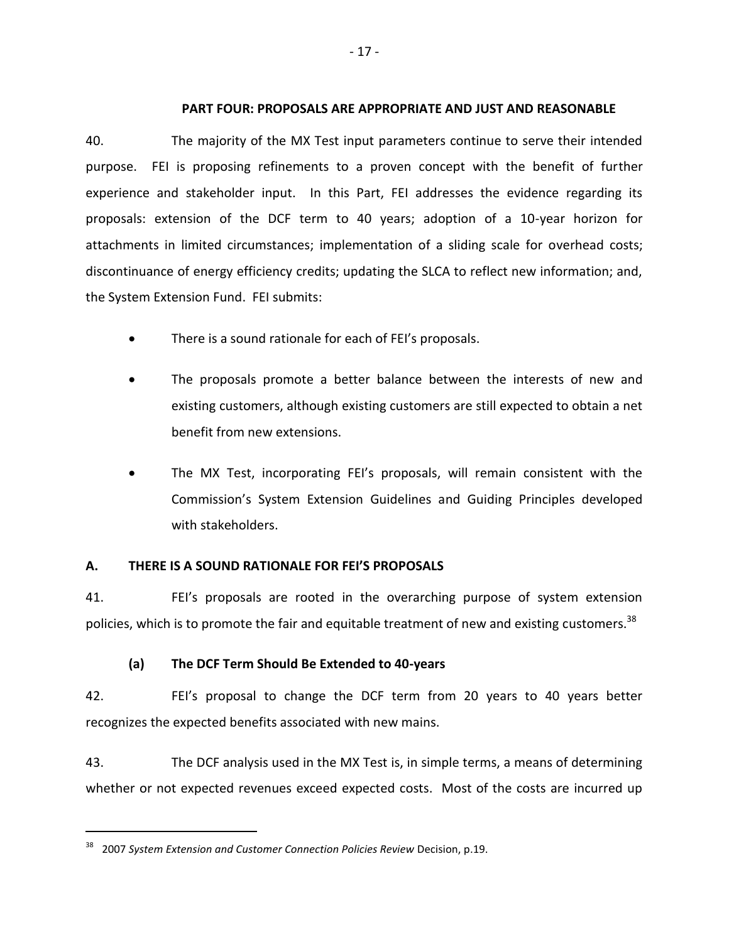### <span id="page-20-0"></span>**PART FOUR: PROPOSALS ARE APPROPRIATE AND JUST AND REASONABLE**

40. The majority of the MX Test input parameters continue to serve their intended purpose. FEI is proposing refinements to a proven concept with the benefit of further experience and stakeholder input. In this Part, FEI addresses the evidence regarding its proposals: extension of the DCF term to 40 years; adoption of a 10-year horizon for attachments in limited circumstances; implementation of a sliding scale for overhead costs; discontinuance of energy efficiency credits; updating the SLCA to reflect new information; and, the System Extension Fund. FEI submits:

- There is a sound rationale for each of FEI's proposals.
- The proposals promote a better balance between the interests of new and existing customers, although existing customers are still expected to obtain a net benefit from new extensions.
- The MX Test, incorporating FEI's proposals, will remain consistent with the Commission's System Extension Guidelines and Guiding Principles developed with stakeholders.

## <span id="page-20-1"></span>**A. THERE IS A SOUND RATIONALE FOR FEI'S PROPOSALS**

41. FEI's proposals are rooted in the overarching purpose of system extension policies, which is to promote the fair and equitable treatment of new and existing customers.<sup>38</sup>

# **(a) The DCF Term Should Be Extended to 40-years**

<span id="page-20-2"></span>42. FEI's proposal to change the DCF term from 20 years to 40 years better recognizes the expected benefits associated with new mains.

43. The DCF analysis used in the MX Test is, in simple terms, a means of determining whether or not expected revenues exceed expected costs. Most of the costs are incurred up

<sup>38</sup> 2007 *System Extension and Customer Connection Policies Review* Decision, p.19.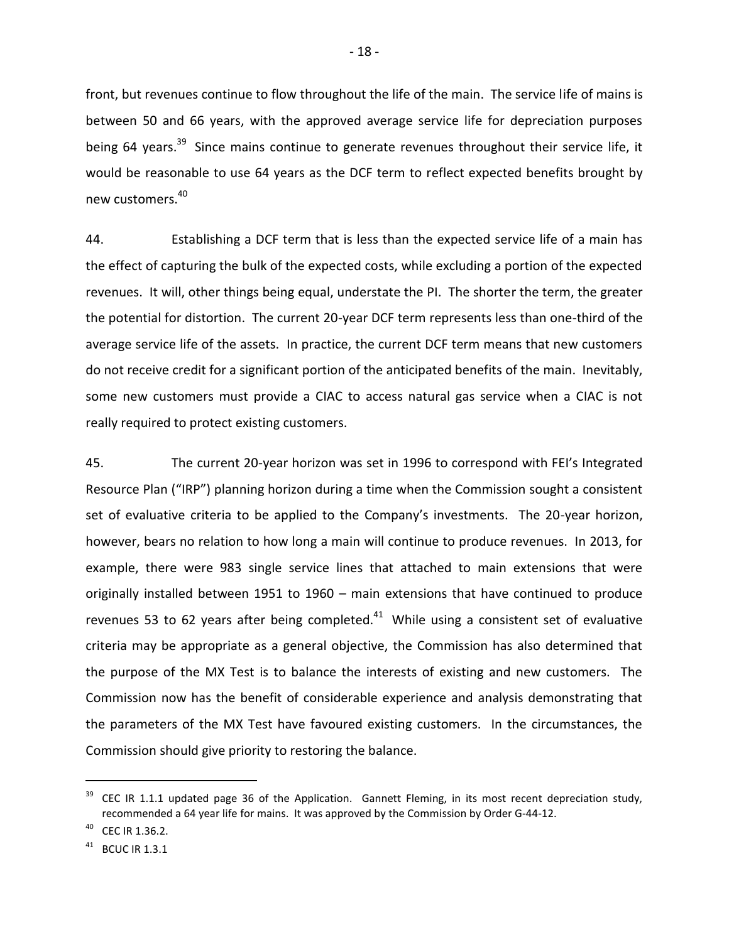front, but revenues continue to flow throughout the life of the main. The service life of mains is between 50 and 66 years, with the approved average service life for depreciation purposes being 64 years.<sup>39</sup> Since mains continue to generate revenues throughout their service life, it would be reasonable to use 64 years as the DCF term to reflect expected benefits brought by new customers.<sup>40</sup>

44. Establishing a DCF term that is less than the expected service life of a main has the effect of capturing the bulk of the expected costs, while excluding a portion of the expected revenues. It will, other things being equal, understate the PI. The shorter the term, the greater the potential for distortion. The current 20-year DCF term represents less than one-third of the average service life of the assets. In practice, the current DCF term means that new customers do not receive credit for a significant portion of the anticipated benefits of the main. Inevitably, some new customers must provide a CIAC to access natural gas service when a CIAC is not really required to protect existing customers.

45. The current 20-year horizon was set in 1996 to correspond with FEI's Integrated Resource Plan ("IRP") planning horizon during a time when the Commission sought a consistent set of evaluative criteria to be applied to the Company's investments. The 20-year horizon, however, bears no relation to how long a main will continue to produce revenues. In 2013, for example, there were 983 single service lines that attached to main extensions that were originally installed between 1951 to 1960 – main extensions that have continued to produce revenues 53 to 62 years after being completed. $41$  While using a consistent set of evaluative criteria may be appropriate as a general objective, the Commission has also determined that the purpose of the MX Test is to balance the interests of existing and new customers. The Commission now has the benefit of considerable experience and analysis demonstrating that the parameters of the MX Test have favoured existing customers. In the circumstances, the Commission should give priority to restoring the balance.

CEC IR 1.36.2.

<sup>&</sup>lt;sup>39</sup> CEC IR 1.1.1 updated page 36 of the Application. Gannett Fleming, in its most recent depreciation study, recommended a 64 year life for mains. It was approved by the Commission by Order G-44-12.

 $41$  BCUC IR 1.3.1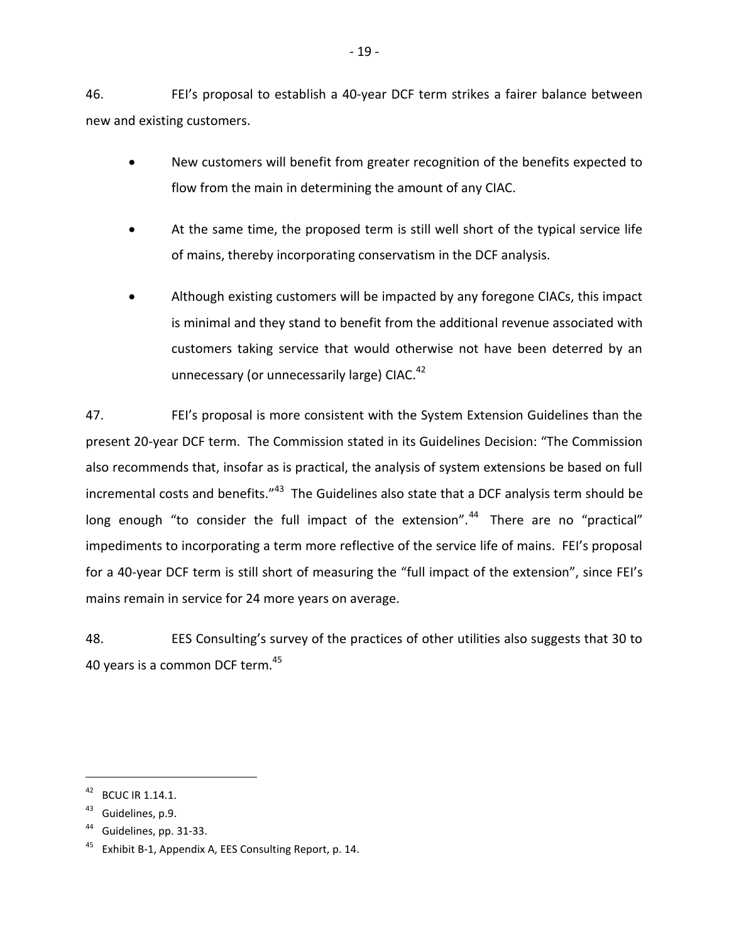46. FEI's proposal to establish a 40-year DCF term strikes a fairer balance between new and existing customers.

- New customers will benefit from greater recognition of the benefits expected to flow from the main in determining the amount of any CIAC.
- At the same time, the proposed term is still well short of the typical service life of mains, thereby incorporating conservatism in the DCF analysis.
- Although existing customers will be impacted by any foregone CIACs, this impact is minimal and they stand to benefit from the additional revenue associated with customers taking service that would otherwise not have been deterred by an unnecessary (or unnecessarily large) CIAC. $42$

47. FEI's proposal is more consistent with the System Extension Guidelines than the present 20-year DCF term. The Commission stated in its Guidelines Decision: "The Commission also recommends that, insofar as is practical, the analysis of system extensions be based on full incremental costs and benefits."<sup>43</sup> The Guidelines also state that a DCF analysis term should be long enough "to consider the full impact of the extension".<sup>44</sup> There are no "practical" impediments to incorporating a term more reflective of the service life of mains. FEI's proposal for a 40-year DCF term is still short of measuring the "full impact of the extension", since FEI's mains remain in service for 24 more years on average.

48. EES Consulting's survey of the practices of other utilities also suggests that 30 to 40 years is a common DCF term.<sup>45</sup>

<sup>42</sup> BCUC IR 1.14.1.

Guidelines, p.9.

 $44$  Guidelines, pp. 31-33.

 $45$  Exhibit B-1, Appendix A, EES Consulting Report, p. 14.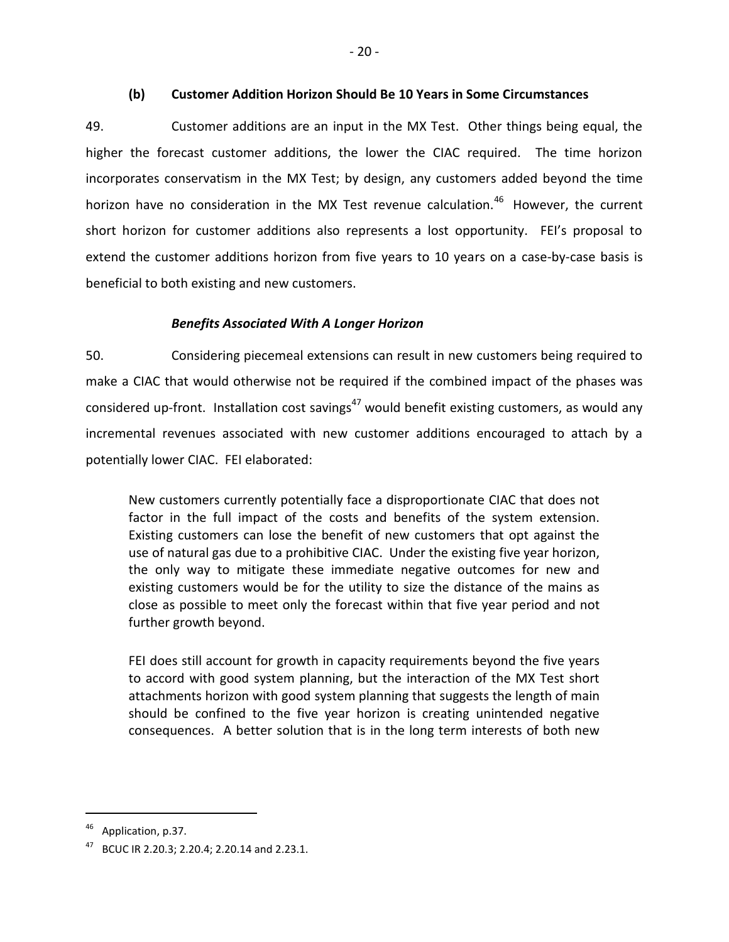### **(b) Customer Addition Horizon Should Be 10 Years in Some Circumstances**

<span id="page-23-0"></span>49. Customer additions are an input in the MX Test. Other things being equal, the higher the forecast customer additions, the lower the CIAC required. The time horizon incorporates conservatism in the MX Test; by design, any customers added beyond the time horizon have no consideration in the MX Test revenue calculation.<sup>46</sup> However, the current short horizon for customer additions also represents a lost opportunity. FEI's proposal to extend the customer additions horizon from five years to 10 years on a case-by-case basis is beneficial to both existing and new customers.

# *Benefits Associated With A Longer Horizon*

50. Considering piecemeal extensions can result in new customers being required to make a CIAC that would otherwise not be required if the combined impact of the phases was considered up-front. Installation cost savings<sup>47</sup> would benefit existing customers, as would any incremental revenues associated with new customer additions encouraged to attach by a potentially lower CIAC. FEI elaborated:

New customers currently potentially face a disproportionate CIAC that does not factor in the full impact of the costs and benefits of the system extension. Existing customers can lose the benefit of new customers that opt against the use of natural gas due to a prohibitive CIAC. Under the existing five year horizon, the only way to mitigate these immediate negative outcomes for new and existing customers would be for the utility to size the distance of the mains as close as possible to meet only the forecast within that five year period and not further growth beyond.

FEI does still account for growth in capacity requirements beyond the five years to accord with good system planning, but the interaction of the MX Test short attachments horizon with good system planning that suggests the length of main should be confined to the five year horizon is creating unintended negative consequences. A better solution that is in the long term interests of both new

<sup>&</sup>lt;sup>46</sup> Application, p.37.

<sup>47</sup> BCUC IR 2.20.3; 2.20.4; 2.20.14 and 2.23.1.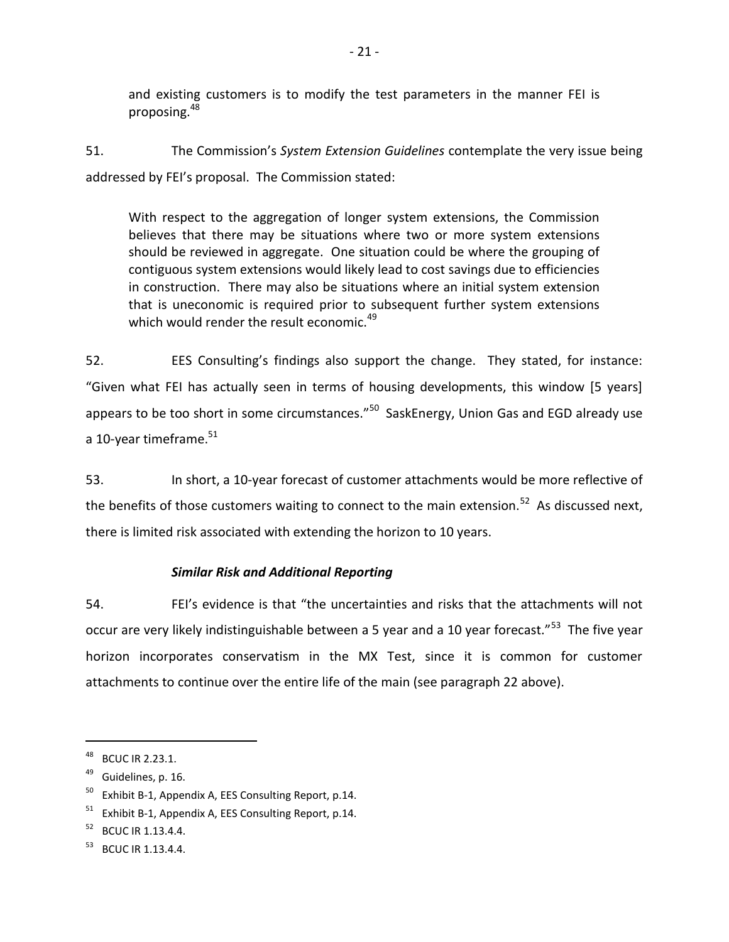and existing customers is to modify the test parameters in the manner FEI is proposing.<sup>48</sup>

51. The Commission's *System Extension Guidelines* contemplate the very issue being addressed by FEI's proposal. The Commission stated:

With respect to the aggregation of longer system extensions, the Commission believes that there may be situations where two or more system extensions should be reviewed in aggregate. One situation could be where the grouping of contiguous system extensions would likely lead to cost savings due to efficiencies in construction. There may also be situations where an initial system extension that is uneconomic is required prior to subsequent further system extensions which would render the result economic. $^{49}$ 

52. EES Consulting's findings also support the change. They stated, for instance: "Given what FEI has actually seen in terms of housing developments, this window [5 years] appears to be too short in some circumstances."<sup>50</sup> SaskEnergy, Union Gas and EGD already use a 10-year timeframe. $51$ 

53. In short, a 10-year forecast of customer attachments would be more reflective of the benefits of those customers waiting to connect to the main extension.<sup>52</sup> As discussed next, there is limited risk associated with extending the horizon to 10 years.

# *Similar Risk and Additional Reporting*

54. FEI's evidence is that "the uncertainties and risks that the attachments will not occur are very likely indistinguishable between a 5 year and a 10 year forecast."<sup>53</sup> The five year horizon incorporates conservatism in the MX Test, since it is common for customer attachments to continue over the entire life of the main (see paragraph 22 above).

<sup>48</sup> BCUC IR 2.23.1.

 $49$  Guidelines, p. 16.

 $50$  Exhibit B-1, Appendix A, EES Consulting Report, p.14.

 $51$  Exhibit B-1, Appendix A, EES Consulting Report, p.14.

<sup>&</sup>lt;sup>52</sup> BCUC IR 1.13.4.4.

 $53$  BCUC IR 1.13.4.4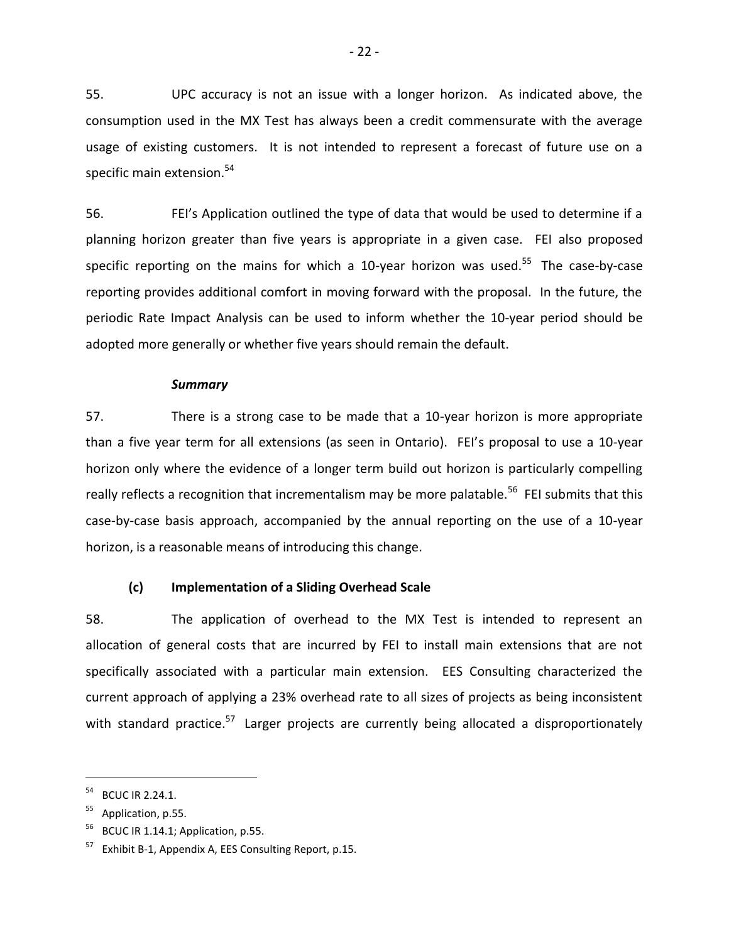55. UPC accuracy is not an issue with a longer horizon. As indicated above, the consumption used in the MX Test has always been a credit commensurate with the average usage of existing customers. It is not intended to represent a forecast of future use on a specific main extension.<sup>54</sup>

56. FEI's Application outlined the type of data that would be used to determine if a planning horizon greater than five years is appropriate in a given case. FEI also proposed specific reporting on the mains for which a 10-year horizon was used.<sup>55</sup> The case-by-case reporting provides additional comfort in moving forward with the proposal. In the future, the periodic Rate Impact Analysis can be used to inform whether the 10-year period should be adopted more generally or whether five years should remain the default.

#### *Summary*

57. There is a strong case to be made that a 10-year horizon is more appropriate than a five year term for all extensions (as seen in Ontario). FEI's proposal to use a 10-year horizon only where the evidence of a longer term build out horizon is particularly compelling really reflects a recognition that incrementalism may be more palatable.<sup>56</sup> FEI submits that this case-by-case basis approach, accompanied by the annual reporting on the use of a 10-year horizon, is a reasonable means of introducing this change.

### <span id="page-25-0"></span>**(c) Implementation of a Sliding Overhead Scale**

58. The application of overhead to the MX Test is intended to represent an allocation of general costs that are incurred by FEI to install main extensions that are not specifically associated with a particular main extension. EES Consulting characterized the current approach of applying a 23% overhead rate to all sizes of projects as being inconsistent with standard practice.<sup>57</sup> Larger projects are currently being allocated a disproportionately

<sup>54</sup> BCUC IR 2.24.1.

Application, p.55.

 $56$  BCUC IR 1.14.1; Application, p.55.

 $57$  Exhibit B-1, Appendix A, EES Consulting Report, p.15.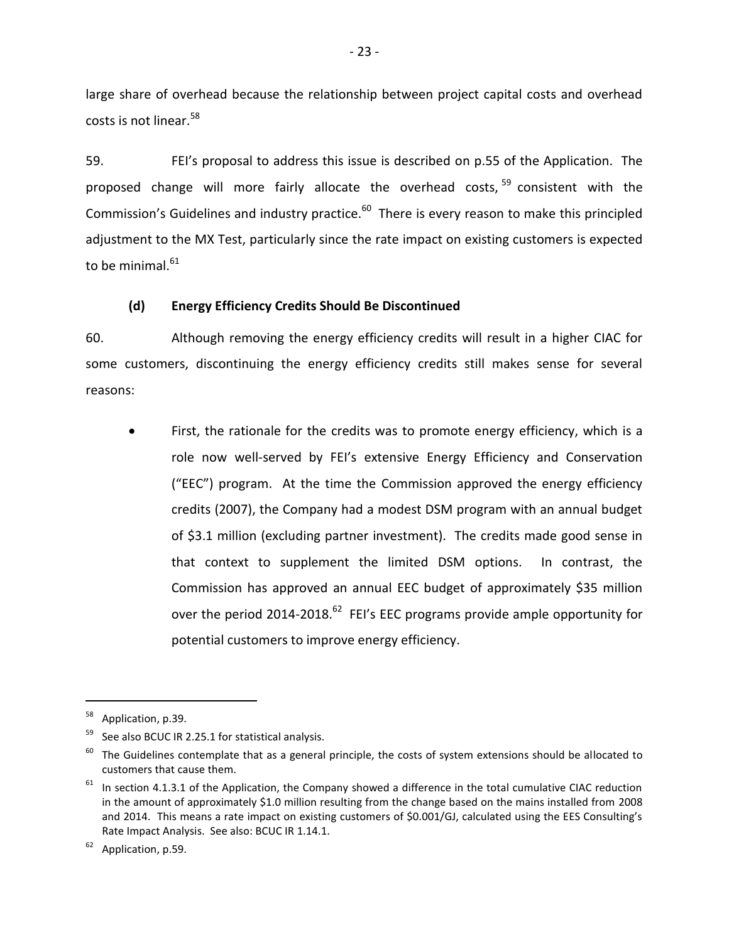large share of overhead because the relationship between project capital costs and overhead costs is not linear.<sup>58</sup>

59. FEI's proposal to address this issue is described on p.55 of the Application. The proposed change will more fairly allocate the overhead costs,  $59$  consistent with the Commission's Guidelines and industry practice.<sup>60</sup> There is every reason to make this principled adjustment to the MX Test, particularly since the rate impact on existing customers is expected to be minimal. $^{61}$ 

## **(d) Energy Efficiency Credits Should Be Discontinued**

<span id="page-26-0"></span>60. Although removing the energy efficiency credits will result in a higher CIAC for some customers, discontinuing the energy efficiency credits still makes sense for several reasons:

 First, the rationale for the credits was to promote energy efficiency, which is a role now well-served by FEI's extensive Energy Efficiency and Conservation ("EEC") program. At the time the Commission approved the energy efficiency credits (2007), the Company had a modest DSM program with an annual budget of \$3.1 million (excluding partner investment). The credits made good sense in that context to supplement the limited DSM options. In contrast, the Commission has approved an annual EEC budget of approximately \$35 million over the period 2014-2018. $^{62}$  FEI's EEC programs provide ample opportunity for potential customers to improve energy efficiency.

<sup>&</sup>lt;sup>58</sup> Application, p.39.

See also BCUC IR 2.25.1 for statistical analysis.

 $60$  The Guidelines contemplate that as a general principle, the costs of system extensions should be allocated to customers that cause them.

 $61$  In section 4.1.3.1 of the Application, the Company showed a difference in the total cumulative CIAC reduction in the amount of approximately \$1.0 million resulting from the change based on the mains installed from 2008 and 2014. This means a rate impact on existing customers of \$0.001/GJ, calculated using the EES Consulting's Rate Impact Analysis. See also: BCUC IR 1.14.1.

 $62$  Application, p.59.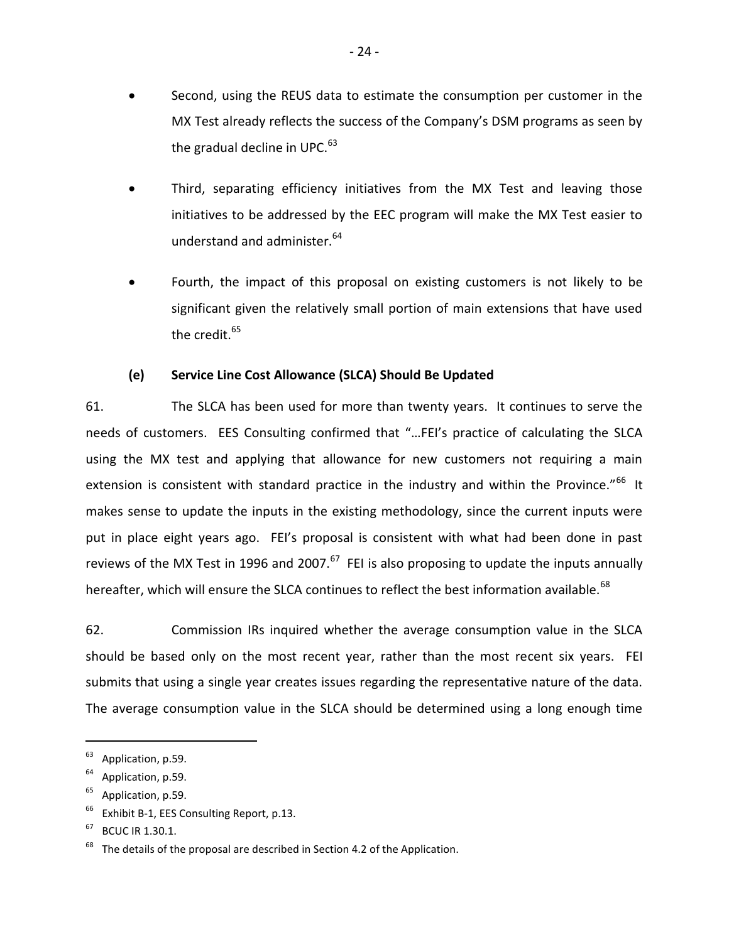- Second, using the REUS data to estimate the consumption per customer in the MX Test already reflects the success of the Company's DSM programs as seen by the gradual decline in UPC.<sup>63</sup>
- Third, separating efficiency initiatives from the MX Test and leaving those initiatives to be addressed by the EEC program will make the MX Test easier to understand and administer.<sup>64</sup>
- Fourth, the impact of this proposal on existing customers is not likely to be significant given the relatively small portion of main extensions that have used the credit. $^{65}$

# **(e) Service Line Cost Allowance (SLCA) Should Be Updated**

<span id="page-27-0"></span>61. The SLCA has been used for more than twenty years. It continues to serve the needs of customers. EES Consulting confirmed that "…FEI's practice of calculating the SLCA using the MX test and applying that allowance for new customers not requiring a main extension is consistent with standard practice in the industry and within the Province."<sup>66</sup> It makes sense to update the inputs in the existing methodology, since the current inputs were put in place eight years ago. FEI's proposal is consistent with what had been done in past reviews of the MX Test in 1996 and 2007.<sup>67</sup> FEI is also proposing to update the inputs annually hereafter, which will ensure the SLCA continues to reflect the best information available.<sup>68</sup>

62. Commission IRs inquired whether the average consumption value in the SLCA should be based only on the most recent year, rather than the most recent six years. FEI submits that using a single year creates issues regarding the representative nature of the data. The average consumption value in the SLCA should be determined using a long enough time

 $63$  Application, p.59.

 $64$  Application, p.59.

<sup>&</sup>lt;sup>65</sup> Application, p.59.

Exhibit B-1, EES Consulting Report, p.13.

 $67$  BCUC IR 1.30.1.

 $68$  The details of the proposal are described in Section 4.2 of the Application.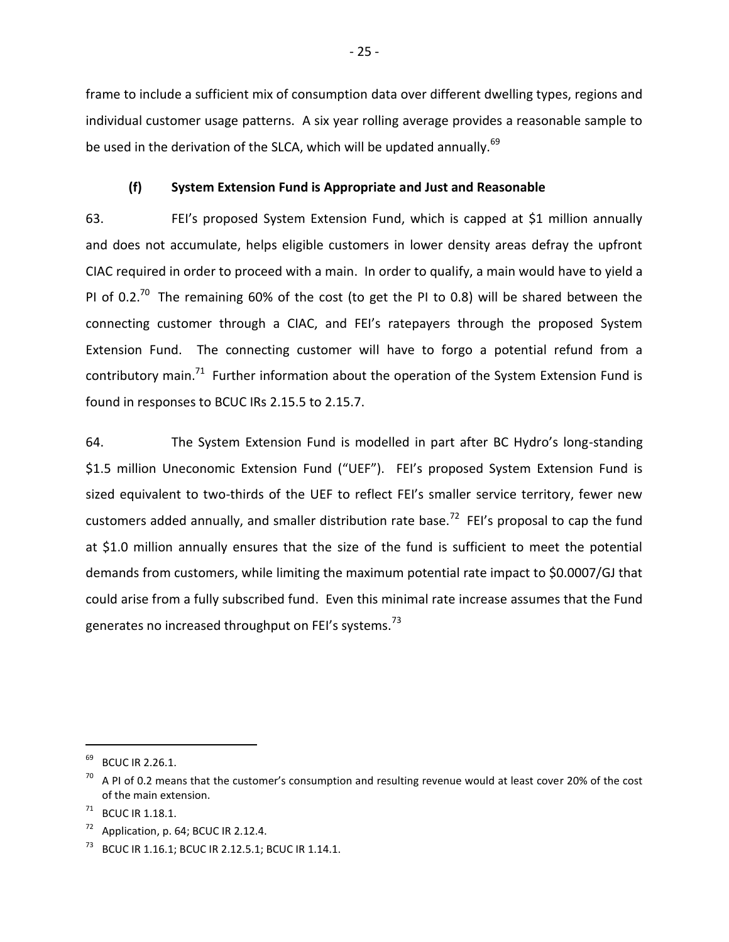frame to include a sufficient mix of consumption data over different dwelling types, regions and individual customer usage patterns. A six year rolling average provides a reasonable sample to be used in the derivation of the SLCA, which will be updated annually.<sup>69</sup>

### **(f) System Extension Fund is Appropriate and Just and Reasonable**

<span id="page-28-0"></span>63. FEI's proposed System Extension Fund, which is capped at \$1 million annually and does not accumulate, helps eligible customers in lower density areas defray the upfront CIAC required in order to proceed with a main. In order to qualify, a main would have to yield a PI of 0.2.<sup>70</sup> The remaining 60% of the cost (to get the PI to 0.8) will be shared between the connecting customer through a CIAC, and FEI's ratepayers through the proposed System Extension Fund. The connecting customer will have to forgo a potential refund from a contributory main.<sup>71</sup> Further information about the operation of the System Extension Fund is found in responses to BCUC IRs 2.15.5 to 2.15.7.

64. The System Extension Fund is modelled in part after BC Hydro's long-standing \$1.5 million Uneconomic Extension Fund ("UEF"). FEI's proposed System Extension Fund is sized equivalent to two-thirds of the UEF to reflect FEI's smaller service territory, fewer new customers added annually, and smaller distribution rate base.<sup>72</sup> FEI's proposal to cap the fund at \$1.0 million annually ensures that the size of the fund is sufficient to meet the potential demands from customers, while limiting the maximum potential rate impact to \$0.0007/GJ that could arise from a fully subscribed fund. Even this minimal rate increase assumes that the Fund generates no increased throughput on FEI's systems.<sup>73</sup>

<sup>&</sup>lt;sup>69</sup> BCUC IR 2.26.1.

 $^{70}$  A PI of 0.2 means that the customer's consumption and resulting revenue would at least cover 20% of the cost of the main extension.

<sup>71</sup> BCUC IR 1.18.1.

 $72$  Application, p. 64; BCUC IR 2.12.4.

<sup>&</sup>lt;sup>73</sup> BCUC IR 1.16.1; BCUC IR 2.12.5.1; BCUC IR 1.14.1.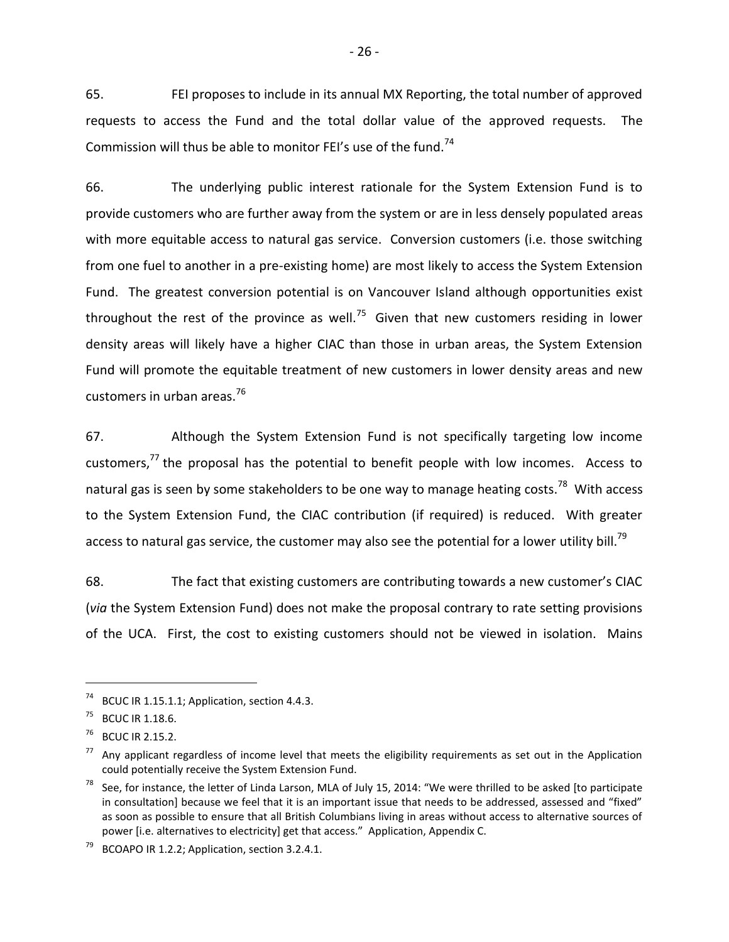65. FEI proposes to include in its annual MX Reporting, the total number of approved requests to access the Fund and the total dollar value of the approved requests. The Commission will thus be able to monitor FEI's use of the fund.<sup>74</sup>

66. The underlying public interest rationale for the System Extension Fund is to provide customers who are further away from the system or are in less densely populated areas with more equitable access to natural gas service. Conversion customers (i.e. those switching from one fuel to another in a pre-existing home) are most likely to access the System Extension Fund. The greatest conversion potential is on Vancouver Island although opportunities exist throughout the rest of the province as well.<sup>75</sup> Given that new customers residing in lower density areas will likely have a higher CIAC than those in urban areas, the System Extension Fund will promote the equitable treatment of new customers in lower density areas and new customers in urban areas.<sup>76</sup>

67. Although the System Extension Fund is not specifically targeting low income customers, $77$  the proposal has the potential to benefit people with low incomes. Access to natural gas is seen by some stakeholders to be one way to manage heating costs.<sup>78</sup> With access to the System Extension Fund, the CIAC contribution (if required) is reduced. With greater access to natural gas service, the customer may also see the potential for a lower utility bill.<sup>79</sup>

68. The fact that existing customers are contributing towards a new customer's CIAC (*via* the System Extension Fund) does not make the proposal contrary to rate setting provisions of the UCA. First, the cost to existing customers should not be viewed in isolation. Mains

BCUC IR 1.15.1.1; Application, section 4.4.3.

<sup>75</sup> BCUC IR 1.18.6.

<sup>76</sup> BCUC IR 2.15.2.

 $77$  Any applicant regardless of income level that meets the eligibility requirements as set out in the Application could potentially receive the System Extension Fund.

 $78$  See, for instance, the letter of Linda Larson, MLA of July 15, 2014: "We were thrilled to be asked [to participate in consultation] because we feel that it is an important issue that needs to be addressed, assessed and "fixed" as soon as possible to ensure that all British Columbians living in areas without access to alternative sources of power [i.e. alternatives to electricity] get that access." Application, Appendix C.

 $79$  BCOAPO IR 1.2.2; Application, section 3.2.4.1.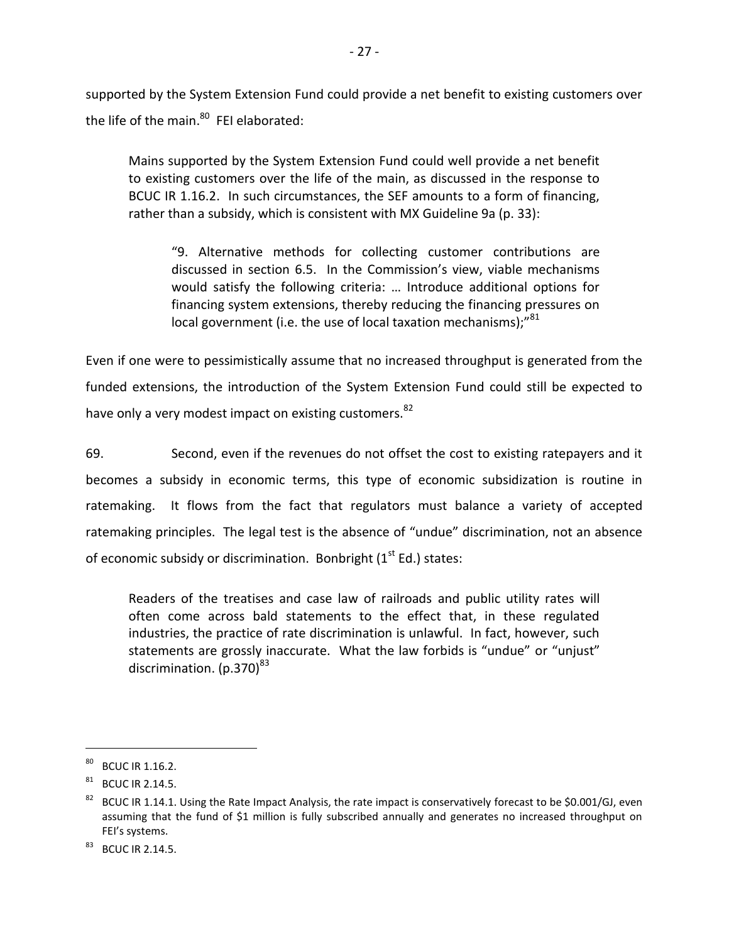supported by the System Extension Fund could provide a net benefit to existing customers over the life of the main.<sup>80</sup> FEI elaborated:

Mains supported by the System Extension Fund could well provide a net benefit to existing customers over the life of the main, as discussed in the response to BCUC IR 1.16.2. In such circumstances, the SEF amounts to a form of financing, rather than a subsidy, which is consistent with MX Guideline 9a (p. 33):

"9. Alternative methods for collecting customer contributions are discussed in section 6.5. In the Commission's view, viable mechanisms would satisfy the following criteria: … Introduce additional options for financing system extensions, thereby reducing the financing pressures on local government (i.e. the use of local taxation mechanisms);"81

Even if one were to pessimistically assume that no increased throughput is generated from the funded extensions, the introduction of the System Extension Fund could still be expected to have only a very modest impact on existing customers.<sup>82</sup>

69. Second, even if the revenues do not offset the cost to existing ratepayers and it becomes a subsidy in economic terms, this type of economic subsidization is routine in ratemaking. It flows from the fact that regulators must balance a variety of accepted ratemaking principles. The legal test is the absence of "undue" discrimination, not an absence of economic subsidy or discrimination. Bonbright  $(1<sup>st</sup> Ed.)$  states:

Readers of the treatises and case law of railroads and public utility rates will often come across bald statements to the effect that, in these regulated industries, the practice of rate discrimination is unlawful. In fact, however, such statements are grossly inaccurate. What the law forbids is "undue" or "unjust" discrimination.  $(p.370)^{83}$ 

<sup>80</sup> BCUC IR 1.16.2.

 $81$  BCUC IR 2.14.5.

<sup>&</sup>lt;sup>82</sup> BCUC IR 1.14.1. Using the Rate Impact Analysis, the rate impact is conservatively forecast to be \$0.001/GJ, even assuming that the fund of \$1 million is fully subscribed annually and generates no increased throughput on FEI's systems.

<sup>&</sup>lt;sup>83</sup> BCUC IR 2.14.5.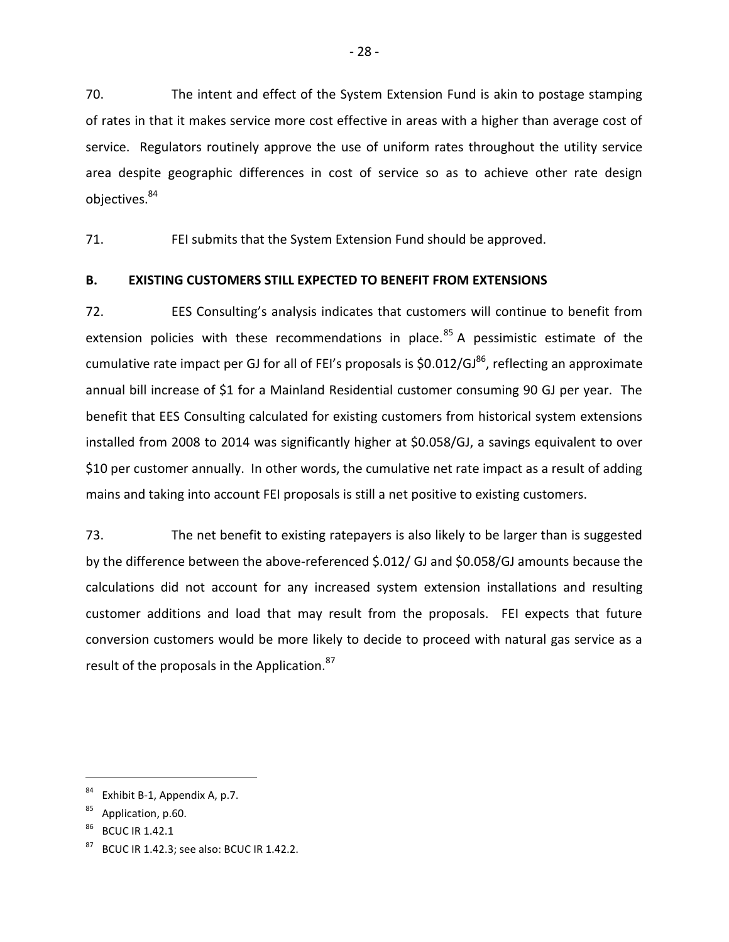70. The intent and effect of the System Extension Fund is akin to postage stamping of rates in that it makes service more cost effective in areas with a higher than average cost of service. Regulators routinely approve the use of uniform rates throughout the utility service area despite geographic differences in cost of service so as to achieve other rate design objectives.<sup>84</sup>

71. FEI submits that the System Extension Fund should be approved.

# <span id="page-31-0"></span>**B. EXISTING CUSTOMERS STILL EXPECTED TO BENEFIT FROM EXTENSIONS**

72. EES Consulting's analysis indicates that customers will continue to benefit from extension policies with these recommendations in place.<sup>85</sup> A pessimistic estimate of the cumulative rate impact per GJ for all of FEI's proposals is  $$0.012/GJ^{86}$ , reflecting an approximate annual bill increase of \$1 for a Mainland Residential customer consuming 90 GJ per year. The benefit that EES Consulting calculated for existing customers from historical system extensions installed from 2008 to 2014 was significantly higher at \$0.058/GJ, a savings equivalent to over \$10 per customer annually. In other words, the cumulative net rate impact as a result of adding mains and taking into account FEI proposals is still a net positive to existing customers.

73. The net benefit to existing ratepayers is also likely to be larger than is suggested by the difference between the above-referenced \$.012/ GJ and \$0.058/GJ amounts because the calculations did not account for any increased system extension installations and resulting customer additions and load that may result from the proposals. FEI expects that future conversion customers would be more likely to decide to proceed with natural gas service as a result of the proposals in the Application.<sup>87</sup>

Exhibit B-1, Appendix A, p.7.

Application, p.60.

**BCUC IR 1.42.1** 

<sup>87</sup> BCUC IR 1.42.3; see also: BCUC IR 1.42.2.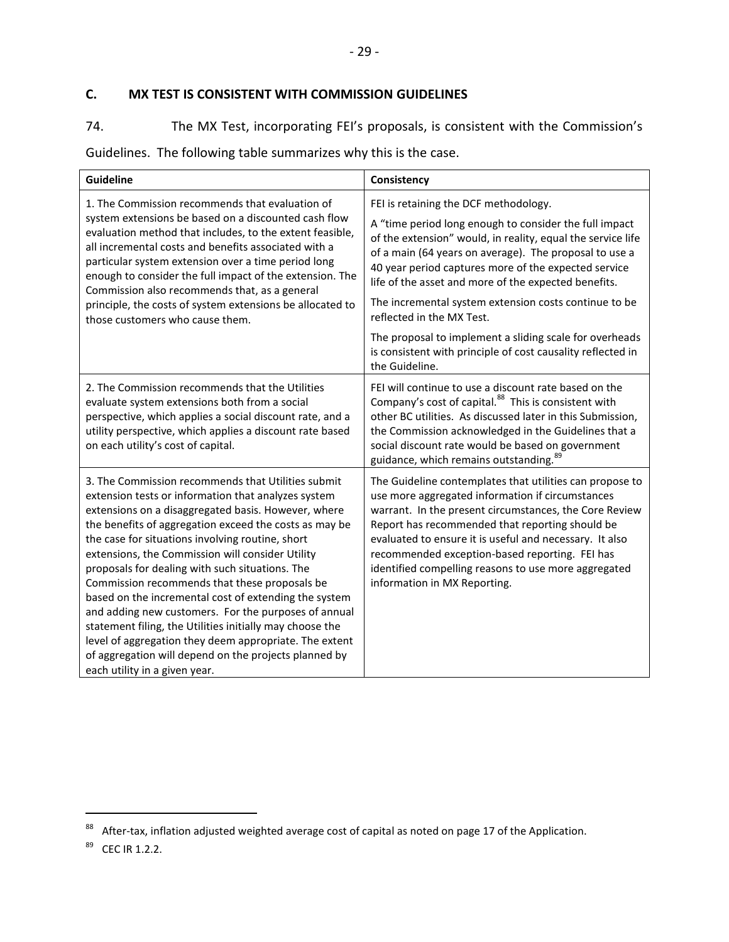# <span id="page-32-0"></span>**C. MX TEST IS CONSISTENT WITH COMMISSION GUIDELINES**

74. The MX Test, incorporating FEI's proposals, is consistent with the Commission's

Guidelines. The following table summarizes why this is the case.

| <b>Guideline</b>                                                                                                                                                                                                                                                                                                                                                                                                                                                                                                                                                                                                                                                                                                                                                        | Consistency                                                                                                                                                                                                                                                                                                                                                                                                                    |
|-------------------------------------------------------------------------------------------------------------------------------------------------------------------------------------------------------------------------------------------------------------------------------------------------------------------------------------------------------------------------------------------------------------------------------------------------------------------------------------------------------------------------------------------------------------------------------------------------------------------------------------------------------------------------------------------------------------------------------------------------------------------------|--------------------------------------------------------------------------------------------------------------------------------------------------------------------------------------------------------------------------------------------------------------------------------------------------------------------------------------------------------------------------------------------------------------------------------|
| 1. The Commission recommends that evaluation of                                                                                                                                                                                                                                                                                                                                                                                                                                                                                                                                                                                                                                                                                                                         | FEI is retaining the DCF methodology.                                                                                                                                                                                                                                                                                                                                                                                          |
| system extensions be based on a discounted cash flow<br>evaluation method that includes, to the extent feasible,<br>all incremental costs and benefits associated with a<br>particular system extension over a time period long<br>enough to consider the full impact of the extension. The<br>Commission also recommends that, as a general                                                                                                                                                                                                                                                                                                                                                                                                                            | A "time period long enough to consider the full impact<br>of the extension" would, in reality, equal the service life<br>of a main (64 years on average). The proposal to use a<br>40 year period captures more of the expected service<br>life of the asset and more of the expected benefits.                                                                                                                                |
| principle, the costs of system extensions be allocated to<br>those customers who cause them.                                                                                                                                                                                                                                                                                                                                                                                                                                                                                                                                                                                                                                                                            | The incremental system extension costs continue to be<br>reflected in the MX Test.                                                                                                                                                                                                                                                                                                                                             |
|                                                                                                                                                                                                                                                                                                                                                                                                                                                                                                                                                                                                                                                                                                                                                                         | The proposal to implement a sliding scale for overheads<br>is consistent with principle of cost causality reflected in<br>the Guideline.                                                                                                                                                                                                                                                                                       |
| 2. The Commission recommends that the Utilities<br>evaluate system extensions both from a social<br>perspective, which applies a social discount rate, and a<br>utility perspective, which applies a discount rate based<br>on each utility's cost of capital.                                                                                                                                                                                                                                                                                                                                                                                                                                                                                                          | FEI will continue to use a discount rate based on the<br>Company's cost of capital. <sup>88</sup> This is consistent with<br>other BC utilities. As discussed later in this Submission,<br>the Commission acknowledged in the Guidelines that a<br>social discount rate would be based on government<br>guidance, which remains outstanding. <sup>89</sup>                                                                     |
| 3. The Commission recommends that Utilities submit<br>extension tests or information that analyzes system<br>extensions on a disaggregated basis. However, where<br>the benefits of aggregation exceed the costs as may be<br>the case for situations involving routine, short<br>extensions, the Commission will consider Utility<br>proposals for dealing with such situations. The<br>Commission recommends that these proposals be<br>based on the incremental cost of extending the system<br>and adding new customers. For the purposes of annual<br>statement filing, the Utilities initially may choose the<br>level of aggregation they deem appropriate. The extent<br>of aggregation will depend on the projects planned by<br>each utility in a given year. | The Guideline contemplates that utilities can propose to<br>use more aggregated information if circumstances<br>warrant. In the present circumstances, the Core Review<br>Report has recommended that reporting should be<br>evaluated to ensure it is useful and necessary. It also<br>recommended exception-based reporting. FEI has<br>identified compelling reasons to use more aggregated<br>information in MX Reporting. |

<sup>88</sup> After-tax, inflation adjusted weighted average cost of capital as noted on page 17 of the Application.

<sup>&</sup>lt;sup>89</sup> CEC IR 1.2.2.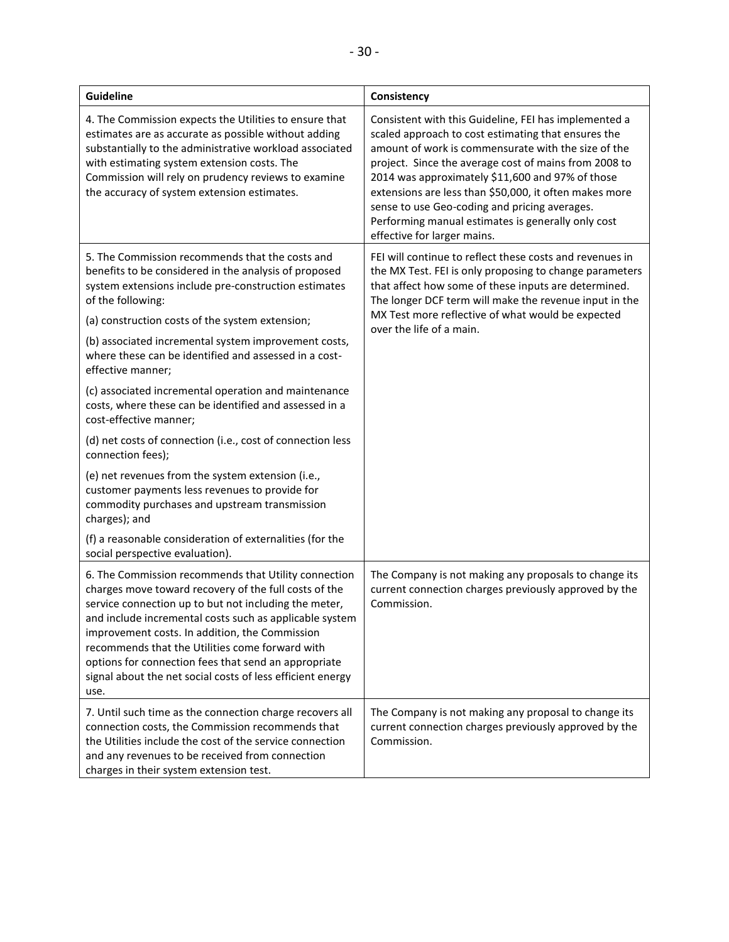| <b>Guideline</b>                                                                                                                                                                                                                                                                                                                                                                                                                                                     | Consistency                                                                                                                                                                                                                                                                                                                                                                                                                                                                      |  |
|----------------------------------------------------------------------------------------------------------------------------------------------------------------------------------------------------------------------------------------------------------------------------------------------------------------------------------------------------------------------------------------------------------------------------------------------------------------------|----------------------------------------------------------------------------------------------------------------------------------------------------------------------------------------------------------------------------------------------------------------------------------------------------------------------------------------------------------------------------------------------------------------------------------------------------------------------------------|--|
| 4. The Commission expects the Utilities to ensure that<br>estimates are as accurate as possible without adding<br>substantially to the administrative workload associated<br>with estimating system extension costs. The<br>Commission will rely on prudency reviews to examine<br>the accuracy of system extension estimates.                                                                                                                                       | Consistent with this Guideline, FEI has implemented a<br>scaled approach to cost estimating that ensures the<br>amount of work is commensurate with the size of the<br>project. Since the average cost of mains from 2008 to<br>2014 was approximately \$11,600 and 97% of those<br>extensions are less than \$50,000, it often makes more<br>sense to use Geo-coding and pricing averages.<br>Performing manual estimates is generally only cost<br>effective for larger mains. |  |
| 5. The Commission recommends that the costs and<br>benefits to be considered in the analysis of proposed<br>system extensions include pre-construction estimates<br>of the following:<br>(a) construction costs of the system extension;                                                                                                                                                                                                                             | FEI will continue to reflect these costs and revenues in<br>the MX Test. FEI is only proposing to change parameters<br>that affect how some of these inputs are determined.<br>The longer DCF term will make the revenue input in the<br>MX Test more reflective of what would be expected                                                                                                                                                                                       |  |
| (b) associated incremental system improvement costs,<br>where these can be identified and assessed in a cost-<br>effective manner;                                                                                                                                                                                                                                                                                                                                   | over the life of a main.                                                                                                                                                                                                                                                                                                                                                                                                                                                         |  |
| (c) associated incremental operation and maintenance<br>costs, where these can be identified and assessed in a<br>cost-effective manner;                                                                                                                                                                                                                                                                                                                             |                                                                                                                                                                                                                                                                                                                                                                                                                                                                                  |  |
| (d) net costs of connection (i.e., cost of connection less<br>connection fees);                                                                                                                                                                                                                                                                                                                                                                                      |                                                                                                                                                                                                                                                                                                                                                                                                                                                                                  |  |
| (e) net revenues from the system extension (i.e.,<br>customer payments less revenues to provide for<br>commodity purchases and upstream transmission<br>charges); and                                                                                                                                                                                                                                                                                                |                                                                                                                                                                                                                                                                                                                                                                                                                                                                                  |  |
| (f) a reasonable consideration of externalities (for the<br>social perspective evaluation).                                                                                                                                                                                                                                                                                                                                                                          |                                                                                                                                                                                                                                                                                                                                                                                                                                                                                  |  |
| 6. The Commission recommends that Utility connection<br>charges move toward recovery of the full costs of the<br>service connection up to but not including the meter,<br>and include incremental costs such as applicable system<br>improvement costs. In addition, the Commission<br>recommends that the Utilities come forward with<br>options for connection fees that send an appropriate<br>signal about the net social costs of less efficient energy<br>use. | The Company is not making any proposals to change its<br>current connection charges previously approved by the<br>Commission.                                                                                                                                                                                                                                                                                                                                                    |  |
| 7. Until such time as the connection charge recovers all<br>connection costs, the Commission recommends that<br>the Utilities include the cost of the service connection<br>and any revenues to be received from connection<br>charges in their system extension test.                                                                                                                                                                                               | The Company is not making any proposal to change its<br>current connection charges previously approved by the<br>Commission.                                                                                                                                                                                                                                                                                                                                                     |  |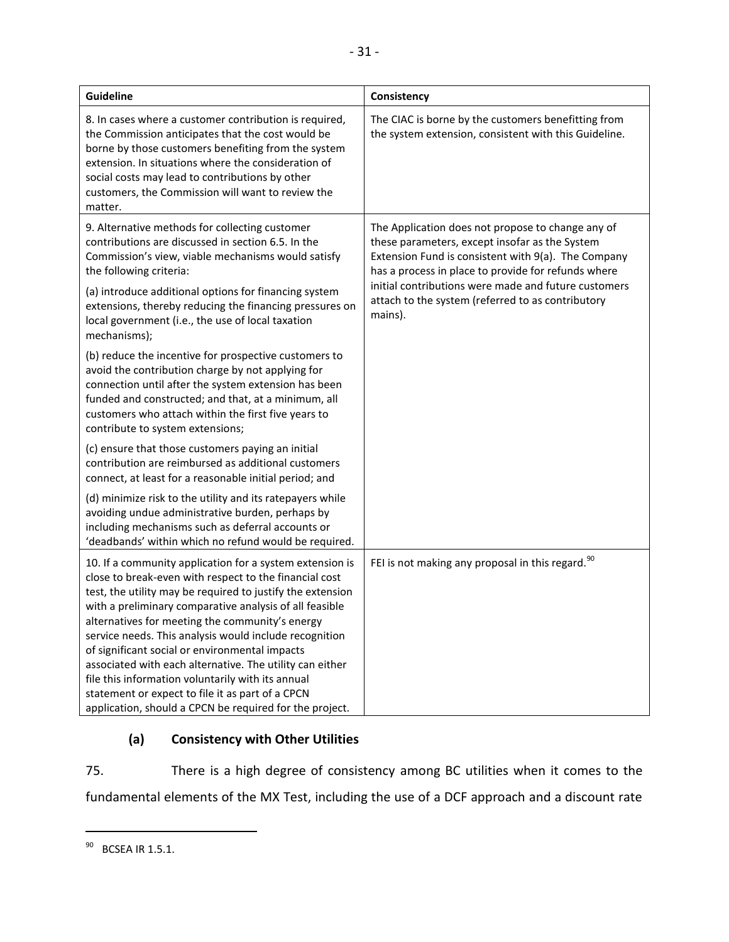| <b>Guideline</b>                                                                                                                                                                                                                                                                                                                                                                                                                                                                                                                                                                                                                           | Consistency                                                                                                                                                                                                       |  |
|--------------------------------------------------------------------------------------------------------------------------------------------------------------------------------------------------------------------------------------------------------------------------------------------------------------------------------------------------------------------------------------------------------------------------------------------------------------------------------------------------------------------------------------------------------------------------------------------------------------------------------------------|-------------------------------------------------------------------------------------------------------------------------------------------------------------------------------------------------------------------|--|
| 8. In cases where a customer contribution is required,<br>the Commission anticipates that the cost would be<br>borne by those customers benefiting from the system<br>extension. In situations where the consideration of<br>social costs may lead to contributions by other<br>customers, the Commission will want to review the<br>matter.                                                                                                                                                                                                                                                                                               | The CIAC is borne by the customers benefitting from<br>the system extension, consistent with this Guideline.                                                                                                      |  |
| 9. Alternative methods for collecting customer<br>contributions are discussed in section 6.5. In the<br>Commission's view, viable mechanisms would satisfy<br>the following criteria:                                                                                                                                                                                                                                                                                                                                                                                                                                                      | The Application does not propose to change any of<br>these parameters, except insofar as the System<br>Extension Fund is consistent with 9(a). The Company<br>has a process in place to provide for refunds where |  |
| (a) introduce additional options for financing system<br>extensions, thereby reducing the financing pressures on<br>local government (i.e., the use of local taxation<br>mechanisms);                                                                                                                                                                                                                                                                                                                                                                                                                                                      | initial contributions were made and future customers<br>attach to the system (referred to as contributory<br>mains).                                                                                              |  |
| (b) reduce the incentive for prospective customers to<br>avoid the contribution charge by not applying for<br>connection until after the system extension has been<br>funded and constructed; and that, at a minimum, all<br>customers who attach within the first five years to<br>contribute to system extensions;                                                                                                                                                                                                                                                                                                                       |                                                                                                                                                                                                                   |  |
| (c) ensure that those customers paying an initial<br>contribution are reimbursed as additional customers<br>connect, at least for a reasonable initial period; and                                                                                                                                                                                                                                                                                                                                                                                                                                                                         |                                                                                                                                                                                                                   |  |
| (d) minimize risk to the utility and its ratepayers while<br>avoiding undue administrative burden, perhaps by<br>including mechanisms such as deferral accounts or<br>'deadbands' within which no refund would be required.                                                                                                                                                                                                                                                                                                                                                                                                                |                                                                                                                                                                                                                   |  |
| 10. If a community application for a system extension is<br>close to break-even with respect to the financial cost<br>test, the utility may be required to justify the extension<br>with a preliminary comparative analysis of all feasible<br>alternatives for meeting the community's energy<br>service needs. This analysis would include recognition<br>of significant social or environmental impacts<br>associated with each alternative. The utility can either<br>file this information voluntarily with its annual<br>statement or expect to file it as part of a CPCN<br>application, should a CPCN be required for the project. | FEI is not making any proposal in this regard. <sup>90</sup>                                                                                                                                                      |  |

# <span id="page-34-0"></span>**(a) Consistency with Other Utilities**

75. There is a high degree of consistency among BC utilities when it comes to the fundamental elements of the MX Test, including the use of a DCF approach and a discount rate

<sup>&</sup>lt;sup>90</sup> BCSEA IR 1.5.1.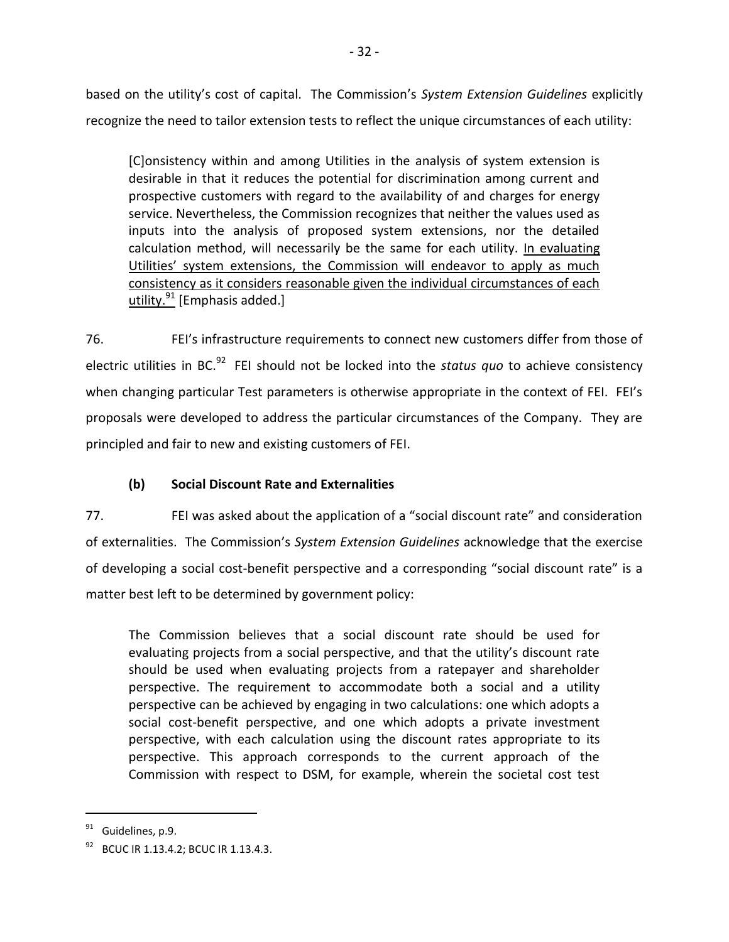based on the utility's cost of capital. The Commission's *System Extension Guidelines* explicitly recognize the need to tailor extension tests to reflect the unique circumstances of each utility:

[C]onsistency within and among Utilities in the analysis of system extension is desirable in that it reduces the potential for discrimination among current and prospective customers with regard to the availability of and charges for energy service. Nevertheless, the Commission recognizes that neither the values used as inputs into the analysis of proposed system extensions, nor the detailed calculation method, will necessarily be the same for each utility. In evaluating Utilities' system extensions, the Commission will endeavor to apply as much consistency as it considers reasonable given the individual circumstances of each utility. $91$  [Emphasis added.]

76. FEI's infrastructure requirements to connect new customers differ from those of electric utilities in BC.<sup>92</sup> FEI should not be locked into the status quo to achieve consistency when changing particular Test parameters is otherwise appropriate in the context of FEI. FEI's proposals were developed to address the particular circumstances of the Company. They are principled and fair to new and existing customers of FEI.

# **(b) Social Discount Rate and Externalities**

<span id="page-35-0"></span>77. FEI was asked about the application of a "social discount rate" and consideration of externalities. The Commission's *System Extension Guidelines* acknowledge that the exercise of developing a social cost-benefit perspective and a corresponding "social discount rate" is a matter best left to be determined by government policy:

The Commission believes that a social discount rate should be used for evaluating projects from a social perspective, and that the utility's discount rate should be used when evaluating projects from a ratepayer and shareholder perspective. The requirement to accommodate both a social and a utility perspective can be achieved by engaging in two calculations: one which adopts a social cost-benefit perspective, and one which adopts a private investment perspective, with each calculation using the discount rates appropriate to its perspective. This approach corresponds to the current approach of the Commission with respect to DSM, for example, wherein the societal cost test

 $91$  Guidelines, p.9.

<sup>92</sup> BCUC IR 1.13.4.2; BCUC IR 1.13.4.3.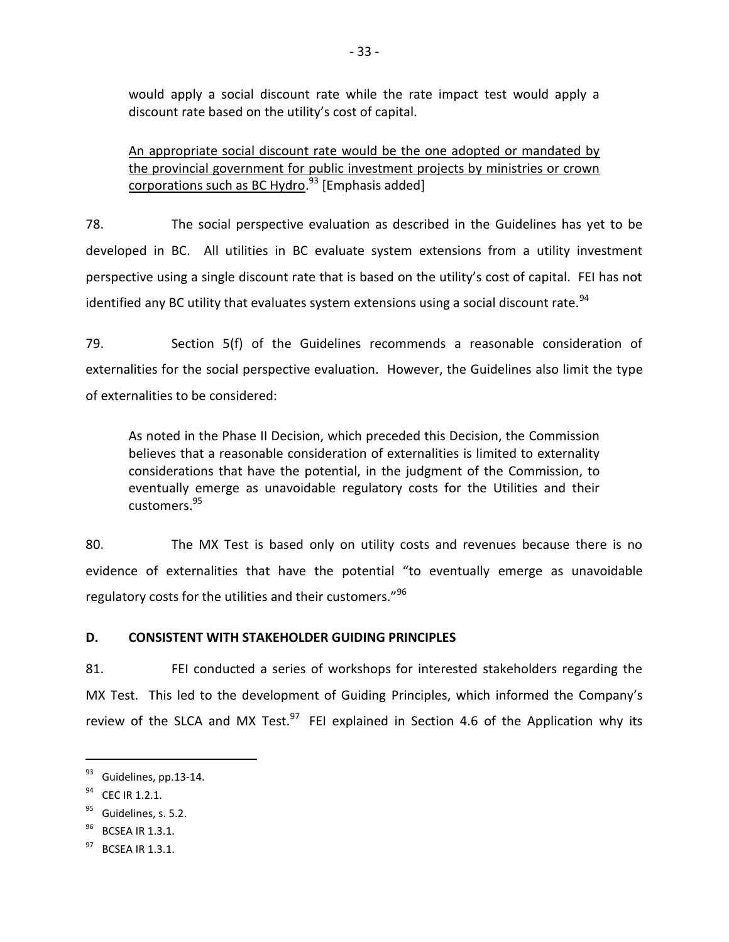would apply a social discount rate while the rate impact test would apply a discount rate based on the utility's cost of capital.

An appropriate social discount rate would be the one adopted or mandated by the provincial government for public investment projects by ministries or crown corporations such as BC Hydro.<sup>93</sup> [Emphasis added]

78. The social perspective evaluation as described in the Guidelines has yet to be developed in BC. All utilities in BC evaluate system extensions from a utility investment perspective using a single discount rate that is based on the utility's cost of capital. FEI has not identified any BC utility that evaluates system extensions using a social discount rate. $^{94}$ 

79. Section 5(f) of the Guidelines recommends a reasonable consideration of externalities for the social perspective evaluation. However, the Guidelines also limit the type of externalities to be considered:

As noted in the Phase II Decision, which preceded this Decision, the Commission believes that a reasonable consideration of externalities is limited to externality considerations that have the potential, in the judgment of the Commission, to eventually emerge as unavoidable regulatory costs for the Utilities and their customers.<sup>95</sup>

80. The MX Test is based only on utility costs and revenues because there is no evidence of externalities that have the potential "to eventually emerge as unavoidable regulatory costs for the utilities and their customers." $96$ 

# <span id="page-36-0"></span>**D. CONSISTENT WITH STAKEHOLDER GUIDING PRINCIPLES**

81. FEI conducted a series of workshops for interested stakeholders regarding the MX Test. This led to the development of Guiding Principles, which informed the Company's review of the SLCA and MX Test. $^{97}$  FEI explained in Section 4.6 of the Application why its

<sup>&</sup>lt;sup>93</sup> Guidelines, pp.13-14.

<sup>&</sup>lt;sup>94</sup> CEC IR 1.2.1.

<sup>&</sup>lt;sup>95</sup> Guidelines, s. 5.2.

<sup>&</sup>lt;sup>96</sup> BCSEA IR 1.3.1.

 $97$  BCSFA IR 1.3.1.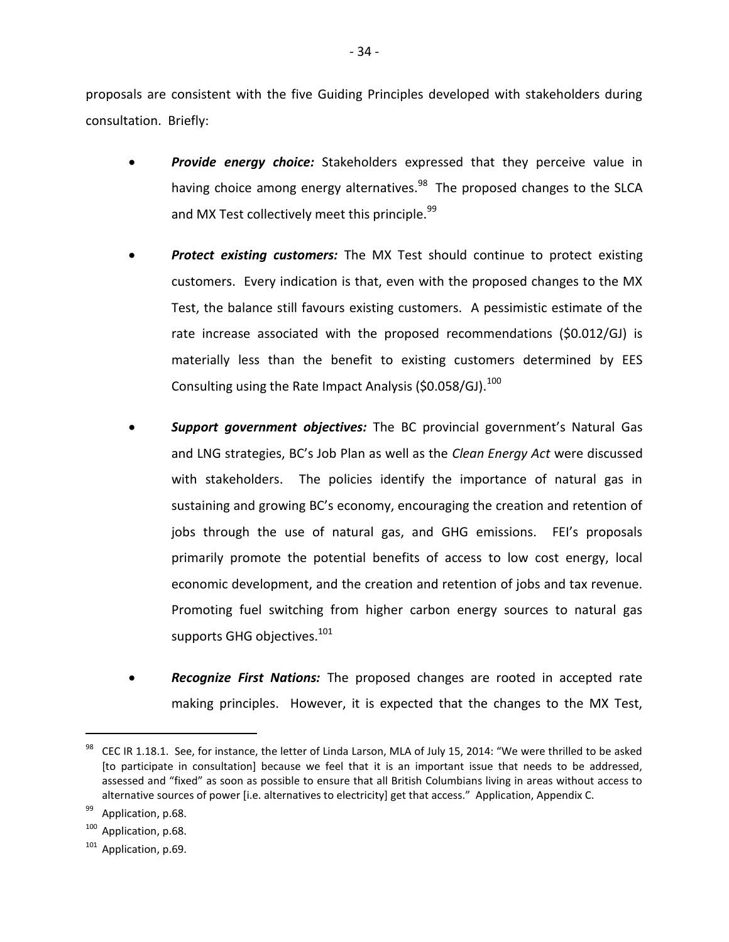proposals are consistent with the five Guiding Principles developed with stakeholders during consultation. Briefly:

- *Provide energy choice:* Stakeholders expressed that they perceive value in having choice among energy alternatives.<sup>98</sup> The proposed changes to the SLCA and MX Test collectively meet this principle. $99$
- *Protect existing customers:* The MX Test should continue to protect existing customers. Every indication is that, even with the proposed changes to the MX Test, the balance still favours existing customers. A pessimistic estimate of the rate increase associated with the proposed recommendations (\$0.012/GJ) is materially less than the benefit to existing customers determined by EES Consulting using the Rate Impact Analysis (\$0.058/GJ). $^{100}$
- *Support government objectives:* The BC provincial government's Natural Gas and LNG strategies, BC's Job Plan as well as the *Clean Energy Act* were discussed with stakeholders. The policies identify the importance of natural gas in sustaining and growing BC's economy, encouraging the creation and retention of jobs through the use of natural gas, and GHG emissions. FEI's proposals primarily promote the potential benefits of access to low cost energy, local economic development, and the creation and retention of jobs and tax revenue. Promoting fuel switching from higher carbon energy sources to natural gas supports GHG objectives. $^{101}$
- *Recognize First Nations:* The proposed changes are rooted in accepted rate making principles. However, it is expected that the changes to the MX Test,

<sup>98</sup> CEC IR 1.18.1. See, for instance, the letter of Linda Larson, MLA of July 15, 2014: "We were thrilled to be asked [to participate in consultation] because we feel that it is an important issue that needs to be addressed, assessed and "fixed" as soon as possible to ensure that all British Columbians living in areas without access to alternative sources of power [i.e. alternatives to electricity] get that access." Application, Appendix C.

<sup>&</sup>lt;sup>99</sup> Application, p.68.

<sup>&</sup>lt;sup>100</sup> Application, p.68.

 $101$  Application, p.69.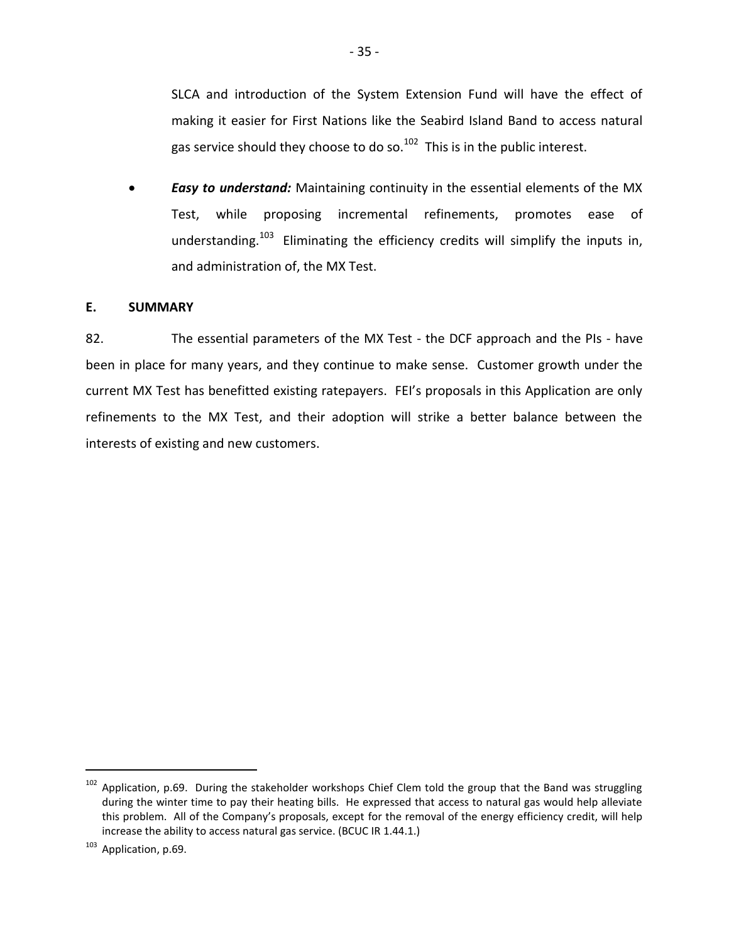SLCA and introduction of the System Extension Fund will have the effect of making it easier for First Nations like the Seabird Island Band to access natural gas service should they choose to do so.<sup>102</sup> This is in the public interest.

 *Easy to understand:* Maintaining continuity in the essential elements of the MX Test, while proposing incremental refinements, promotes ease of understanding.<sup>103</sup> Eliminating the efficiency credits will simplify the inputs in, and administration of, the MX Test.

### <span id="page-38-0"></span>**E. SUMMARY**

82. The essential parameters of the MX Test - the DCF approach and the PIs - have been in place for many years, and they continue to make sense. Customer growth under the current MX Test has benefitted existing ratepayers. FEI's proposals in this Application are only refinements to the MX Test, and their adoption will strike a better balance between the interests of existing and new customers.

 $102$  Application, p.69. During the stakeholder workshops Chief Clem told the group that the Band was struggling during the winter time to pay their heating bills. He expressed that access to natural gas would help alleviate this problem. All of the Company's proposals, except for the removal of the energy efficiency credit, will help increase the ability to access natural gas service. (BCUC IR 1.44.1.)

<sup>&</sup>lt;sup>103</sup> Application, p.69.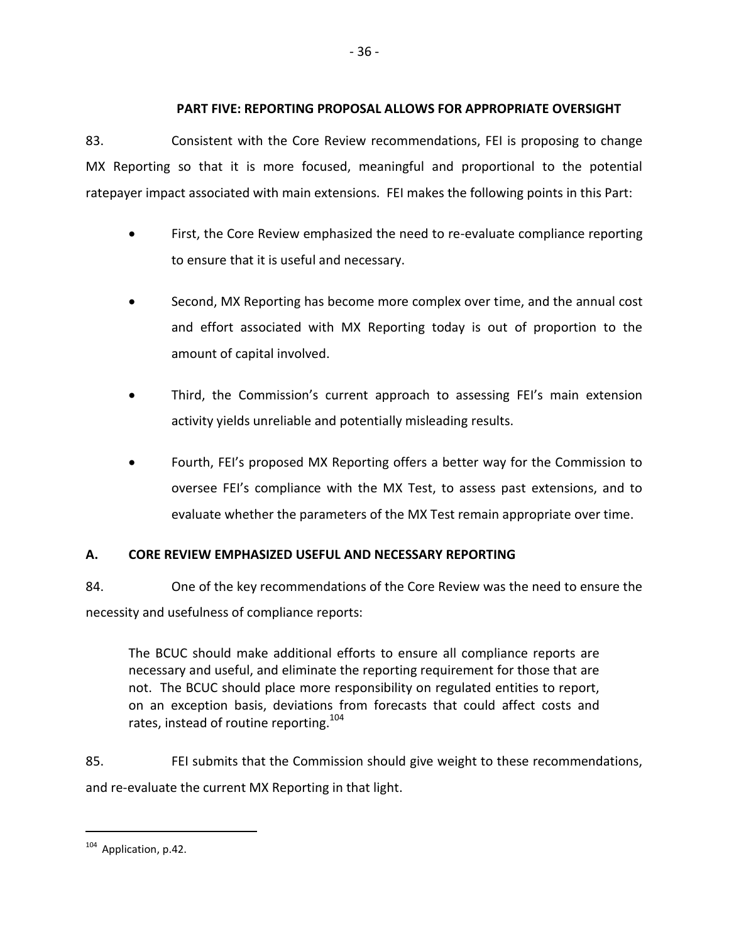# <span id="page-39-0"></span>**PART FIVE: REPORTING PROPOSAL ALLOWS FOR APPROPRIATE OVERSIGHT**

83. Consistent with the Core Review recommendations, FEI is proposing to change MX Reporting so that it is more focused, meaningful and proportional to the potential ratepayer impact associated with main extensions. FEI makes the following points in this Part:

- First, the Core Review emphasized the need to re-evaluate compliance reporting to ensure that it is useful and necessary.
- Second, MX Reporting has become more complex over time, and the annual cost and effort associated with MX Reporting today is out of proportion to the amount of capital involved.
- Third, the Commission's current approach to assessing FEI's main extension activity yields unreliable and potentially misleading results.
- Fourth, FEI's proposed MX Reporting offers a better way for the Commission to oversee FEI's compliance with the MX Test, to assess past extensions, and to evaluate whether the parameters of the MX Test remain appropriate over time.

# <span id="page-39-1"></span>**A. CORE REVIEW EMPHASIZED USEFUL AND NECESSARY REPORTING**

84. One of the key recommendations of the Core Review was the need to ensure the necessity and usefulness of compliance reports:

The BCUC should make additional efforts to ensure all compliance reports are necessary and useful, and eliminate the reporting requirement for those that are not. The BCUC should place more responsibility on regulated entities to report, on an exception basis, deviations from forecasts that could affect costs and rates, instead of routine reporting.<sup>104</sup>

85. FEI submits that the Commission should give weight to these recommendations, and re-evaluate the current MX Reporting in that light.

<sup>&</sup>lt;sup>104</sup> Application, p.42.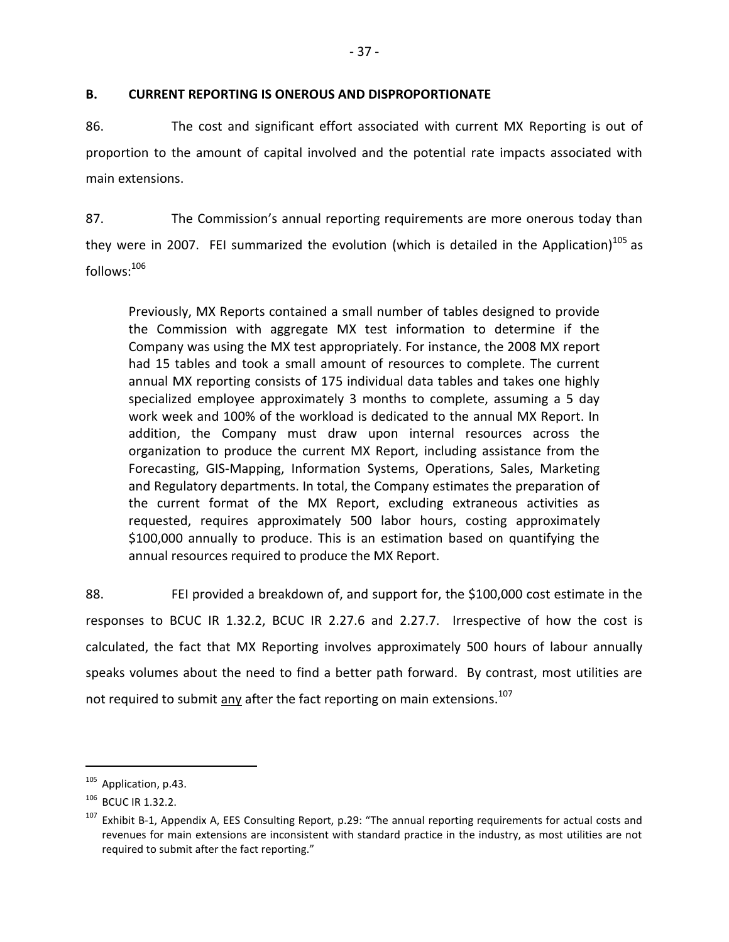## <span id="page-40-0"></span>**B. CURRENT REPORTING IS ONEROUS AND DISPROPORTIONATE**

86. The cost and significant effort associated with current MX Reporting is out of proportion to the amount of capital involved and the potential rate impacts associated with main extensions.

87. The Commission's annual reporting requirements are more onerous today than they were in 2007. FEI summarized the evolution (which is detailed in the Application)<sup>105</sup> as  $follows:$ <sup>106</sup>

Previously, MX Reports contained a small number of tables designed to provide the Commission with aggregate MX test information to determine if the Company was using the MX test appropriately. For instance, the 2008 MX report had 15 tables and took a small amount of resources to complete. The current annual MX reporting consists of 175 individual data tables and takes one highly specialized employee approximately 3 months to complete, assuming a 5 day work week and 100% of the workload is dedicated to the annual MX Report. In addition, the Company must draw upon internal resources across the organization to produce the current MX Report, including assistance from the Forecasting, GIS-Mapping, Information Systems, Operations, Sales, Marketing and Regulatory departments. In total, the Company estimates the preparation of the current format of the MX Report, excluding extraneous activities as requested, requires approximately 500 labor hours, costing approximately \$100,000 annually to produce. This is an estimation based on quantifying the annual resources required to produce the MX Report.

88. FEI provided a breakdown of, and support for, the \$100,000 cost estimate in the responses to BCUC IR 1.32.2, BCUC IR 2.27.6 and 2.27.7. Irrespective of how the cost is calculated, the fact that MX Reporting involves approximately 500 hours of labour annually speaks volumes about the need to find a better path forward. By contrast, most utilities are not required to submit any after the fact reporting on main extensions.<sup>107</sup>

<sup>&</sup>lt;sup>105</sup> Application, p.43.

<sup>106</sup> BCUC IR 1.32.2.

<sup>&</sup>lt;sup>107</sup> Exhibit B-1, Appendix A, EES Consulting Report, p.29: "The annual reporting requirements for actual costs and revenues for main extensions are inconsistent with standard practice in the industry, as most utilities are not required to submit after the fact reporting."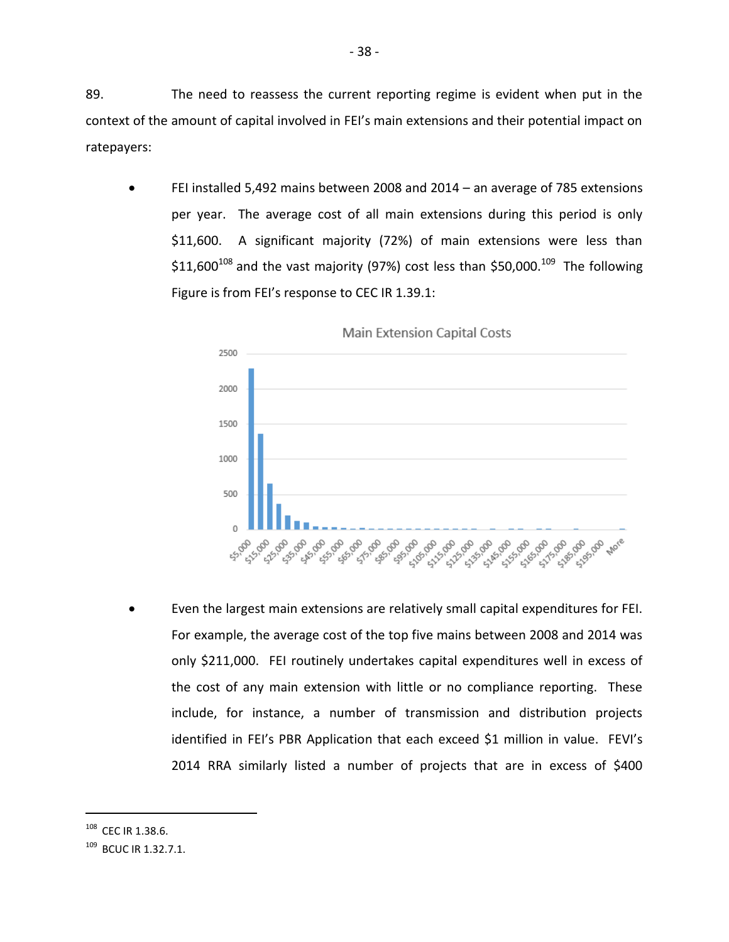89. The need to reassess the current reporting regime is evident when put in the context of the amount of capital involved in FEI's main extensions and their potential impact on ratepayers:

 FEI installed 5,492 mains between 2008 and 2014 – an average of 785 extensions per year. The average cost of all main extensions during this period is only \$11,600. A significant majority (72%) of main extensions were less than \$11,600<sup>108</sup> and the vast majority (97%) cost less than \$50,000.<sup>109</sup> The following Figure is from FEI's response to CEC IR 1.39.1:



 Even the largest main extensions are relatively small capital expenditures for FEI. For example, the average cost of the top five mains between 2008 and 2014 was only \$211,000. FEI routinely undertakes capital expenditures well in excess of the cost of any main extension with little or no compliance reporting. These include, for instance, a number of transmission and distribution projects identified in FEI's PBR Application that each exceed \$1 million in value. FEVI's 2014 RRA similarly listed a number of projects that are in excess of \$400

<sup>108</sup> CEC IR 1.38.6.

<sup>&</sup>lt;sup>109</sup> BCUC IR 1.32.7.1.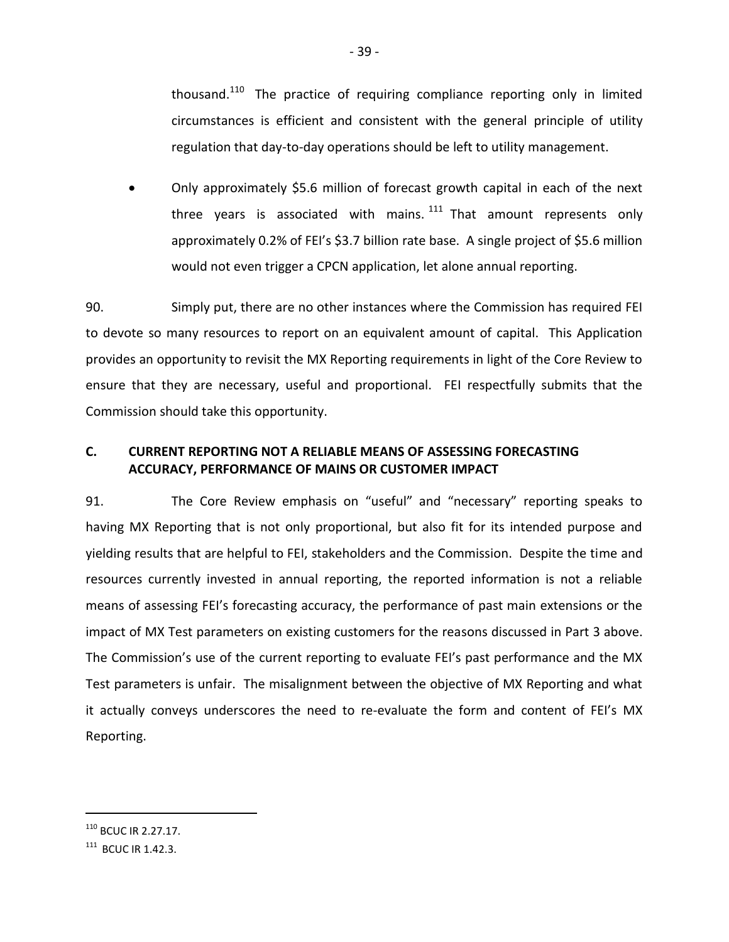thousand.<sup>110</sup> The practice of requiring compliance reporting only in limited circumstances is efficient and consistent with the general principle of utility regulation that day-to-day operations should be left to utility management.

 Only approximately \$5.6 million of forecast growth capital in each of the next three years is associated with mains.  $111$  That amount represents only approximately 0.2% of FEI's \$3.7 billion rate base. A single project of \$5.6 million would not even trigger a CPCN application, let alone annual reporting.

90. Simply put, there are no other instances where the Commission has required FEI to devote so many resources to report on an equivalent amount of capital. This Application provides an opportunity to revisit the MX Reporting requirements in light of the Core Review to ensure that they are necessary, useful and proportional. FEI respectfully submits that the Commission should take this opportunity.

# <span id="page-42-0"></span>**C. CURRENT REPORTING NOT A RELIABLE MEANS OF ASSESSING FORECASTING ACCURACY, PERFORMANCE OF MAINS OR CUSTOMER IMPACT**

91. The Core Review emphasis on "useful" and "necessary" reporting speaks to having MX Reporting that is not only proportional, but also fit for its intended purpose and yielding results that are helpful to FEI, stakeholders and the Commission. Despite the time and resources currently invested in annual reporting, the reported information is not a reliable means of assessing FEI's forecasting accuracy, the performance of past main extensions or the impact of MX Test parameters on existing customers for the reasons discussed in Part 3 above. The Commission's use of the current reporting to evaluate FEI's past performance and the MX Test parameters is unfair. The misalignment between the objective of MX Reporting and what it actually conveys underscores the need to re-evaluate the form and content of FEI's MX Reporting.

 $110$  BCUC IR 2.27.17.

 $111$  BCUC IR 1.42.3.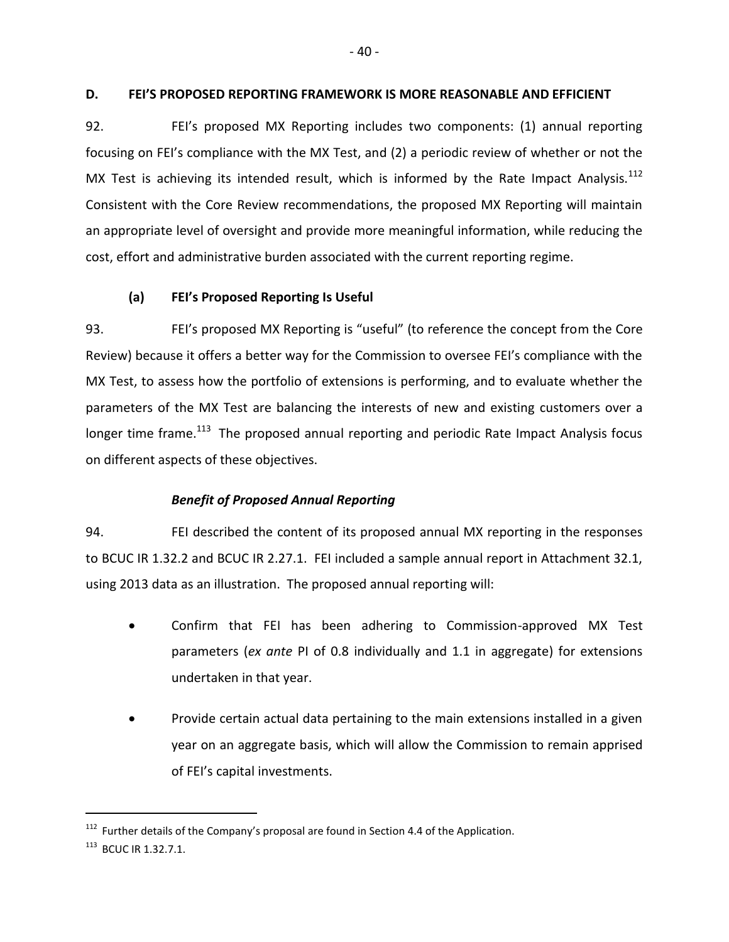### <span id="page-43-0"></span>**D. FEI'S PROPOSED REPORTING FRAMEWORK IS MORE REASONABLE AND EFFICIENT**

92. FEI's proposed MX Reporting includes two components: (1) annual reporting focusing on FEI's compliance with the MX Test, and (2) a periodic review of whether or not the MX Test is achieving its intended result, which is informed by the Rate Impact Analysis. $^{112}$ Consistent with the Core Review recommendations, the proposed MX Reporting will maintain an appropriate level of oversight and provide more meaningful information, while reducing the cost, effort and administrative burden associated with the current reporting regime.

# <span id="page-43-1"></span>**(a) FEI's Proposed Reporting Is Useful**

93. FEI's proposed MX Reporting is "useful" (to reference the concept from the Core Review) because it offers a better way for the Commission to oversee FEI's compliance with the MX Test, to assess how the portfolio of extensions is performing, and to evaluate whether the parameters of the MX Test are balancing the interests of new and existing customers over a longer time frame.<sup>113</sup> The proposed annual reporting and periodic Rate Impact Analysis focus on different aspects of these objectives.

# *Benefit of Proposed Annual Reporting*

94. FEI described the content of its proposed annual MX reporting in the responses to BCUC IR 1.32.2 and BCUC IR 2.27.1. FEI included a sample annual report in Attachment 32.1, using 2013 data as an illustration. The proposed annual reporting will:

- Confirm that FEI has been adhering to Commission-approved MX Test parameters (*ex ante* PI of 0.8 individually and 1.1 in aggregate) for extensions undertaken in that year.
- Provide certain actual data pertaining to the main extensions installed in a given year on an aggregate basis, which will allow the Commission to remain apprised of FEI's capital investments.

 $112$  Further details of the Company's proposal are found in Section 4.4 of the Application.

<sup>&</sup>lt;sup>113</sup> BCUC IR 1.32.7.1.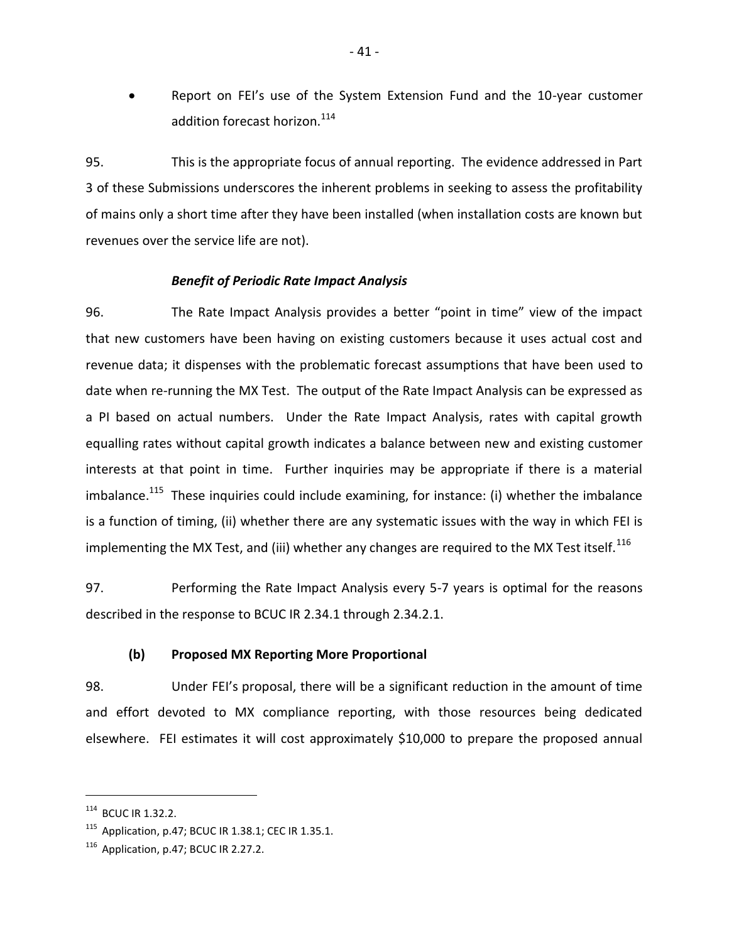Report on FEI's use of the System Extension Fund and the 10-year customer addition forecast horizon.<sup>114</sup>

95. This is the appropriate focus of annual reporting. The evidence addressed in Part 3 of these Submissions underscores the inherent problems in seeking to assess the profitability of mains only a short time after they have been installed (when installation costs are known but revenues over the service life are not).

#### *Benefit of Periodic Rate Impact Analysis*

96. The Rate Impact Analysis provides a better "point in time" view of the impact that new customers have been having on existing customers because it uses actual cost and revenue data; it dispenses with the problematic forecast assumptions that have been used to date when re-running the MX Test. The output of the Rate Impact Analysis can be expressed as a PI based on actual numbers. Under the Rate Impact Analysis, rates with capital growth equalling rates without capital growth indicates a balance between new and existing customer interests at that point in time. Further inquiries may be appropriate if there is a material imbalance.<sup>115</sup> These inquiries could include examining, for instance: (i) whether the imbalance is a function of timing, (ii) whether there are any systematic issues with the way in which FEI is implementing the MX Test, and (iii) whether any changes are required to the MX Test itself.<sup>116</sup>

97. Performing the Rate Impact Analysis every 5-7 years is optimal for the reasons described in the response to BCUC IR 2.34.1 through 2.34.2.1.

### <span id="page-44-0"></span>**(b) Proposed MX Reporting More Proportional**

98. Under FEI's proposal, there will be a significant reduction in the amount of time and effort devoted to MX compliance reporting, with those resources being dedicated elsewhere. FEI estimates it will cost approximately \$10,000 to prepare the proposed annual

<sup>114</sup> BCUC IR 1.32.2.

<sup>115</sup> Application, p.47; BCUC IR 1.38.1; CEC IR 1.35.1.

 $116$  Application, p.47; BCUC IR 2.27.2.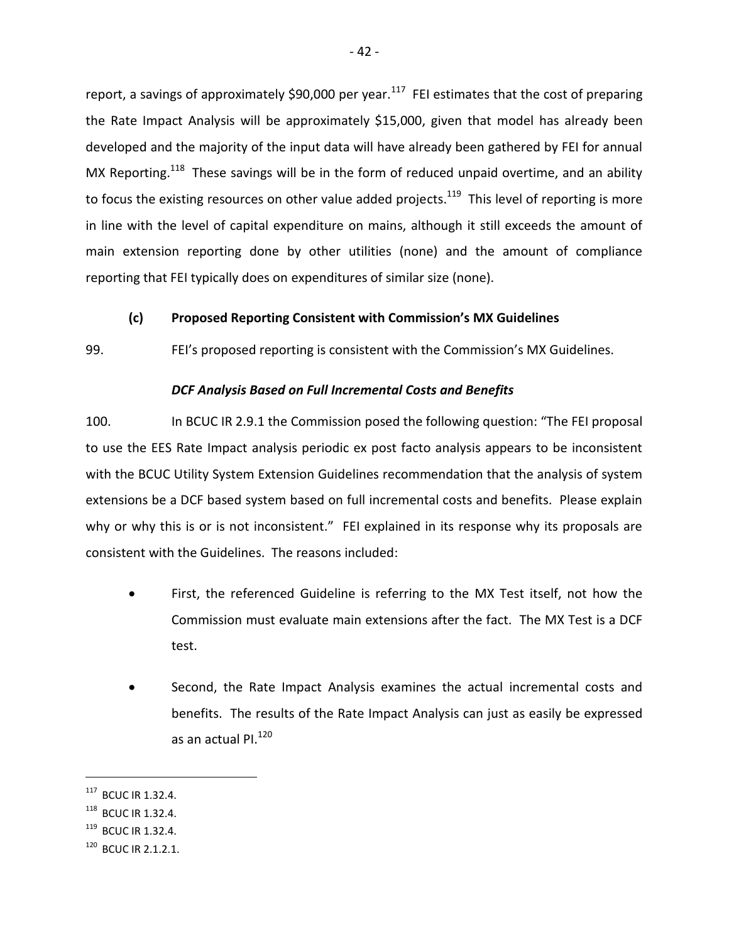report, a savings of approximately \$90,000 per year.<sup>117</sup> FEI estimates that the cost of preparing the Rate Impact Analysis will be approximately \$15,000, given that model has already been developed and the majority of the input data will have already been gathered by FEI for annual MX Reporting.<sup>118</sup> These savings will be in the form of reduced unpaid overtime, and an ability to focus the existing resources on other value added projects.<sup>119</sup> This level of reporting is more in line with the level of capital expenditure on mains, although it still exceeds the amount of main extension reporting done by other utilities (none) and the amount of compliance reporting that FEI typically does on expenditures of similar size (none).

### <span id="page-45-0"></span>**(c) Proposed Reporting Consistent with Commission's MX Guidelines**

99. FEI's proposed reporting is consistent with the Commission's MX Guidelines.

### *DCF Analysis Based on Full Incremental Costs and Benefits*

100. In BCUC IR 2.9.1 the Commission posed the following question: "The FEI proposal to use the EES Rate Impact analysis periodic ex post facto analysis appears to be inconsistent with the BCUC Utility System Extension Guidelines recommendation that the analysis of system extensions be a DCF based system based on full incremental costs and benefits. Please explain why or why this is or is not inconsistent." FEI explained in its response why its proposals are consistent with the Guidelines. The reasons included:

- First, the referenced Guideline is referring to the MX Test itself, not how the Commission must evaluate main extensions after the fact. The MX Test is a DCF test.
- Second, the Rate Impact Analysis examines the actual incremental costs and benefits. The results of the Rate Impact Analysis can just as easily be expressed as an actual PI.<sup>120</sup>

<sup>117</sup> BCUC IR 1.32.4.

<sup>118</sup> BCUC IR 1.32.4.

 $119$  BCUC IR 1.32.4.

 $120$  BCUC IR 2.1.2.1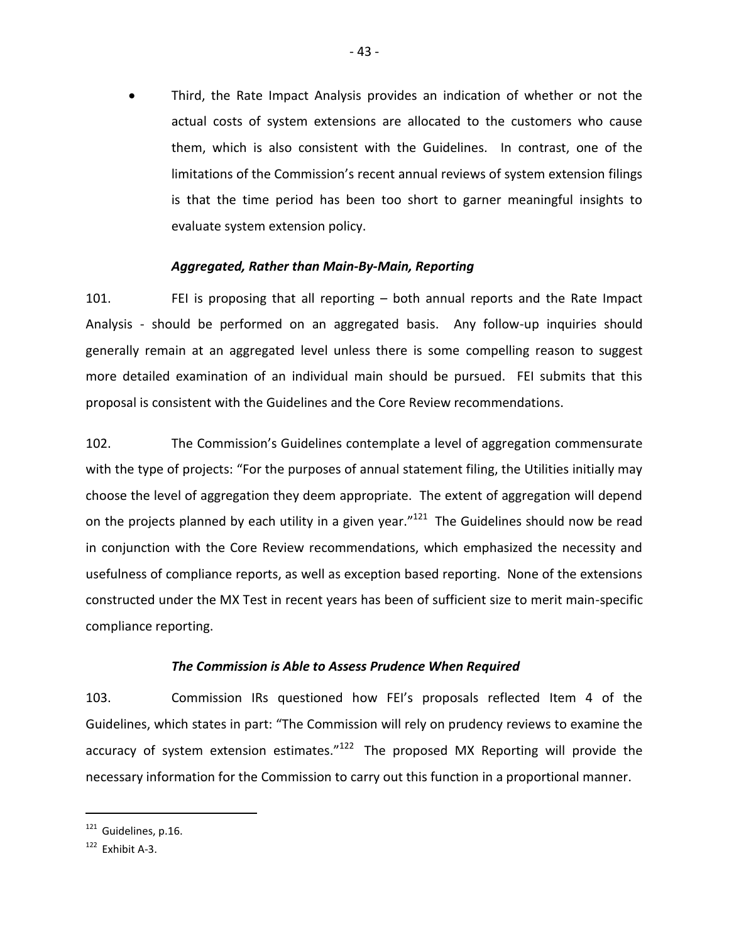Third, the Rate Impact Analysis provides an indication of whether or not the actual costs of system extensions are allocated to the customers who cause them, which is also consistent with the Guidelines. In contrast, one of the limitations of the Commission's recent annual reviews of system extension filings is that the time period has been too short to garner meaningful insights to evaluate system extension policy.

### *Aggregated, Rather than Main-By-Main, Reporting*

101. FEI is proposing that all reporting – both annual reports and the Rate Impact Analysis - should be performed on an aggregated basis. Any follow-up inquiries should generally remain at an aggregated level unless there is some compelling reason to suggest more detailed examination of an individual main should be pursued. FEI submits that this proposal is consistent with the Guidelines and the Core Review recommendations.

102. The Commission's Guidelines contemplate a level of aggregation commensurate with the type of projects: "For the purposes of annual statement filing, the Utilities initially may choose the level of aggregation they deem appropriate. The extent of aggregation will depend on the projects planned by each utility in a given year."<sup>121</sup> The Guidelines should now be read in conjunction with the Core Review recommendations, which emphasized the necessity and usefulness of compliance reports, as well as exception based reporting. None of the extensions constructed under the MX Test in recent years has been of sufficient size to merit main-specific compliance reporting.

### *The Commission is Able to Assess Prudence When Required*

103. Commission IRs questioned how FEI's proposals reflected Item 4 of the Guidelines, which states in part: "The Commission will rely on prudency reviews to examine the accuracy of system extension estimates."<sup>122</sup> The proposed MX Reporting will provide the necessary information for the Commission to carry out this function in a proportional manner.

 $121$  Guidelines, p.16.

 $122$  Fxhibit A-3.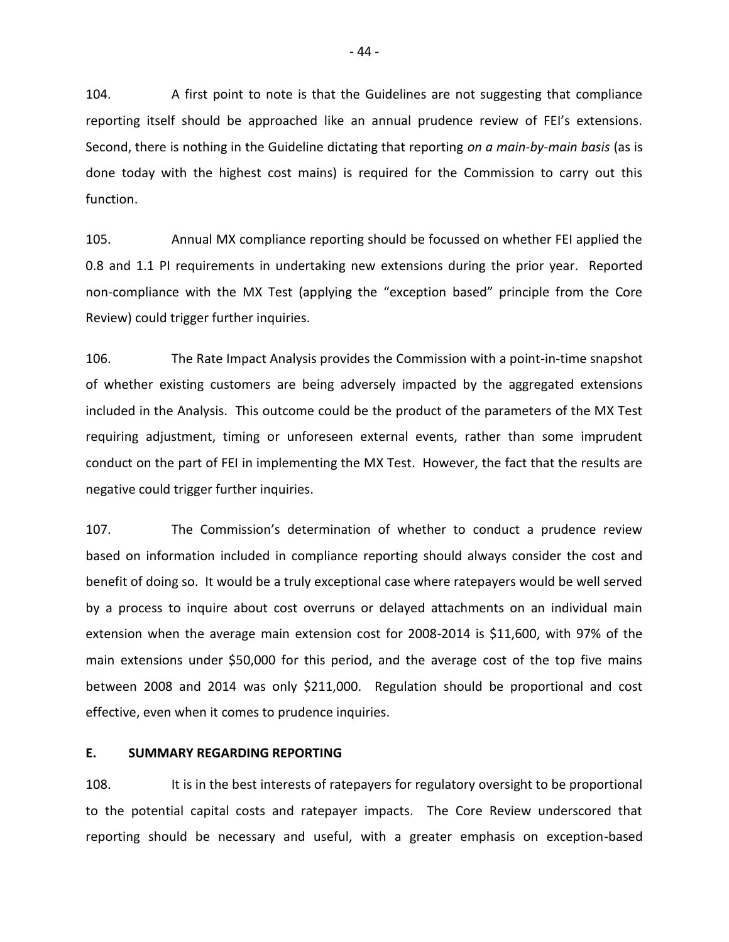104. A first point to note is that the Guidelines are not suggesting that compliance reporting itself should be approached like an annual prudence review of FEI's extensions. Second, there is nothing in the Guideline dictating that reporting *on a main-by-main basis* (as is done today with the highest cost mains) is required for the Commission to carry out this function.

105. Annual MX compliance reporting should be focussed on whether FEI applied the 0.8 and 1.1 PI requirements in undertaking new extensions during the prior year. Reported non-compliance with the MX Test (applying the "exception based" principle from the Core Review) could trigger further inquiries.

106. The Rate Impact Analysis provides the Commission with a point-in-time snapshot of whether existing customers are being adversely impacted by the aggregated extensions included in the Analysis. This outcome could be the product of the parameters of the MX Test requiring adjustment, timing or unforeseen external events, rather than some imprudent conduct on the part of FEI in implementing the MX Test. However, the fact that the results are negative could trigger further inquiries.

107. The Commission's determination of whether to conduct a prudence review based on information included in compliance reporting should always consider the cost and benefit of doing so. It would be a truly exceptional case where ratepayers would be well served by a process to inquire about cost overruns or delayed attachments on an individual main extension when the average main extension cost for 2008-2014 is \$11,600, with 97% of the main extensions under \$50,000 for this period, and the average cost of the top five mains between 2008 and 2014 was only \$211,000. Regulation should be proportional and cost effective, even when it comes to prudence inquiries.

### <span id="page-47-0"></span>**E. SUMMARY REGARDING REPORTING**

108. It is in the best interests of ratepayers for regulatory oversight to be proportional to the potential capital costs and ratepayer impacts. The Core Review underscored that reporting should be necessary and useful, with a greater emphasis on exception-based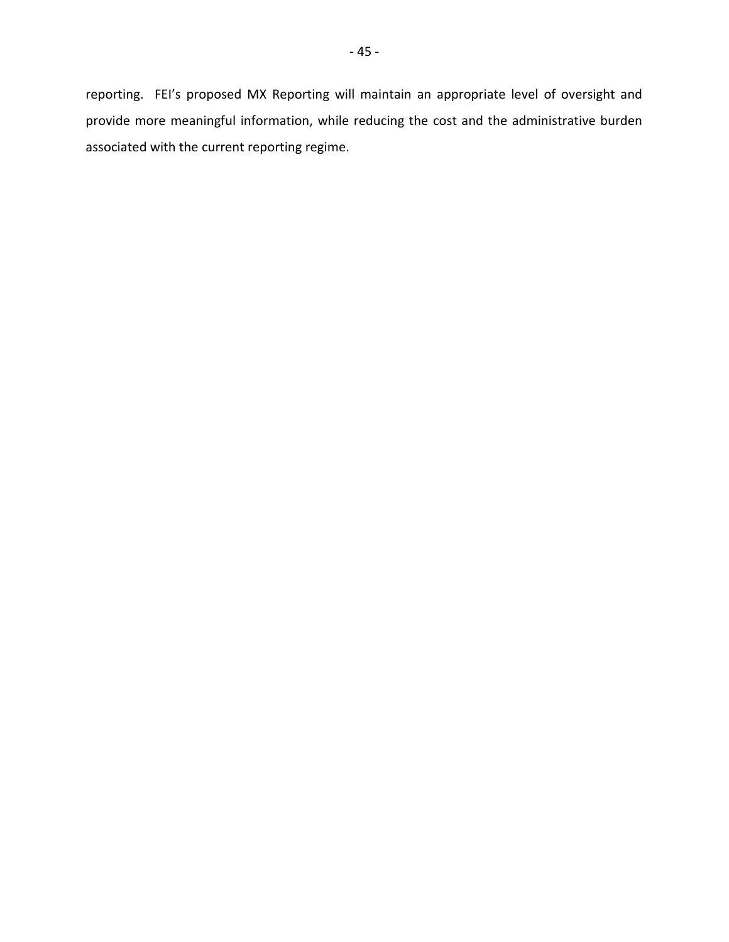reporting. FEI's proposed MX Reporting will maintain an appropriate level of oversight and provide more meaningful information, while reducing the cost and the administrative burden associated with the current reporting regime.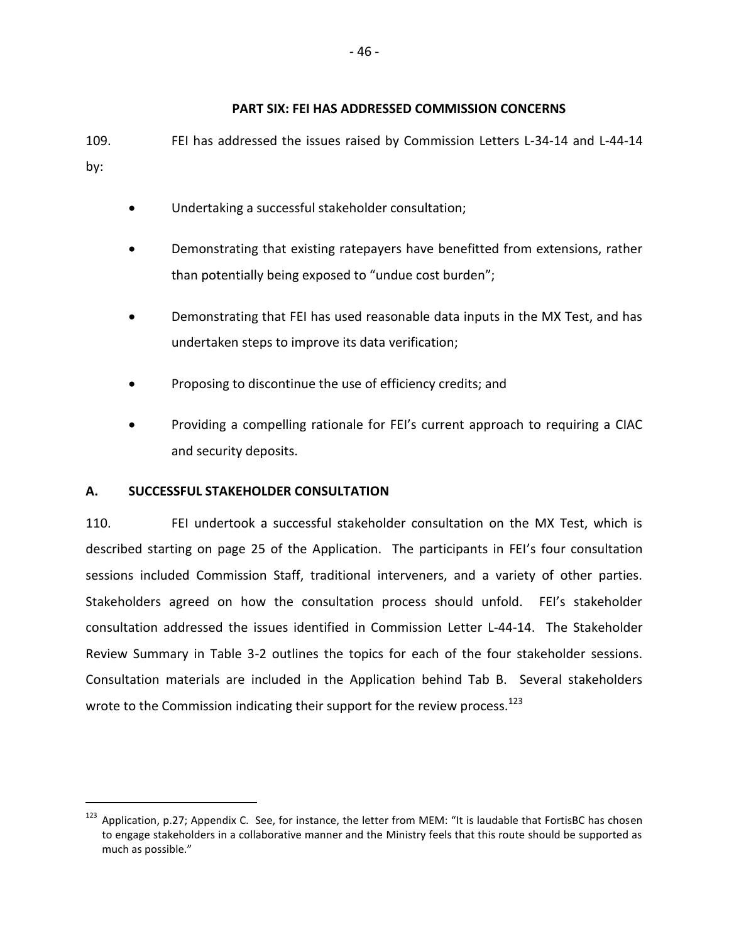### <span id="page-49-0"></span>**PART SIX: FEI HAS ADDRESSED COMMISSION CONCERNS**

109. FEI has addressed the issues raised by Commission Letters L-34-14 and L-44-14 by:

- Undertaking a successful stakeholder consultation;
- Demonstrating that existing ratepayers have benefitted from extensions, rather than potentially being exposed to "undue cost burden";
- Demonstrating that FEI has used reasonable data inputs in the MX Test, and has undertaken steps to improve its data verification;
- Proposing to discontinue the use of efficiency credits; and
- Providing a compelling rationale for FEI's current approach to requiring a CIAC and security deposits.

## <span id="page-49-1"></span>**A. SUCCESSFUL STAKEHOLDER CONSULTATION**

 $\overline{a}$ 

110. FEI undertook a successful stakeholder consultation on the MX Test, which is described starting on page 25 of the Application. The participants in FEI's four consultation sessions included Commission Staff, traditional interveners, and a variety of other parties. Stakeholders agreed on how the consultation process should unfold. FEI's stakeholder consultation addressed the issues identified in Commission Letter L-44-14. The Stakeholder Review Summary in Table 3-2 outlines the topics for each of the four stakeholder sessions. Consultation materials are included in the Application behind Tab B. Several stakeholders wrote to the Commission indicating their support for the review process.<sup>123</sup>

 $123$  Application, p.27; Appendix C. See, for instance, the letter from MEM: "It is laudable that FortisBC has chosen to engage stakeholders in a collaborative manner and the Ministry feels that this route should be supported as much as possible."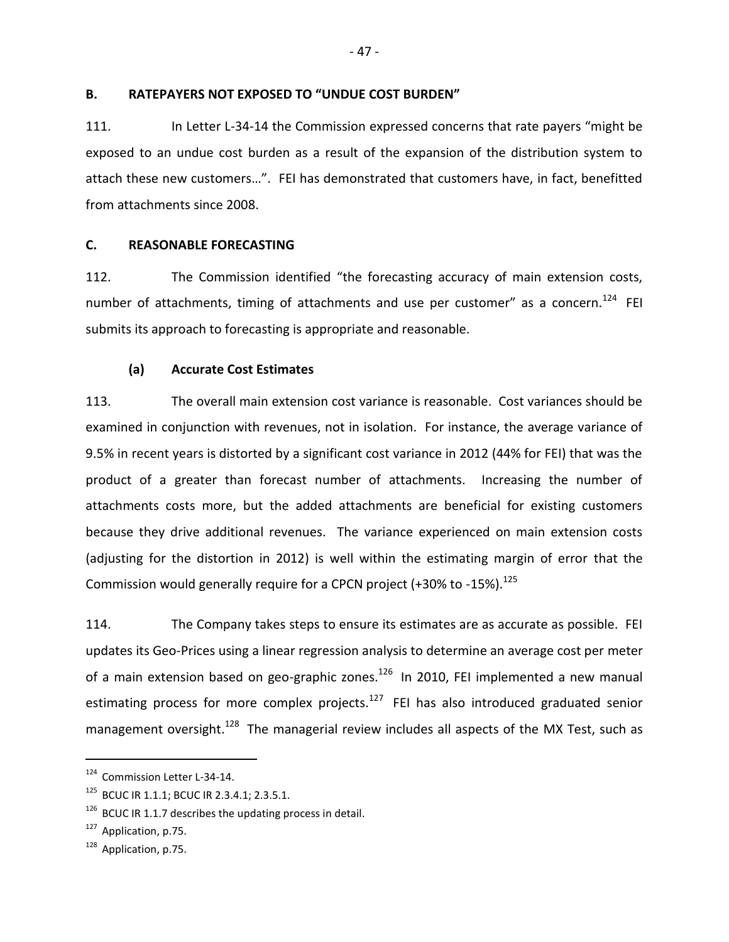### <span id="page-50-0"></span>**B. RATEPAYERS NOT EXPOSED TO "UNDUE COST BURDEN"**

111. In Letter L-34-14 the Commission expressed concerns that rate payers "might be exposed to an undue cost burden as a result of the expansion of the distribution system to attach these new customers…". FEI has demonstrated that customers have, in fact, benefitted from attachments since 2008.

#### <span id="page-50-1"></span>**C. REASONABLE FORECASTING**

112. The Commission identified "the forecasting accuracy of main extension costs, number of attachments, timing of attachments and use per customer" as a concern.<sup>124</sup> FEI submits its approach to forecasting is appropriate and reasonable.

### <span id="page-50-2"></span>**(a) Accurate Cost Estimates**

113. The overall main extension cost variance is reasonable. Cost variances should be examined in conjunction with revenues, not in isolation. For instance, the average variance of 9.5% in recent years is distorted by a significant cost variance in 2012 (44% for FEI) that was the product of a greater than forecast number of attachments. Increasing the number of attachments costs more, but the added attachments are beneficial for existing customers because they drive additional revenues. The variance experienced on main extension costs (adjusting for the distortion in 2012) is well within the estimating margin of error that the Commission would generally require for a CPCN project (+30% to -15%). $^{125}$ 

114. The Company takes steps to ensure its estimates are as accurate as possible. FEI updates its Geo-Prices using a linear regression analysis to determine an average cost per meter of a main extension based on geo-graphic zones.<sup>126</sup> In 2010, FEI implemented a new manual estimating process for more complex projects.<sup>127</sup> FEI has also introduced graduated senior management oversight.<sup>128</sup> The managerial review includes all aspects of the MX Test, such as

<sup>124</sup> Commission Letter L-34-14.

<sup>&</sup>lt;sup>125</sup> BCUC IR 1.1.1; BCUC IR 2.3.4.1; 2.3.5.1.

 $126$  BCUC IR 1.1.7 describes the updating process in detail.

<sup>&</sup>lt;sup>127</sup> Application, p.75.

<sup>&</sup>lt;sup>128</sup> Application, p.75.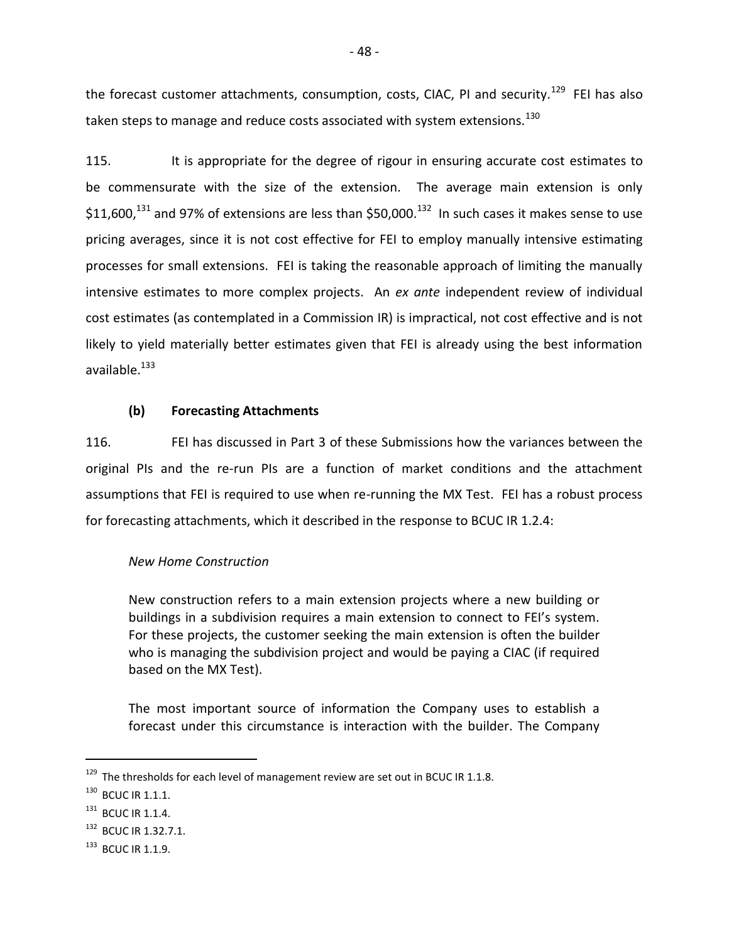the forecast customer attachments, consumption, costs, CIAC, PI and security.<sup>129</sup> FEI has also taken steps to manage and reduce costs associated with system extensions. $^{130}$ 

115. It is appropriate for the degree of rigour in ensuring accurate cost estimates to be commensurate with the size of the extension. The average main extension is only \$11,600,<sup>131</sup> and 97% of extensions are less than \$50,000.<sup>132</sup> In such cases it makes sense to use pricing averages, since it is not cost effective for FEI to employ manually intensive estimating processes for small extensions. FEI is taking the reasonable approach of limiting the manually intensive estimates to more complex projects. An *ex ante* independent review of individual cost estimates (as contemplated in a Commission IR) is impractical, not cost effective and is not likely to yield materially better estimates given that FEI is already using the best information available. <sup>133</sup>

### <span id="page-51-0"></span>**(b) Forecasting Attachments**

116. FEI has discussed in Part 3 of these Submissions how the variances between the original PIs and the re-run PIs are a function of market conditions and the attachment assumptions that FEI is required to use when re-running the MX Test. FEI has a robust process for forecasting attachments, which it described in the response to BCUC IR 1.2.4:

### *New Home Construction*

New construction refers to a main extension projects where a new building or buildings in a subdivision requires a main extension to connect to FEI's system. For these projects, the customer seeking the main extension is often the builder who is managing the subdivision project and would be paying a CIAC (if required based on the MX Test).

The most important source of information the Company uses to establish a forecast under this circumstance is interaction with the builder. The Company

 $129$  The thresholds for each level of management review are set out in BCUC IR 1.1.8.

<sup>&</sup>lt;sup>130</sup> BCUC IR 1.1.1.

<sup>&</sup>lt;sup>131</sup> BCUC IR 1.1.4.

<sup>&</sup>lt;sup>132</sup> BCUC IR 1.32.7.1.

 $133$  BCUC IR 1.1.9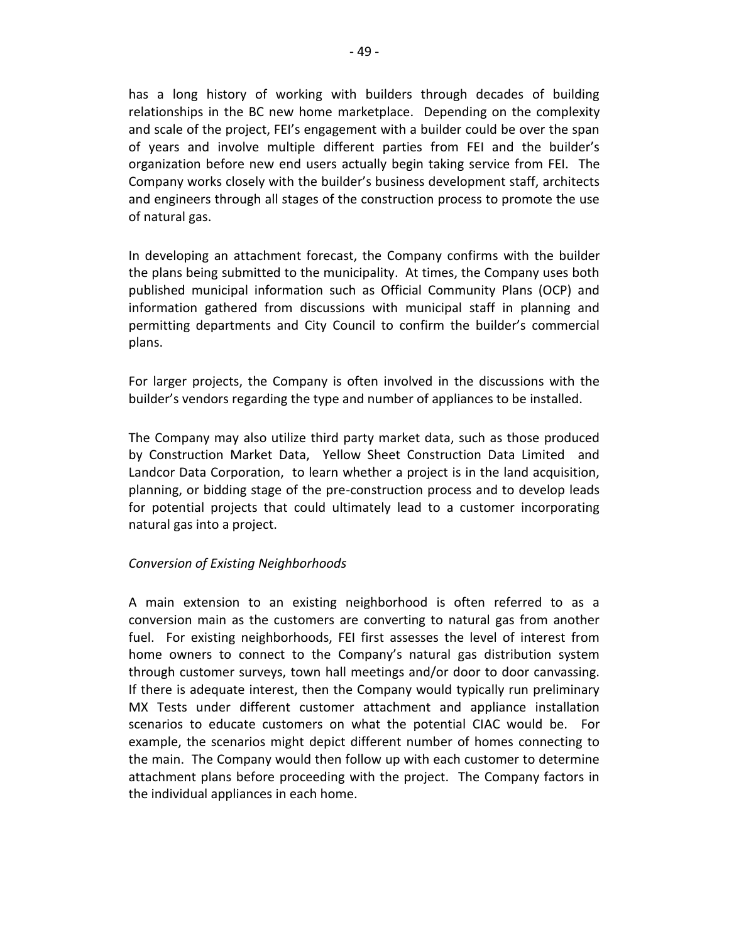has a long history of working with builders through decades of building relationships in the BC new home marketplace. Depending on the complexity and scale of the project, FEI's engagement with a builder could be over the span of years and involve multiple different parties from FEI and the builder's organization before new end users actually begin taking service from FEI. The Company works closely with the builder's business development staff, architects and engineers through all stages of the construction process to promote the use of natural gas.

In developing an attachment forecast, the Company confirms with the builder the plans being submitted to the municipality. At times, the Company uses both published municipal information such as Official Community Plans (OCP) and information gathered from discussions with municipal staff in planning and permitting departments and City Council to confirm the builder's commercial plans.

For larger projects, the Company is often involved in the discussions with the builder's vendors regarding the type and number of appliances to be installed.

The Company may also utilize third party market data, such as those produced by Construction Market Data, Yellow Sheet Construction Data Limited and Landcor Data Corporation, to learn whether a project is in the land acquisition, planning, or bidding stage of the pre-construction process and to develop leads for potential projects that could ultimately lead to a customer incorporating natural gas into a project.

## *Conversion of Existing Neighborhoods*

A main extension to an existing neighborhood is often referred to as a conversion main as the customers are converting to natural gas from another fuel. For existing neighborhoods, FEI first assesses the level of interest from home owners to connect to the Company's natural gas distribution system through customer surveys, town hall meetings and/or door to door canvassing. If there is adequate interest, then the Company would typically run preliminary MX Tests under different customer attachment and appliance installation scenarios to educate customers on what the potential CIAC would be. For example, the scenarios might depict different number of homes connecting to the main. The Company would then follow up with each customer to determine attachment plans before proceeding with the project. The Company factors in the individual appliances in each home.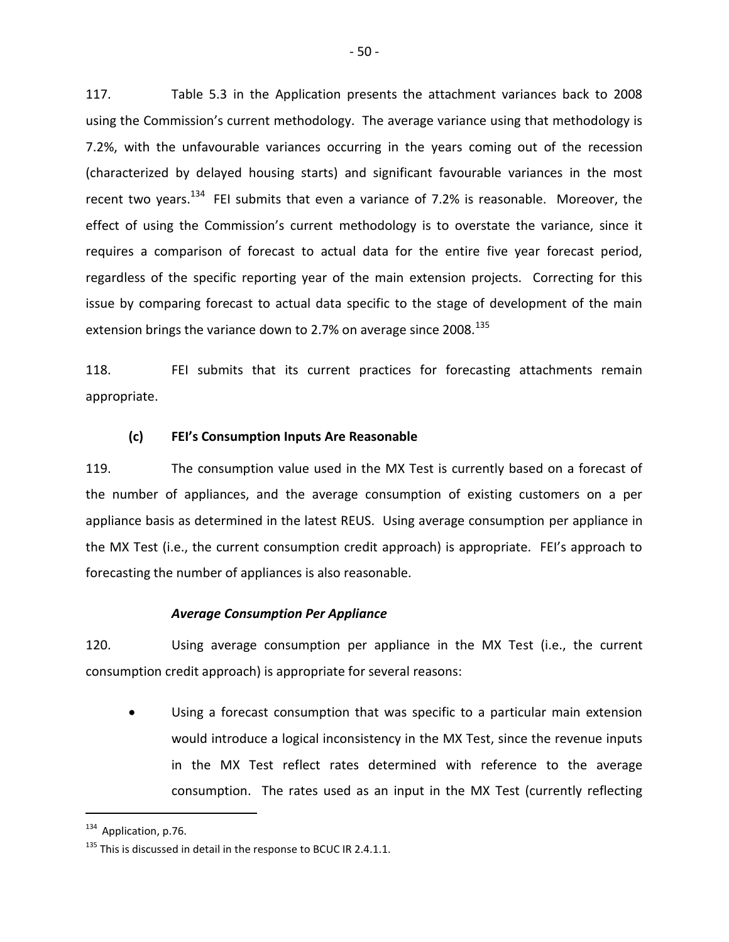117. Table 5.3 in the Application presents the attachment variances back to 2008 using the Commission's current methodology. The average variance using that methodology is 7.2%, with the unfavourable variances occurring in the years coming out of the recession (characterized by delayed housing starts) and significant favourable variances in the most recent two years.<sup>134</sup> FEI submits that even a variance of 7.2% is reasonable. Moreover, the effect of using the Commission's current methodology is to overstate the variance, since it requires a comparison of forecast to actual data for the entire five year forecast period, regardless of the specific reporting year of the main extension projects. Correcting for this issue by comparing forecast to actual data specific to the stage of development of the main extension brings the variance down to 2.7% on average since 2008. $^{135}$ 

118. FEI submits that its current practices for forecasting attachments remain appropriate.

### <span id="page-53-0"></span>**(c) FEI's Consumption Inputs Are Reasonable**

119. The consumption value used in the MX Test is currently based on a forecast of the number of appliances, and the average consumption of existing customers on a per appliance basis as determined in the latest REUS. Using average consumption per appliance in the MX Test (i.e., the current consumption credit approach) is appropriate. FEI's approach to forecasting the number of appliances is also reasonable.

### *Average Consumption Per Appliance*

120. Using average consumption per appliance in the MX Test (i.e., the current consumption credit approach) is appropriate for several reasons:

 Using a forecast consumption that was specific to a particular main extension would introduce a logical inconsistency in the MX Test, since the revenue inputs in the MX Test reflect rates determined with reference to the average consumption. The rates used as an input in the MX Test (currently reflecting

 $134$  Application, p.76.

 $135$  This is discussed in detail in the response to BCUC IR 2.4.1.1.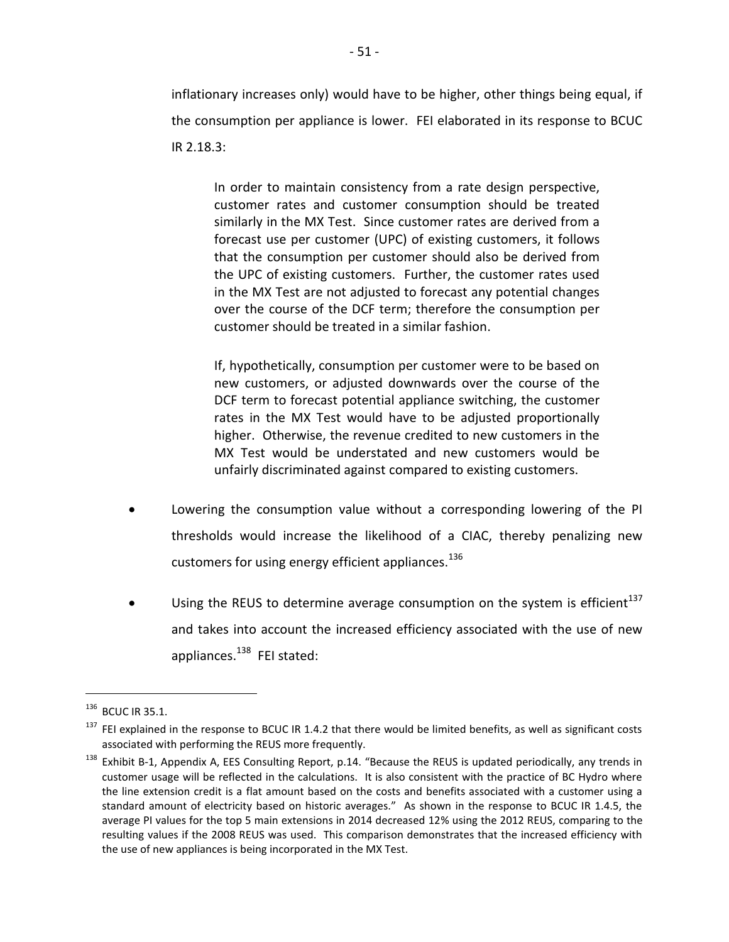inflationary increases only) would have to be higher, other things being equal, if the consumption per appliance is lower. FEI elaborated in its response to BCUC IR 2.18.3:

In order to maintain consistency from a rate design perspective, customer rates and customer consumption should be treated similarly in the MX Test. Since customer rates are derived from a forecast use per customer (UPC) of existing customers, it follows that the consumption per customer should also be derived from the UPC of existing customers. Further, the customer rates used in the MX Test are not adjusted to forecast any potential changes over the course of the DCF term; therefore the consumption per customer should be treated in a similar fashion.

If, hypothetically, consumption per customer were to be based on new customers, or adjusted downwards over the course of the DCF term to forecast potential appliance switching, the customer rates in the MX Test would have to be adjusted proportionally higher. Otherwise, the revenue credited to new customers in the MX Test would be understated and new customers would be unfairly discriminated against compared to existing customers.

- Lowering the consumption value without a corresponding lowering of the PI thresholds would increase the likelihood of a CIAC, thereby penalizing new customers for using energy efficient appliances.  $^{136}$
- Using the REUS to determine average consumption on the system is efficient $^{137}$ and takes into account the increased efficiency associated with the use of new appliances.<sup>138</sup> FEI stated:

<sup>136</sup> BCUC IR 35.1.

 $137$  FEI explained in the response to BCUC IR 1.4.2 that there would be limited benefits, as well as significant costs associated with performing the REUS more frequently.

 $138$  Exhibit B-1, Appendix A, EES Consulting Report, p.14. "Because the REUS is updated periodically, any trends in customer usage will be reflected in the calculations. It is also consistent with the practice of BC Hydro where the line extension credit is a flat amount based on the costs and benefits associated with a customer using a standard amount of electricity based on historic averages." As shown in the response to BCUC IR 1.4.5, the average PI values for the top 5 main extensions in 2014 decreased 12% using the 2012 REUS, comparing to the resulting values if the 2008 REUS was used. This comparison demonstrates that the increased efficiency with the use of new appliances is being incorporated in the MX Test.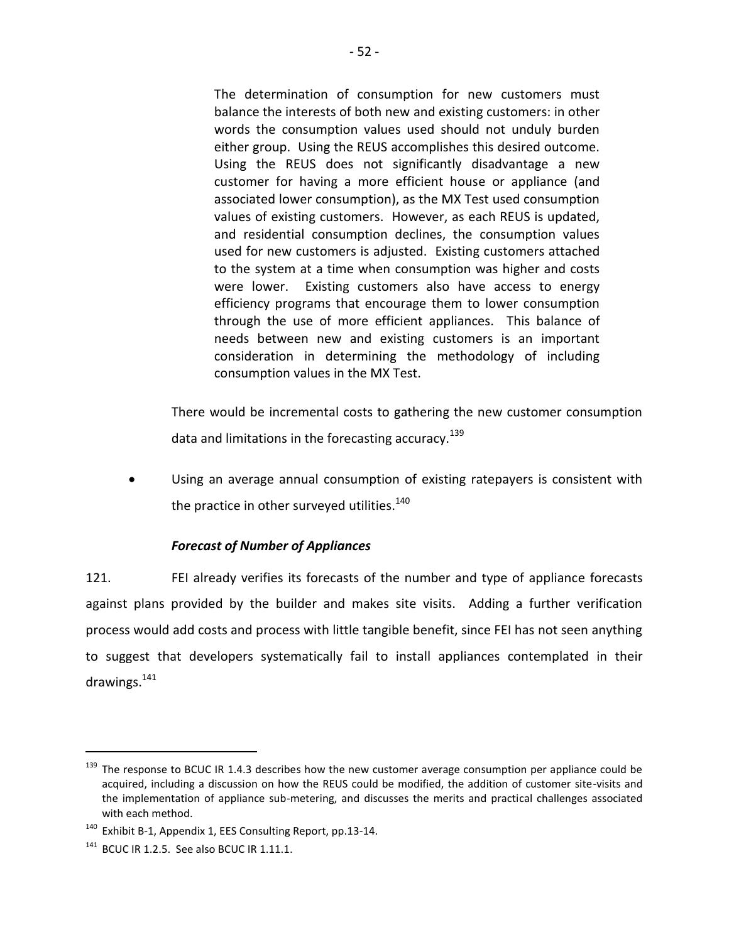The determination of consumption for new customers must balance the interests of both new and existing customers: in other words the consumption values used should not unduly burden either group. Using the REUS accomplishes this desired outcome. Using the REUS does not significantly disadvantage a new customer for having a more efficient house or appliance (and associated lower consumption), as the MX Test used consumption values of existing customers. However, as each REUS is updated, and residential consumption declines, the consumption values used for new customers is adjusted. Existing customers attached to the system at a time when consumption was higher and costs were lower. Existing customers also have access to energy efficiency programs that encourage them to lower consumption through the use of more efficient appliances. This balance of needs between new and existing customers is an important consideration in determining the methodology of including consumption values in the MX Test.

There would be incremental costs to gathering the new customer consumption data and limitations in the forecasting accuracy.  $^{139}$ 

 Using an average annual consumption of existing ratepayers is consistent with the practice in other surveyed utilities.<sup>140</sup>

## *Forecast of Number of Appliances*

121. FEI already verifies its forecasts of the number and type of appliance forecasts against plans provided by the builder and makes site visits. Adding a further verification process would add costs and process with little tangible benefit, since FEI has not seen anything to suggest that developers systematically fail to install appliances contemplated in their drawings.<sup>141</sup>

 $139$  The response to BCUC IR 1.4.3 describes how the new customer average consumption per appliance could be acquired, including a discussion on how the REUS could be modified, the addition of customer site-visits and the implementation of appliance sub-metering, and discusses the merits and practical challenges associated with each method.

<sup>&</sup>lt;sup>140</sup> Exhibit B-1, Appendix 1, EES Consulting Report, pp.13-14.

 $141$  BCUC IR 1.2.5. See also BCUC IR 1.11.1.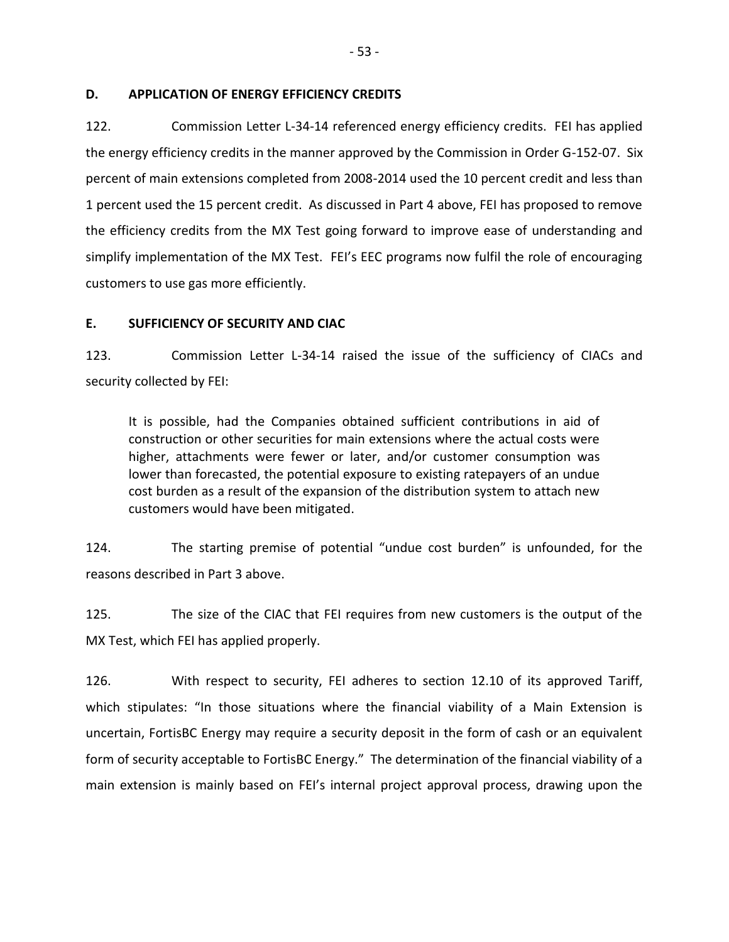### <span id="page-56-0"></span>**D. APPLICATION OF ENERGY EFFICIENCY CREDITS**

122. Commission Letter L-34-14 referenced energy efficiency credits. FEI has applied the energy efficiency credits in the manner approved by the Commission in Order G-152-07. Six percent of main extensions completed from 2008-2014 used the 10 percent credit and less than 1 percent used the 15 percent credit. As discussed in Part 4 above, FEI has proposed to remove the efficiency credits from the MX Test going forward to improve ease of understanding and simplify implementation of the MX Test. FEI's EEC programs now fulfil the role of encouraging customers to use gas more efficiently.

## <span id="page-56-1"></span>**E. SUFFICIENCY OF SECURITY AND CIAC**

123. Commission Letter L-34-14 raised the issue of the sufficiency of CIACs and security collected by FEI:

It is possible, had the Companies obtained sufficient contributions in aid of construction or other securities for main extensions where the actual costs were higher, attachments were fewer or later, and/or customer consumption was lower than forecasted, the potential exposure to existing ratepayers of an undue cost burden as a result of the expansion of the distribution system to attach new customers would have been mitigated.

124. The starting premise of potential "undue cost burden" is unfounded, for the reasons described in Part 3 above.

125. The size of the CIAC that FEI requires from new customers is the output of the MX Test, which FEI has applied properly.

126. With respect to security, FEI adheres to section 12.10 of its approved Tariff, which stipulates: "In those situations where the financial viability of a Main Extension is uncertain, FortisBC Energy may require a security deposit in the form of cash or an equivalent form of security acceptable to FortisBC Energy." The determination of the financial viability of a main extension is mainly based on FEI's internal project approval process, drawing upon the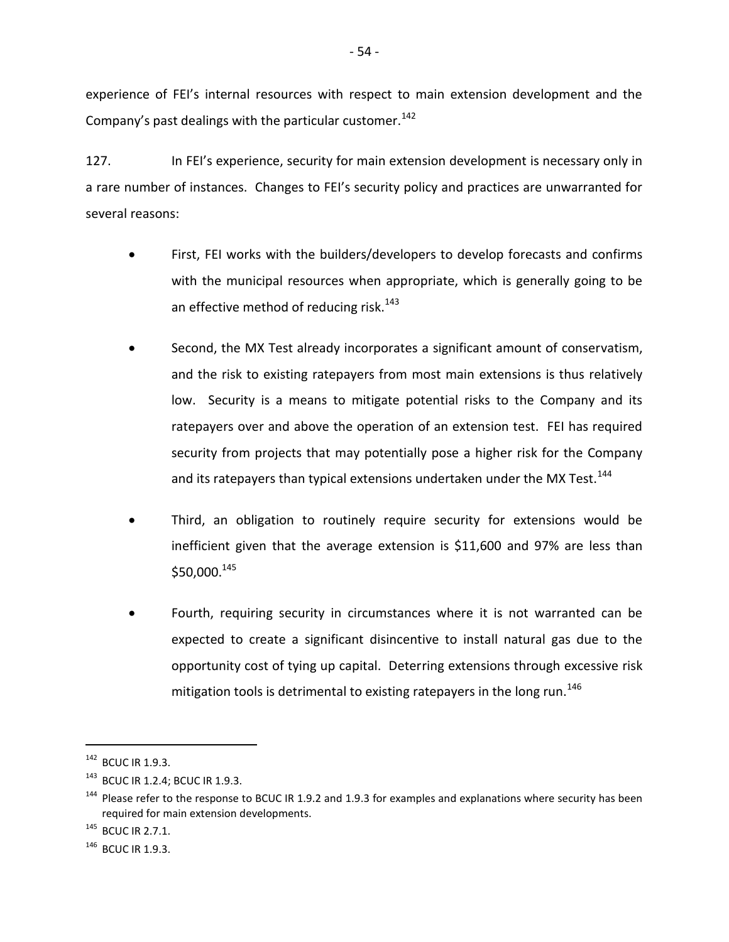experience of FEI's internal resources with respect to main extension development and the Company's past dealings with the particular customer.<sup>142</sup>

127. In FEI's experience, security for main extension development is necessary only in a rare number of instances. Changes to FEI's security policy and practices are unwarranted for several reasons:

- First, FEI works with the builders/developers to develop forecasts and confirms with the municipal resources when appropriate, which is generally going to be an effective method of reducing risk.<sup>143</sup>
- Second, the MX Test already incorporates a significant amount of conservatism, and the risk to existing ratepayers from most main extensions is thus relatively low. Security is a means to mitigate potential risks to the Company and its ratepayers over and above the operation of an extension test. FEI has required security from projects that may potentially pose a higher risk for the Company and its ratepayers than typical extensions undertaken under the MX Test. $^{144}$
- Third, an obligation to routinely require security for extensions would be inefficient given that the average extension is \$11,600 and 97% are less than \$50,000.145
- Fourth, requiring security in circumstances where it is not warranted can be expected to create a significant disincentive to install natural gas due to the opportunity cost of tying up capital. Deterring extensions through excessive risk mitigation tools is detrimental to existing ratepayers in the long run.<sup>146</sup>

<sup>142</sup> BCUC IR 1.9.3.

<sup>143</sup> BCUC IR 1.2.4; BCUC IR 1.9.3.

<sup>&</sup>lt;sup>144</sup> Please refer to the response to BCUC IR 1.9.2 and 1.9.3 for examples and explanations where security has been required for main extension developments.

 $145$  BCUC IR 2.7.1.

 $146$  BCUC IR 1.9.3